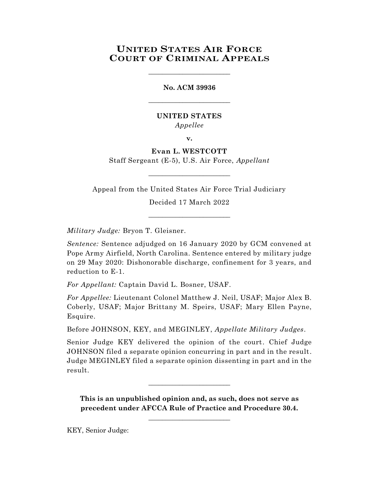# **UNITED STATES AIR FORCE COURT OF CRIMINAL APPEALS**

\_\_\_\_\_\_\_\_\_\_\_\_\_\_\_\_\_\_\_\_\_\_\_\_

**No. ACM 39936** \_\_\_\_\_\_\_\_\_\_\_\_\_\_\_\_\_\_\_\_\_\_\_\_

# **UNITED STATES** *Appellee*

**v.**

# **Evan L. WESTCOTT**

Staff Sergeant (E-5), U.S. Air Force, *Appellant*  $\_$ 

Appeal from the United States Air Force Trial Judiciary

Decided 17 March 2022

\_\_\_\_\_\_\_\_\_\_\_\_\_\_\_\_\_\_\_\_\_\_\_\_

*Military Judge:* Bryon T. Gleisner.

*Sentence:* Sentence adjudged on 16 January 2020 by GCM convened at Pope Army Airfield, North Carolina. Sentence entered by military judge on 29 May 2020: Dishonorable discharge, confinement for 3 years, and reduction to E-1.

*For Appellant:* Captain David L. Bosner, USAF.

*For Appellee:* Lieutenant Colonel Matthew J. Neil, USAF; Major Alex B. Coberly, USAF; Major Brittany M. Speirs, USAF; Mary Ellen Payne, Esquire.

Before JOHNSON, KEY, and MEGINLEY, *Appellate Military Judges*.

Senior Judge KEY delivered the opinion of the court. Chief Judge JOHNSON filed a separate opinion concurring in part and in the result. Judge MEGINLEY filed a separate opinion dissenting in part and in the result.

**This is an unpublished opinion and, as such, does not serve as precedent under AFCCA Rule of Practice and Procedure 30.4.** 

**\_\_\_\_\_\_\_\_\_\_\_\_\_\_\_\_\_\_\_\_\_\_\_\_**

 $\_$ 

KEY, Senior Judge: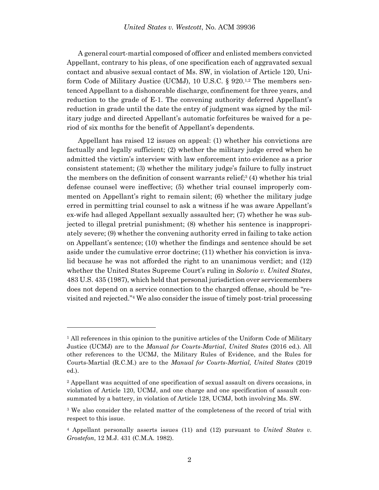A general court-martial composed of officer and enlisted members convicted Appellant, contrary to his pleas, of one specification each of aggravated sexual contact and abusive sexual contact of Ms. SW, in violation of Article 120, Uniform Code of Military Justice (UCMJ), 10 U.S.C. § 920.<sup>1,2</sup> The members sentenced Appellant to a dishonorable discharge, confinement for three years, and reduction to the grade of E-1. The convening authority deferred Appellant's reduction in grade until the date the entry of judgment was signed by the military judge and directed Appellant's automatic forfeitures be waived for a period of six months for the benefit of Appellant's dependents.

Appellant has raised 12 issues on appeal: (1) whether his convictions are factually and legally sufficient; (2) whether the military judge erred when he admitted the victim's interview with law enforcement into evidence as a prior consistent statement; (3) whether the military judge's failure to fully instruct the members on the definition of consent warrants relief; 3 (4) whether his trial defense counsel were ineffective; (5) whether trial counsel improperly commented on Appellant's right to remain silent; (6) whether the military judge erred in permitting trial counsel to ask a witness if he was aware Appellant's ex-wife had alleged Appellant sexually assaulted her; (7) whether he was subjected to illegal pretrial punishment; (8) whether his sentence is inappropriately severe; (9) whether the convening authority erred in failing to take action on Appellant's sentence; (10) whether the findings and sentence should be set aside under the cumulative error doctrine; (11) whether his conviction is invalid because he was not afforded the right to an unanimous verdict; and (12) whether the United States Supreme Court's ruling in *Solorio v. United States*, 483 U.S. 435 (1987), which held that personal jurisdiction over servicemembers does not depend on a service connection to the charged offense, should be "revisited and rejected."<sup>4</sup> We also consider the issue of timely post-trial processing

<sup>&</sup>lt;sup>1</sup> All references in this opinion to the punitive articles of the Uniform Code of Military Justice (UCMJ) are to the *Manual for Courts-Martial*, *United States* (2016 ed.). All other references to the UCMJ, the Military Rules of Evidence, and the Rules for Courts-Martial (R.C.M.) are to the *Manual for Courts-Martial, United States* (2019 ed.).

<sup>2</sup> Appellant was acquitted of one specification of sexual assault on divers occasions, in violation of Article 120, UCMJ, and one charge and one specification of assault consummated by a battery, in violation of Article 128, UCMJ, both involving Ms. SW.

<sup>3</sup> We also consider the related matter of the completeness of the record of trial with respect to this issue.

<sup>4</sup> Appellant personally asserts issues (11) and (12) pursuant to *United States v. Grostefon*, 12 M.J. 431 (C.M.A. 1982).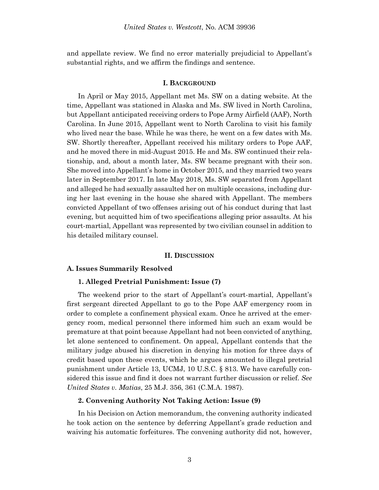and appellate review. We find no error materially prejudicial to Appellant's substantial rights, and we affirm the findings and sentence.

#### **I. BACKGROUND**

In April or May 2015, Appellant met Ms. SW on a dating website. At the time, Appellant was stationed in Alaska and Ms. SW lived in North Carolina, but Appellant anticipated receiving orders to Pope Army Airfield (AAF), North Carolina. In June 2015, Appellant went to North Carolina to visit his family who lived near the base. While he was there, he went on a few dates with Ms. SW. Shortly thereafter, Appellant received his military orders to Pope AAF, and he moved there in mid-August 2015. He and Ms. SW continued their relationship, and, about a month later, Ms. SW became pregnant with their son. She moved into Appellant's home in October 2015, and they married two years later in September 2017. In late May 2018, Ms. SW separated from Appellant and alleged he had sexually assaulted her on multiple occasions, including during her last evening in the house she shared with Appellant. The members convicted Appellant of two offenses arising out of his conduct during that last evening, but acquitted him of two specifications alleging prior assaults. At his court-martial, Appellant was represented by two civilian counsel in addition to his detailed military counsel.

## **II. DISCUSSION**

#### **A. Issues Summarily Resolved**

#### **1. Alleged Pretrial Punishment: Issue (7)**

The weekend prior to the start of Appellant's court-martial, Appellant's first sergeant directed Appellant to go to the Pope AAF emergency room in order to complete a confinement physical exam. Once he arrived at the emergency room, medical personnel there informed him such an exam would be premature at that point because Appellant had not been convicted of anything, let alone sentenced to confinement. On appeal, Appellant contends that the military judge abused his discretion in denying his motion for three days of credit based upon these events, which he argues amounted to illegal pretrial punishment under Article 13, UCMJ, 10 U.S.C. § 813. We have carefully considered this issue and find it does not warrant further discussion or relief. *See United States v. Matias*, 25 M.J. 356, 361 (C.M.A. 1987).

#### **2. Convening Authority Not Taking Action: Issue (9)**

In his Decision on Action memorandum, the convening authority indicated he took action on the sentence by deferring Appellant's grade reduction and waiving his automatic forfeitures. The convening authority did not, however,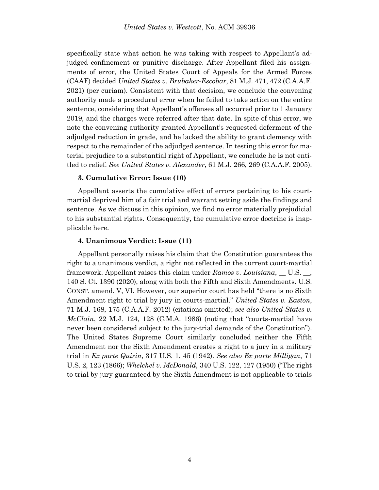specifically state what action he was taking with respect to Appellant's adjudged confinement or punitive discharge. After Appellant filed his assignments of error, the United States Court of Appeals for the Armed Forces (CAAF) decided *United States v. Brubaker-Escobar*, 81 M.J. 471, 472 (C.A.A.F. 2021) (per curiam). Consistent with that decision, we conclude the convening authority made a procedural error when he failed to take action on the entire sentence, considering that Appellant's offenses all occurred prior to 1 January 2019, and the charges were referred after that date. In spite of this error, we note the convening authority granted Appellant's requested deferment of the adjudged reduction in grade, and he lacked the ability to grant clemency with respect to the remainder of the adjudged sentence. In testing this error for material prejudice to a substantial right of Appellant, we conclude he is not entitled to relief. *See United States v. Alexander*, 61 M.J. 266, 269 (C.A.A.F. 2005).

# **3. Cumulative Error: Issue (10)**

Appellant asserts the cumulative effect of errors pertaining to his courtmartial deprived him of a fair trial and warrant setting aside the findings and sentence. As we discuss in this opinion, we find no error materially prejudicial to his substantial rights. Consequently, the cumulative error doctrine is inapplicable here.

## **4. Unanimous Verdict: Issue (11)**

Appellant personally raises his claim that the Constitution guarantees the right to a unanimous verdict, a right not reflected in the current court-martial framework. Appellant raises this claim under *Ramos v. Louisiana*, \_\_ U.S. \_\_, 140 S. Ct. 1390 (2020), along with both the Fifth and Sixth Amendments. U.S. CONST. amend. V, VI. However, our superior court has held "there is no Sixth Amendment right to trial by jury in courts-martial." *United States v. Easton*, 71 M.J. 168, 175 (C.A.A.F. 2012) (citations omitted); *see also United States v. McClain*, 22 M.J. 124, 128 (C.M.A. 1986) (noting that "courts-martial have never been considered subject to the jury-trial demands of the Constitution"). The United States Supreme Court similarly concluded neither the Fifth Amendment nor the Sixth Amendment creates a right to a jury in a military trial in *Ex parte Quirin*, 317 U.S. 1, 45 (1942). *See also Ex parte Milligan*, 71 U.S. 2, 123 (1866); *Whelchel v. McDonald*, 340 U.S. 122, 127 (1950) ("The right to trial by jury guaranteed by the Sixth Amendment is not applicable to trials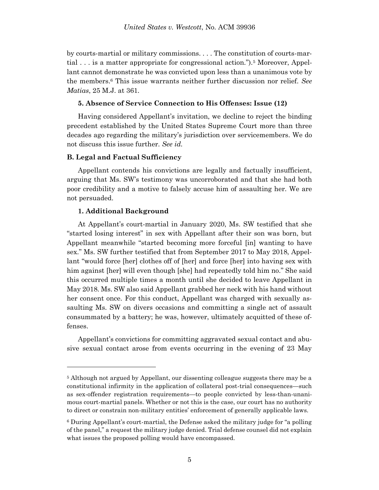by courts-martial or military commissions. . . . The constitution of courts-martial . . . is a matter appropriate for congressional action.").<sup>5</sup> Moreover, Appellant cannot demonstrate he was convicted upon less than a unanimous vote by the members. <sup>6</sup> This issue warrants neither further discussion nor relief. *See Matias*, 25 M.J. at 361.

# **5. Absence of Service Connection to His Offenses: Issue (12)**

Having considered Appellant's invitation, we decline to reject the binding precedent established by the United States Supreme Court more than three decades ago regarding the military's jurisdiction over servicemembers. We do not discuss this issue further. *See id.*

## **B. Legal and Factual Sufficiency**

Appellant contends his convictions are legally and factually insufficient, arguing that Ms. SW's testimony was uncorroborated and that she had both poor credibility and a motive to falsely accuse him of assaulting her. We are not persuaded.

# **1. Additional Background**

l

At Appellant's court-martial in January 2020, Ms. SW testified that she "started losing interest" in sex with Appellant after their son was born, but Appellant meanwhile "started becoming more forceful [in] wanting to have sex." Ms. SW further testified that from September 2017 to May 2018, Appellant "would force [her] clothes off of [her] and force [her] into having sex with him against [her] will even though [she] had repeatedly told him no." She said this occurred multiple times a month until she decided to leave Appellant in May 2018. Ms. SW also said Appellant grabbed her neck with his hand without her consent once. For this conduct, Appellant was charged with sexually assaulting Ms. SW on divers occasions and committing a single act of assault consummated by a battery; he was, however, ultimately acquitted of these offenses.

Appellant's convictions for committing aggravated sexual contact and abusive sexual contact arose from events occurring in the evening of 23 May

<sup>&</sup>lt;sup>5</sup> Although not argued by Appellant, our dissenting colleague suggests there may be a constitutional infirmity in the application of collateral post-trial consequences—such as sex-offender registration requirements—to people convicted by less-than-unanimous court-martial panels. Whether or not this is the case, our court has no authority to direct or constrain non-military entities' enforcement of generally applicable laws.

<sup>6</sup> During Appellant's court-martial, the Defense asked the military judge for "a polling of the panel," a request the military judge denied. Trial defense counsel did not explain what issues the proposed polling would have encompassed.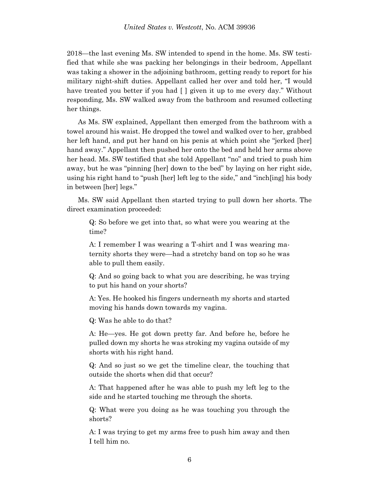2018—the last evening Ms. SW intended to spend in the home. Ms. SW testified that while she was packing her belongings in their bedroom, Appellant was taking a shower in the adjoining bathroom, getting ready to report for his military night-shift duties. Appellant called her over and told her, "I would have treated you better if you had  $\lceil \cdot \rceil$  given it up to me every day." Without responding, Ms. SW walked away from the bathroom and resumed collecting her things.

As Ms. SW explained, Appellant then emerged from the bathroom with a towel around his waist. He dropped the towel and walked over to her, grabbed her left hand, and put her hand on his penis at which point she "jerked [her] hand away." Appellant then pushed her onto the bed and held her arms above her head. Ms. SW testified that she told Appellant "no" and tried to push him away, but he was "pinning [her] down to the bed" by laying on her right side, using his right hand to "push [her] left leg to the side," and "inch[ing] his body in between [her] legs."

Ms. SW said Appellant then started trying to pull down her shorts. The direct examination proceeded:

Q: So before we get into that, so what were you wearing at the time?

A: I remember I was wearing a T-shirt and I was wearing maternity shorts they were—had a stretchy band on top so he was able to pull them easily.

Q: And so going back to what you are describing, he was trying to put his hand on your shorts?

A: Yes. He hooked his fingers underneath my shorts and started moving his hands down towards my vagina.

Q: Was he able to do that?

A: He—yes. He got down pretty far. And before he, before he pulled down my shorts he was stroking my vagina outside of my shorts with his right hand.

Q: And so just so we get the timeline clear, the touching that outside the shorts when did that occur?

A: That happened after he was able to push my left leg to the side and he started touching me through the shorts.

Q: What were you doing as he was touching you through the shorts?

A: I was trying to get my arms free to push him away and then I tell him no.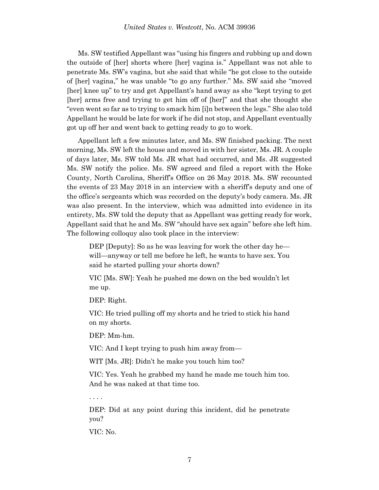Ms. SW testified Appellant was "using his fingers and rubbing up and down the outside of [her] shorts where [her] vagina is." Appellant was not able to penetrate Ms. SW's vagina, but she said that while "he got close to the outside of [her] vagina," he was unable "to go any further." Ms. SW said she "moved [her] knee up" to try and get Appellant's hand away as she "kept trying to get [her] arms free and trying to get him off of [her]" and that she thought she "even went so far as to trying to smack him [i]n between the legs." She also told Appellant he would be late for work if he did not stop, and Appellant eventually got up off her and went back to getting ready to go to work.

Appellant left a few minutes later, and Ms. SW finished packing. The next morning, Ms. SW left the house and moved in with her sister, Ms. JR. A couple of days later, Ms. SW told Ms. JR what had occurred, and Ms. JR suggested Ms. SW notify the police. Ms. SW agreed and filed a report with the Hoke County, North Carolina, Sheriff's Office on 26 May 2018. Ms. SW recounted the events of 23 May 2018 in an interview with a sheriff's deputy and one of the office's sergeants which was recorded on the deputy's body camera. Ms. JR was also present. In the interview, which was admitted into evidence in its entirety, Ms. SW told the deputy that as Appellant was getting ready for work, Appellant said that he and Ms. SW "should have sex again" before she left him. The following colloquy also took place in the interview:

DEP [Deputy]: So as he was leaving for work the other day he will—anyway or tell me before he left, he wants to have sex. You said he started pulling your shorts down?

VIC [Ms. SW]: Yeah he pushed me down on the bed wouldn't let me up.

DEP: Right.

VIC: He tried pulling off my shorts and he tried to stick his hand on my shorts.

DEP: Mm-hm.

VIC: And I kept trying to push him away from—

WIT [Ms. JR]: Didn't he make you touch him too?

VIC: Yes. Yeah he grabbed my hand he made me touch him too. And he was naked at that time too.

. . . .

DEP: Did at any point during this incident, did he penetrate you?

VIC: No.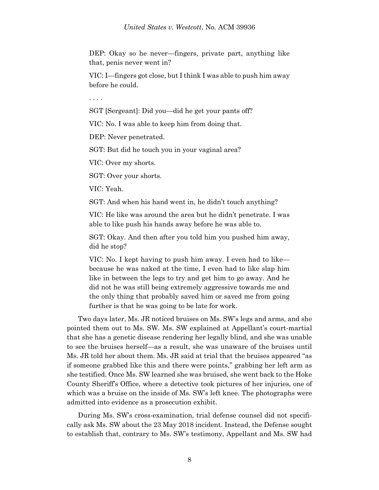DEP: Okay so he never—fingers, private part, anything like that, penis never went in?

VIC: I—fingers got close, but I think I was able to push him away before he could.

. . . .

SGT [Sergeant]: Did you—did he get your pants off?

VIC: No. I was able to keep him from doing that.

DEP: Never penetrated.

SGT: But did he touch you in your vaginal area?

VIC: Over my shorts.

SGT: Over your shorts.

VIC: Yeah.

SGT: And when his hand went in, he didn't touch anything?

VIC: He like was around the area but he didn't penetrate. I was able to like push his hands away before he was able to.

SGT: Okay. And then after you told him you pushed him away, did he stop?

VIC: No. I kept having to push him away. I even had to like because he was naked at the time, I even had to like slap him like in between the legs to try and get him to go away. And he did not he was still being extremely aggressive towards me and the only thing that probably saved him or saved me from going further is that he was going to be late for work.

Two days later, Ms. JR noticed bruises on Ms. SW's legs and arms, and she pointed them out to Ms. SW. Ms. SW explained at Appellant's court-martial that she has a genetic disease rendering her legally blind, and she was unable to see the bruises herself—as a result, she was unaware of the bruises until Ms. JR told her about them. Ms. JR said at trial that the bruises appeared "as if someone grabbed like this and there were points," grabbing her left arm as she testified. Once Ms. SW learned she was bruised, she went back to the Hoke County Sheriff's Office, where a detective took pictures of her injuries, one of which was a bruise on the inside of Ms. SW's left knee. The photographs were admitted into evidence as a prosecution exhibit.

During Ms. SW's cross-examination, trial defense counsel did not specifically ask Ms. SW about the 23 May 2018 incident. Instead, the Defense sought to establish that, contrary to Ms. SW's testimony, Appellant and Ms. SW had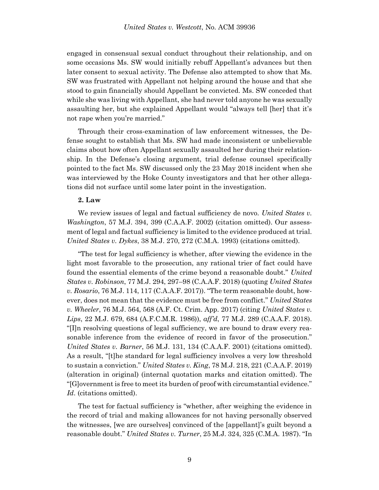engaged in consensual sexual conduct throughout their relationship, and on some occasions Ms. SW would initially rebuff Appellant's advances but then later consent to sexual activity. The Defense also attempted to show that Ms. SW was frustrated with Appellant not helping around the house and that she stood to gain financially should Appellant be convicted. Ms. SW conceded that while she was living with Appellant, she had never told anyone he was sexually assaulting her, but she explained Appellant would "always tell [her] that it's not rape when you're married."

Through their cross-examination of law enforcement witnesses, the Defense sought to establish that Ms. SW had made inconsistent or unbelievable claims about how often Appellant sexually assaulted her during their relationship. In the Defense's closing argument, trial defense counsel specifically pointed to the fact Ms. SW discussed only the 23 May 2018 incident when she was interviewed by the Hoke County investigators and that her other allegations did not surface until some later point in the investigation.

# **2. Law**

We review issues of legal and factual sufficiency de novo. *United States v. Washington*, 57 M.J. 394, 399 (C.A.A.F. 2002) (citation omitted). Our assessment of legal and factual sufficiency is limited to the evidence produced at trial. *United States v. Dykes*, 38 M.J. 270, 272 (C.M.A. 1993) (citations omitted).

"The test for legal sufficiency is whether, after viewing the evidence in the light most favorable to the prosecution, any rational trier of fact could have found the essential elements of the crime beyond a reasonable doubt." *United States v. Robinson*, 77 M.J. 294, 297–98 (C.A.A.F. 2018) (quoting *United States v. Rosario*, 76 M.J. 114, 117 (C.A.A.F. 2017)). "The term reasonable doubt, however, does not mean that the evidence must be free from conflict." *United States v. Wheeler*, 76 M.J. 564, 568 (A.F. Ct. Crim. App. 2017) (citing *United States v. Lips*, 22 M.J. 679, 684 (A.F.C.M.R. 1986)), *aff'd*, 77 M.J. 289 (C.A.A.F. 2018). "[I]n resolving questions of legal sufficiency, we are bound to draw every reasonable inference from the evidence of record in favor of the prosecution." *United States v. Barner*, 56 M.J. 131, 134 (C.A.A.F. 2001) (citations omitted). As a result, "[t]he standard for legal sufficiency involves a very low threshold to sustain a conviction." *United States v. King*, 78 M.J. 218, 221 (C.A.A.F. 2019) (alteration in original) (internal quotation marks and citation omitted). The "[G]overnment is free to meet its burden of proof with circumstantial evidence." *Id*. (citations omitted).

The test for factual sufficiency is "whether, after weighing the evidence in the record of trial and making allowances for not having personally observed the witnesses, [we are ourselves] convinced of the [appellant]'s guilt beyond a reasonable doubt." *United States v. Turner*, 25 M.J. 324, 325 (C.M.A. 1987). "In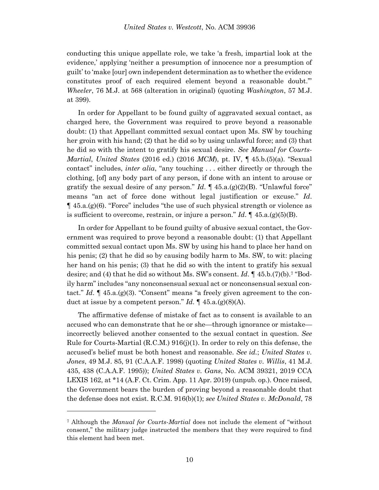conducting this unique appellate role, we take 'a fresh, impartial look at the evidence,' applying 'neither a presumption of innocence nor a presumption of guilt' to 'make [our] own independent determination as to whether the evidence constitutes proof of each required element beyond a reasonable doubt.'" *Wheeler*, 76 M.J. at 568 (alteration in original) (quoting *Washington*, 57 M.J. at 399).

In order for Appellant to be found guilty of aggravated sexual contact, as charged here, the Government was required to prove beyond a reasonable doubt: (1) that Appellant committed sexual contact upon Ms. SW by touching her groin with his hand; (2) that he did so by using unlawful force; and (3) that he did so with the intent to gratify his sexual desire. *See Manual for Courts-Martial*, *United States* (2016 ed.) (2016 *MCM*), pt. IV, ¶ 45.b.(5)(a). "Sexual contact" includes, *inter alia*, "any touching . . . either directly or through the clothing, [of] any body part of any person, if done with an intent to arouse or gratify the sexual desire of any person." *Id*. ¶ 45.a.(g)(2)(B). "Unlawful force" means "an act of force done without legal justification or excuse." *Id*.  $\P$  45.a.(g)(6). "Force" includes "the use of such physical strength or violence as is sufficient to overcome, restrain, or injure a person." *Id*. ¶ 45.a.(g)(5)(B).

In order for Appellant to be found guilty of abusive sexual contact, the Government was required to prove beyond a reasonable doubt: (1) that Appellant committed sexual contact upon Ms. SW by using his hand to place her hand on his penis; (2) that he did so by causing bodily harm to Ms. SW, to wit: placing her hand on his penis; (3) that he did so with the intent to gratify his sexual desire; and (4) that he did so without Ms. SW's consent. *Id*. ¶ 45.b.(7)(b).<sup>7</sup> "Bodily harm" includes "any nonconsensual sexual act or nonconsensual sexual contact." *Id*. ¶ 45.a.(g)(3). "Consent" means "a freely given agreement to the conduct at issue by a competent person." *Id*. ¶ 45.a.(g)(8)(A).

The affirmative defense of mistake of fact as to consent is available to an accused who can demonstrate that he or she—through ignorance or mistake incorrectly believed another consented to the sexual contact in question. *See*  Rule for Courts-Martial (R.C.M.) 916(j)(1). In order to rely on this defense, the accused's belief must be both honest and reasonable. *See id.*; *United States v. Jones*, 49 M.J. 85, 91 (C.A.A.F. 1998) (quoting *United States v. Willis*, 41 M.J. 435, 438 (C.A.A.F. 1995)); *United States v. Gans*, No. ACM 39321, 2019 CCA LEXIS 162, at \*14 (A.F. Ct. Crim. App. 11 Apr. 2019) (unpub. op.). Once raised, the Government bears the burden of proving beyond a reasonable doubt that the defense does not exist. R.C.M. 916(b)(1); *see United States v. McDonald*, 78

<sup>7</sup> Although the *Manual for Courts-Martial* does not include the element of "without consent," the military judge instructed the members that they were required to find this element had been met.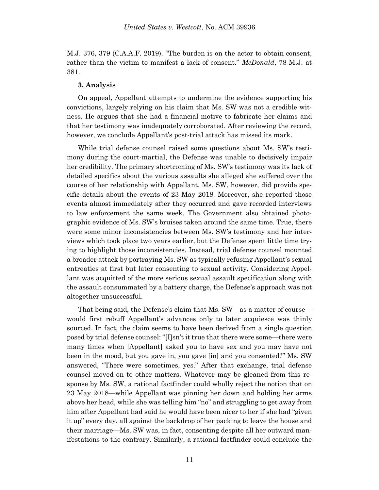M.J. 376, 379 (C.A.A.F. 2019). "The burden is on the actor to obtain consent, rather than the victim to manifest a lack of consent." *McDonald*, 78 M.J. at 381.

# **3. Analysis**

On appeal, Appellant attempts to undermine the evidence supporting his convictions, largely relying on his claim that Ms. SW was not a credible witness. He argues that she had a financial motive to fabricate her claims and that her testimony was inadequately corroborated. After reviewing the record, however, we conclude Appellant's post-trial attack has missed its mark.

While trial defense counsel raised some questions about Ms. SW's testimony during the court-martial, the Defense was unable to decisively impair her credibility. The primary shortcoming of Ms. SW's testimony was its lack of detailed specifics about the various assaults she alleged she suffered over the course of her relationship with Appellant. Ms. SW, however, did provide specific details about the events of 23 May 2018. Moreover, she reported those events almost immediately after they occurred and gave recorded interviews to law enforcement the same week. The Government also obtained photographic evidence of Ms. SW's bruises taken around the same time. True, there were some minor inconsistencies between Ms. SW's testimony and her interviews which took place two years earlier, but the Defense spent little time trying to highlight those inconsistencies. Instead, trial defense counsel mounted a broader attack by portraying Ms. SW as typically refusing Appellant's sexual entreaties at first but later consenting to sexual activity. Considering Appellant was acquitted of the more serious sexual assault specification along with the assault consummated by a battery charge, the Defense's approach was not altogether unsuccessful.

That being said, the Defense's claim that Ms. SW—as a matter of course would first rebuff Appellant's advances only to later acquiesce was thinly sourced. In fact, the claim seems to have been derived from a single question posed by trial defense counsel: "[I]sn't it true that there were some—there were many times when [Appellant] asked you to have sex and you may have not been in the mood, but you gave in, you gave [in] and you consented?" Ms. SW answered, "There were sometimes, yes." After that exchange, trial defense counsel moved on to other matters. Whatever may be gleaned from this response by Ms. SW, a rational factfinder could wholly reject the notion that on 23 May 2018—while Appellant was pinning her down and holding her arms above her head, while she was telling him "no" and struggling to get away from him after Appellant had said he would have been nicer to her if she had "given it up" every day, all against the backdrop of her packing to leave the house and their marriage—Ms. SW was, in fact, consenting despite all her outward manifestations to the contrary. Similarly, a rational factfinder could conclude the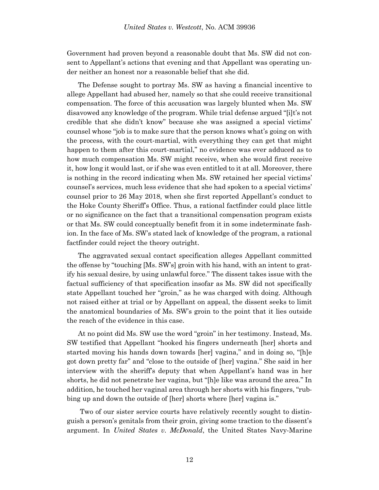Government had proven beyond a reasonable doubt that Ms. SW did not consent to Appellant's actions that evening and that Appellant was operating under neither an honest nor a reasonable belief that she did.

The Defense sought to portray Ms. SW as having a financial incentive to allege Appellant had abused her, namely so that she could receive transitional compensation. The force of this accusation was largely blunted when Ms. SW disavowed any knowledge of the program. While trial defense argued "[i]t's not credible that she didn't know" because she was assigned a special victims' counsel whose "job is to make sure that the person knows what's going on with the process, with the court-martial, with everything they can get that might happen to them after this court-martial," no evidence was ever adduced as to how much compensation Ms. SW might receive, when she would first receive it, how long it would last, or if she was even entitled to it at all. Moreover, there is nothing in the record indicating when Ms. SW retained her special victims' counsel's services, much less evidence that she had spoken to a special victims' counsel prior to 26 May 2018, when she first reported Appellant's conduct to the Hoke County Sheriff's Office. Thus, a rational factfinder could place little or no significance on the fact that a transitional compensation program exists or that Ms. SW could conceptually benefit from it in some indeterminate fashion. In the face of Ms. SW's stated lack of knowledge of the program, a rational factfinder could reject the theory outright.

The aggravated sexual contact specification alleges Appellant committed the offense by "touching [Ms. SW's] groin with his hand, with an intent to gratify his sexual desire, by using unlawful force." The dissent takes issue with the factual sufficiency of that specification insofar as Ms. SW did not specifically state Appellant touched her "groin," as he was charged with doing. Although not raised either at trial or by Appellant on appeal, the dissent seeks to limit the anatomical boundaries of Ms. SW's groin to the point that it lies outside the reach of the evidence in this case.

At no point did Ms. SW use the word "groin" in her testimony. Instead, Ms. SW testified that Appellant "hooked his fingers underneath [her] shorts and started moving his hands down towards [her] vagina," and in doing so, "[h]e got down pretty far" and "close to the outside of [her] vagina." She said in her interview with the sheriff's deputy that when Appellant's hand was in her shorts, he did not penetrate her vagina, but "[h]e like was around the area." In addition, he touched her vaginal area through her shorts with his fingers, "rubbing up and down the outside of [her] shorts where [her] vagina is."

Two of our sister service courts have relatively recently sought to distinguish a person's genitals from their groin, giving some traction to the dissent's argument. In *United States v. McDonald*, the United States Navy-Marine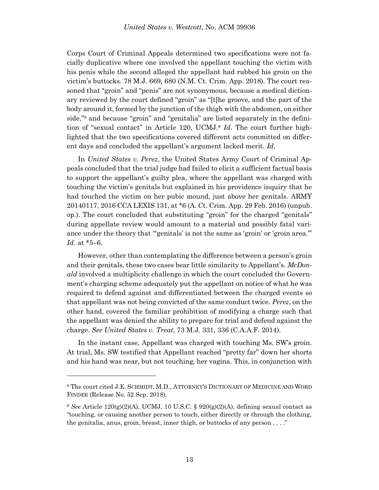Corps Court of Criminal Appeals determined two specifications were not facially duplicative where one involved the appellant touching the victim with his penis while the second alleged the appellant had rubbed his groin on the victim's buttocks. 78 M.J. 669, 680 (N.M. Ct. Crim. App. 2018). The court reasoned that "groin" and "penis" are not synonymous, because a medical dictionary reviewed by the court defined "groin" as "[t]he groove, and the part of the body around it, formed by the junction of the thigh with the abdomen, on either side,"<sup>8</sup> and because "groin" and "genitalia" are listed separately in the definition of "sexual contact" in Article 120, UCMJ.<sup>9</sup> *Id*. The court further highlighted that the two specifications covered different acts committed on different days and concluded the appellant's argument lacked merit. *Id*.

In *United States v. Perez*, the United States Army Court of Criminal Appeals concluded that the trial judge had failed to elicit a sufficient factual basis to support the appellant's guilty plea, where the appellant was charged with touching the victim's genitals but explained in his providence inquiry that he had touched the victim on her pubic mound, just above her genitals. ARMY 20140117, 2016 CCA LEXIS 131, at \*6 (A. Ct. Crim. App. 29 Feb. 2016) (unpub. op.). The court concluded that substituting "groin" for the charged "genitals" during appellate review would amount to a material and possibly fatal variance under the theory that "'genitals' is not the same as 'groin' or 'groin area.'" *Id*. at \*5–6.

However, other than contemplating the difference between a person's groin and their genitals, these two cases bear little similarity to Appellant's. *McDonald* involved a multiplicity challenge in which the court concluded the Government's charging scheme adequately put the appellant on notice of what he was required to defend against and differentiated between the charged events so that appellant was not being convicted of the same conduct twice. *Perez*, on the other hand, covered the familiar prohibition of modifying a charge such that the appellant was denied the ability to prepare for trial and defend against the charge. *See United States v. Treat*, 73 M.J. 331, 336 (C.A.A.F. 2014).

In the instant case, Appellant was charged with touching Ms. SW's groin. At trial, Ms. SW testified that Appellant reached "pretty far" down her shorts and his hand was near, but not touching, her vagina. This, in conjunction with

<sup>8</sup> The court cited J.E. SCHMIDT, M.D., ATTORNEY'S DICTIONARY OF MEDICINE AND WORD FINDER (Release No. 52 Sep. 2018).

<sup>9</sup> *See* Article 120(g)(2)(A), UCMJ, 10 U.S.C. § 920(g)(2)(A), defining sexual contact as "touching, or causing another person to touch, either directly or through the clothing, the genitalia, anus, groin, breast, inner thigh, or buttocks of any person  $\dots$ ."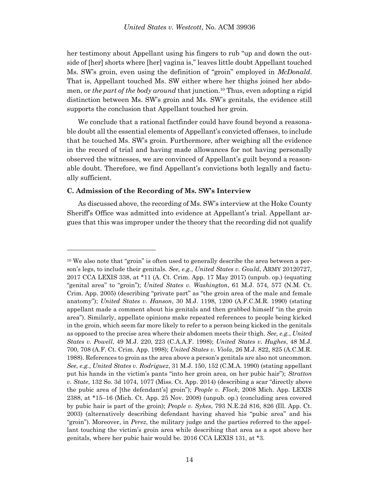her testimony about Appellant using his fingers to rub "up and down the outside of [her] shorts where [her] vagina is," leaves little doubt Appellant touched Ms. SW's groin, even using the definition of "groin" employed in *McDonald*. That is, Appellant touched Ms. SW either where her thighs joined her abdomen, or *the part of the body around* that junction.<sup>10</sup> Thus, even adopting a rigid distinction between Ms. SW's groin and Ms. SW's genitals, the evidence still supports the conclusion that Appellant touched her groin.

We conclude that a rational factfinder could have found beyond a reasonable doubt all the essential elements of Appellant's convicted offenses, to include that he touched Ms. SW's groin. Furthermore, after weighing all the evidence in the record of trial and having made allowances for not having personally observed the witnesses, we are convinced of Appellant's guilt beyond a reasonable doubt. Therefore, we find Appellant's convictions both legally and factually sufficient.

# **C. Admission of the Recording of Ms. SW's Interview**

l

As discussed above, the recording of Ms. SW's interview at the Hoke County Sheriff's Office was admitted into evidence at Appellant's trial. Appellant argues that this was improper under the theory that the recording did not qualify

<sup>&</sup>lt;sup>10</sup> We also note that "groin" is often used to generally describe the area between a person's legs, to include their genitals. *See, e.g.*, *United States v. Gould*, ARMY 20120727, 2017 CCA LEXIS 338, at \*11 (A. Ct. Crim. App. 17 May 2017) (unpub. op.) (equating "genital area" to "groin"); *United States v. Washington*, 61 M.J. 574, 577 (N.M. Ct. Crim. App. 2005) (describing "private part" as "the groin area of the male and female anatomy"); *United States v. Hanson*, 30 M.J. 1198, 1200 (A.F.C.M.R. 1990) (stating appellant made a comment about his genitals and then grabbed himself "in the groin area"). Similarly, appellate opinions make repeated references to people being kicked in the groin, which seem far more likely to refer to a person being kicked in the genitals as opposed to the precise area where their abdomen meets their thigh. *See, e.g.*, *United States v. Powell*, 49 M.J. 220, 223 (C.A.A.F. 1998); *United States v. Hughes*, 48 M.J. 700, 708 (A.F. Ct. Crim. App. 1998); *United States v. Viola*, 26 M.J. 822, 825 (A.C.M.R. 1988). References to groin as the area above a person's genitals are also not uncommon. *See, e.g.*, *United States v. Rodriguez*, 31 M.J. 150, 152 (C.M.A. 1990) (stating appellant put his hands in the victim's pants "into her groin area, on her pubic hair"); *Stratton v. State*, 132 So. 3d 1074, 1077 (Miss. Ct. App. 2014) (describing a scar "directly above the pubic area of [the defendant's] groin"); *People v. Flock*, 2008 Mich. App. LEXIS 2388, at \*15–16 (Mich. Ct. App. 25 Nov. 2008) (unpub. op.) (concluding area covered by pubic hair is part of the groin); *People v. Sykes*, 793 N.E.2d 816, 826 (Ill. App. Ct. 2003) (alternatively describing defendant having shaved his "pubic area" and his "groin"). Moreover, in *Perez*, the military judge and the parties referred to the appellant touching the victim's groin area while describing that area as a spot above her genitals, where her pubic hair would be. 2016 CCA LEXIS 131, at \*3.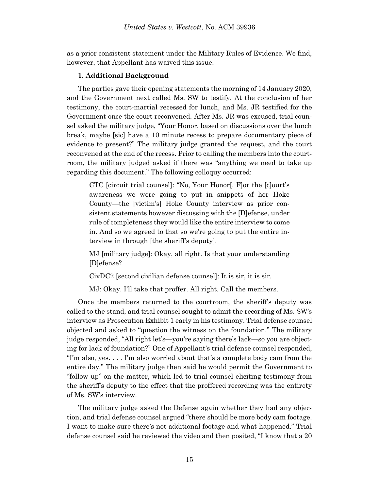as a prior consistent statement under the Military Rules of Evidence. We find, however, that Appellant has waived this issue.

# **1. Additional Background**

The parties gave their opening statements the morning of 14 January 2020, and the Government next called Ms. SW to testify. At the conclusion of her testimony, the court-martial recessed for lunch, and Ms. JR testified for the Government once the court reconvened. After Ms. JR was excused, trial counsel asked the military judge, "Your Honor, based on discussions over the lunch break, maybe [sic] have a 10 minute recess to prepare documentary piece of evidence to present?" The military judge granted the request, and the court reconvened at the end of the recess. Prior to calling the members into the courtroom, the military judged asked if there was "anything we need to take up regarding this document." The following colloquy occurred:

CTC [circuit trial counsel]: "No, Your Honor[. F]or the [c]ourt's awareness we were going to put in snippets of her Hoke County—the [victim's] Hoke County interview as prior consistent statements however discussing with the [D]efense, under rule of completeness they would like the entire interview to come in. And so we agreed to that so we're going to put the entire interview in through [the sheriff's deputy].

MJ [military judge]: Okay, all right. Is that your understanding [D]efense?

CivDC2 [second civilian defense counsel]: It is sir, it is sir.

MJ: Okay. I'll take that proffer. All right. Call the members.

Once the members returned to the courtroom, the sheriff's deputy was called to the stand, and trial counsel sought to admit the recording of Ms. SW's interview as Prosecution Exhibit 1 early in his testimony. Trial defense counsel objected and asked to "question the witness on the foundation." The military judge responded, "All right let's—you're saying there's lack—so you are objecting for lack of foundation?" One of Appellant's trial defense counsel responded, "I'm also, yes. . . . I'm also worried about that's a complete body cam from the entire day." The military judge then said he would permit the Government to "follow up" on the matter, which led to trial counsel eliciting testimony from the sheriff's deputy to the effect that the proffered recording was the entirety of Ms. SW's interview.

The military judge asked the Defense again whether they had any objection, and trial defense counsel argued "there should be more body cam footage. I want to make sure there's not additional footage and what happened." Trial defense counsel said he reviewed the video and then posited, "I know that a 20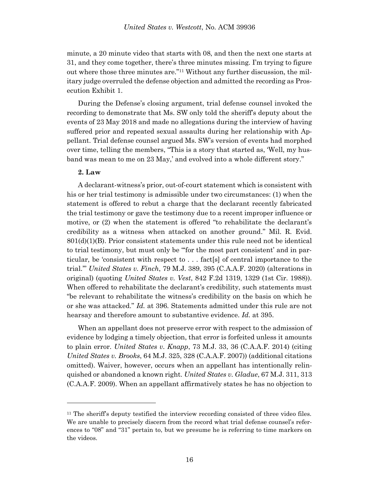minute, a 20 minute video that starts with 08, and then the next one starts at 31, and they come together, there's three minutes missing. I'm trying to figure out where those three minutes are."<sup>11</sup> Without any further discussion, the military judge overruled the defense objection and admitted the recording as Prosecution Exhibit 1.

During the Defense's closing argument, trial defense counsel invoked the recording to demonstrate that Ms. SW only told the sheriff's deputy about the events of 23 May 2018 and made no allegations during the interview of having suffered prior and repeated sexual assaults during her relationship with Appellant. Trial defense counsel argued Ms. SW's version of events had morphed over time, telling the members, "This is a story that started as, 'Well, my husband was mean to me on 23 May,' and evolved into a whole different story."

# **2. Law**

l

A declarant-witness's prior, out-of-court statement which is consistent with his or her trial testimony is admissible under two circumstances: (1) when the statement is offered to rebut a charge that the declarant recently fabricated the trial testimony or gave the testimony due to a recent improper influence or motive, or (2) when the statement is offered "to rehabilitate the declarant's credibility as a witness when attacked on another ground." Mil. R. Evid.  $801(d)(1)(B)$ . Prior consistent statements under this rule need not be identical to trial testimony, but must only be "'for the most part consistent' and in particular, be 'consistent with respect to . . . fact[s] of central importance to the trial.'" *United States v. Finch*, 79 M.J. 389, 395 (C.A.A.F. 2020) (alterations in original) (quoting *United States v. Vest*, 842 F.2d 1319, 1329 (1st Cir. 1988)). When offered to rehabilitate the declarant's credibility, such statements must "be relevant to rehabilitate the witness's credibility on the basis on which he or she was attacked." *Id.* at 396. Statements admitted under this rule are not hearsay and therefore amount to substantive evidence. *Id.* at 395.

When an appellant does not preserve error with respect to the admission of evidence by lodging a timely objection, that error is forfeited unless it amounts to plain error. *United States v. Knapp*, 73 M.J. 33, 36 (C.A.A.F. 2014) (citing *United States v. Brooks*, 64 M.J. 325, 328 (C.A.A.F. 2007)) (additional citations omitted). Waiver, however, occurs when an appellant has intentionally relinquished or abandoned a known right. *United States v. Gladue*, 67 M.J. 311, 313 (C.A.A.F. 2009). When an appellant affirmatively states he has no objection to

<sup>&</sup>lt;sup>11</sup> The sheriff's deputy testified the interview recording consisted of three video files. We are unable to precisely discern from the record what trial defense counsel's references to "08" and "31" pertain to, but we presume he is referring to time markers on the videos.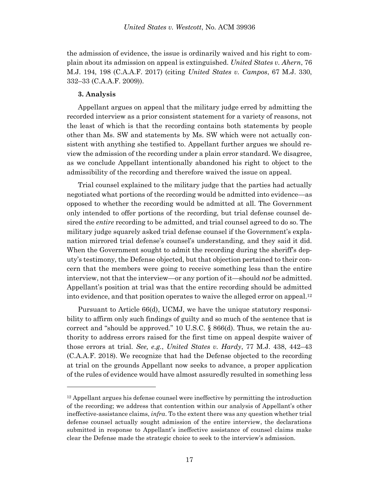the admission of evidence, the issue is ordinarily waived and his right to complain about its admission on appeal is extinguished. *United States v. Ahern*, 76 M.J. 194, 198 (C.A.A.F. 2017) (citing *United States v. Campos*, 67 M.J. 330, 332–33 (C.A.A.F. 2009)).

#### **3. Analysis**

l

Appellant argues on appeal that the military judge erred by admitting the recorded interview as a prior consistent statement for a variety of reasons, not the least of which is that the recording contains both statements by people other than Ms. SW and statements by Ms. SW which were not actually consistent with anything she testified to. Appellant further argues we should review the admission of the recording under a plain error standard. We disagree, as we conclude Appellant intentionally abandoned his right to object to the admissibility of the recording and therefore waived the issue on appeal.

Trial counsel explained to the military judge that the parties had actually negotiated what portions of the recording would be admitted into evidence—as opposed to whether the recording would be admitted at all. The Government only intended to offer portions of the recording, but trial defense counsel desired the *entire* recording to be admitted, and trial counsel agreed to do so. The military judge squarely asked trial defense counsel if the Government's explanation mirrored trial defense's counsel's understanding, and they said it did. When the Government sought to admit the recording during the sheriff's deputy's testimony, the Defense objected, but that objection pertained to their concern that the members were going to receive something less than the entire interview, not that the interview—or any portion of it—should *not* be admitted. Appellant's position at trial was that the entire recording should be admitted into evidence, and that position operates to waive the alleged error on appeal.<sup>12</sup>

Pursuant to Article 66(d), UCMJ, we have the unique statutory responsibility to affirm only such findings of guilty and so much of the sentence that is correct and "should be approved." 10 U.S.C. § 866(d). Thus, we retain the authority to address errors raised for the first time on appeal despite waiver of those errors at trial. *See, e.g.*, *United States v. Hardy*, 77 M.J. 438, 442–43 (C.A.A.F. 2018). We recognize that had the Defense objected to the recording at trial on the grounds Appellant now seeks to advance, a proper application of the rules of evidence would have almost assuredly resulted in something less

<sup>12</sup> Appellant argues his defense counsel were ineffective by permitting the introduction of the recording; we address that contention within our analysis of Appellant's other ineffective-assistance claims, *infra*. To the extent there was any question whether trial defense counsel actually sought admission of the entire interview, the declarations submitted in response to Appellant's ineffective assistance of counsel claims make clear the Defense made the strategic choice to seek to the interview's admission.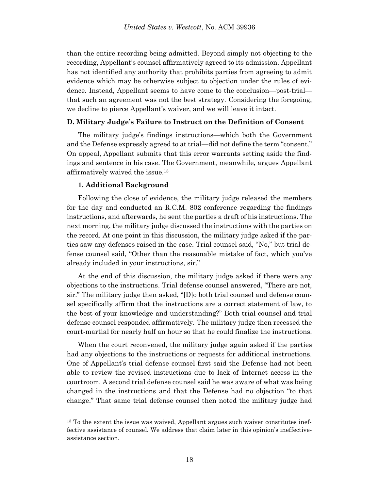than the entire recording being admitted. Beyond simply not objecting to the recording, Appellant's counsel affirmatively agreed to its admission. Appellant has not identified any authority that prohibits parties from agreeing to admit evidence which may be otherwise subject to objection under the rules of evidence. Instead, Appellant seems to have come to the conclusion—post-trial that such an agreement was not the best strategy. Considering the foregoing, we decline to pierce Appellant's waiver, and we will leave it intact.

# **D. Military Judge's Failure to Instruct on the Definition of Consent**

The military judge's findings instructions—which both the Government and the Defense expressly agreed to at trial—did not define the term "consent." On appeal, Appellant submits that this error warrants setting aside the findings and sentence in his case. The Government, meanwhile, argues Appellant affirmatively waived the issue.<sup>13</sup>

# **1. Additional Background**

l

Following the close of evidence, the military judge released the members for the day and conducted an R.C.M. 802 conference regarding the findings instructions, and afterwards, he sent the parties a draft of his instructions. The next morning, the military judge discussed the instructions with the parties on the record. At one point in this discussion, the military judge asked if the parties saw any defenses raised in the case. Trial counsel said, "No," but trial defense counsel said, "Other than the reasonable mistake of fact, which you've already included in your instructions, sir."

At the end of this discussion, the military judge asked if there were any objections to the instructions. Trial defense counsel answered, "There are not, sir." The military judge then asked, "[D]o both trial counsel and defense counsel specifically affirm that the instructions are a correct statement of law, to the best of your knowledge and understanding?" Both trial counsel and trial defense counsel responded affirmatively. The military judge then recessed the court-martial for nearly half an hour so that he could finalize the instructions.

When the court reconvened, the military judge again asked if the parties had any objections to the instructions or requests for additional instructions. One of Appellant's trial defense counsel first said the Defense had not been able to review the revised instructions due to lack of Internet access in the courtroom. A second trial defense counsel said he was aware of what was being changed in the instructions and that the Defense had no objection "to that change." That same trial defense counsel then noted the military judge had

<sup>&</sup>lt;sup>13</sup> To the extent the issue was waived, Appellant argues such waiver constitutes ineffective assistance of counsel. We address that claim later in this opinion's ineffectiveassistance section.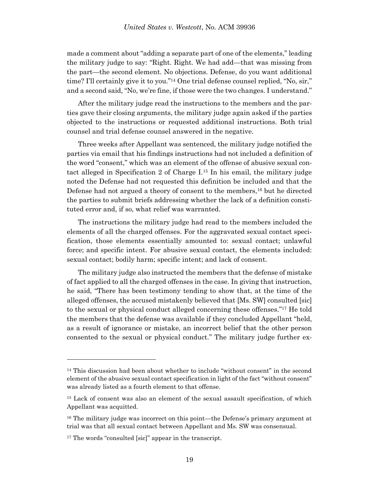made a comment about "adding a separate part of one of the elements," leading the military judge to say: "Right. Right. We had add—that was missing from the part—the second element. No objections. Defense, do you want additional time? I'll certainly give it to you."<sup>14</sup> One trial defense counsel replied, "No, sir," and a second said, "No, we're fine, if those were the two changes. I understand."

After the military judge read the instructions to the members and the parties gave their closing arguments, the military judge again asked if the parties objected to the instructions or requested additional instructions. Both trial counsel and trial defense counsel answered in the negative.

Three weeks after Appellant was sentenced, the military judge notified the parties via email that his findings instructions had not included a definition of the word "consent," which was an element of the offense of abusive sexual contact alleged in Specification 2 of Charge I.<sup>15</sup> In his email, the military judge noted the Defense had not requested this definition be included and that the Defense had not argued a theory of consent to the members,  $16$  but he directed the parties to submit briefs addressing whether the lack of a definition constituted error and, if so, what relief was warranted.

The instructions the military judge had read to the members included the elements of all the charged offenses. For the aggravated sexual contact specification, those elements essentially amounted to: sexual contact; unlawful force; and specific intent. For abusive sexual contact, the elements included: sexual contact; bodily harm; specific intent; and lack of consent.

The military judge also instructed the members that the defense of mistake of fact applied to all the charged offenses in the case. In giving that instruction, he said, "There has been testimony tending to show that, at the time of the alleged offenses, the accused mistakenly believed that [Ms. SW] consulted [sic] to the sexual or physical conduct alleged concerning these offenses." <sup>17</sup> He told the members that the defense was available if they concluded Appellant "held, as a result of ignorance or mistake, an incorrect belief that the other person consented to the sexual or physical conduct." The military judge further ex-

<sup>&</sup>lt;sup>14</sup> This discussion had been about whether to include "without consent" in the second element of the abusive sexual contact specification in light of the fact "without consent" was already listed as a fourth element to that offense.

<sup>15</sup> Lack of consent was also an element of the sexual assault specification, of which Appellant was acquitted.

<sup>16</sup> The military judge was incorrect on this point—the Defense's primary argument at trial was that all sexual contact between Appellant and Ms. SW was consensual.

<sup>17</sup> The words "consulted [sic]" appear in the transcript.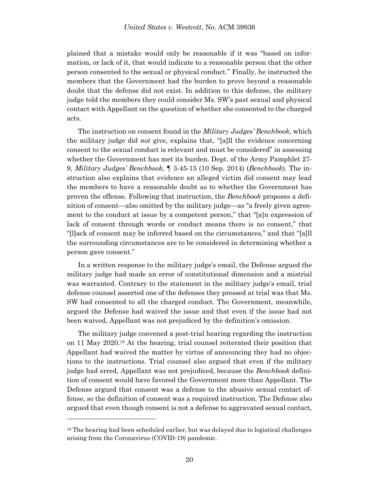plained that a mistake would only be reasonable if it was "based on information, or lack of it, that would indicate to a reasonable person that the other person consented to the sexual or physical conduct." Finally, he instructed the members that the Government had the burden to prove beyond a reasonable doubt that the defense did not exist. In addition to this defense, the military judge told the members they could consider Ms. SW's past sexual and physical contact with Appellant on the question of whether she consented to the charged acts.

The instruction on consent found in the *Military Judges' Benchbook*, which the military judge did *not* give, explains that, "[a]ll the evidence concerning consent to the sexual conduct is relevant and must be considered" in assessing whether the Government has met its burden. Dept. of the Army Pamphlet 27- 9, *Military Judges' Benchbook*, ¶ 3-45-15 (10 Sep. 2014) (*Benchbook*). The instruction also explains that evidence an alleged victim did consent may lead the members to have a reasonable doubt as to whether the Government has proven the offense. Following that instruction, the *Benchbook* proposes a definition of consent—also omitted by the military judge—as "a freely given agreement to the conduct at issue by a competent person," that "[a]n expression of lack of consent through words or conduct means there is no consent," that "[l]ack of consent may be inferred based on the circumstances," and that "[a]ll the surrounding circumstances are to be considered in determining whether a person gave consent."

In a written response to the military judge's email, the Defense argued the military judge had made an error of constitutional dimension and a mistrial was warranted. Contrary to the statement in the military judge's email, trial defense counsel asserted one of the defenses they pressed at trial was that Ms. SW had consented to all the charged conduct. The Government, meanwhile, argued the Defense had waived the issue and that even if the issue had not been waived, Appellant was not prejudiced by the definition's omission.

The military judge convened a post-trial hearing regarding the instruction on 11 May 2020.<sup>18</sup> At the hearing, trial counsel reiterated their position that Appellant had waived the matter by virtue of announcing they had no objections to the instructions. Trial counsel also argued that even if the military judge had erred, Appellant was not prejudiced, because the *Benchbook* definition of consent would have favored the Government more than Appellant. The Defense argued that consent was a defense to the abusive sexual contact offense, so the definition of consent was a required instruction. The Defense also argued that even though consent is not a defense to aggravated sexual contact,

<sup>&</sup>lt;sup>18</sup> The hearing had been scheduled earlier, but was delayed due to logistical challenges arising from the Coronavirus (COVID-19) pandemic.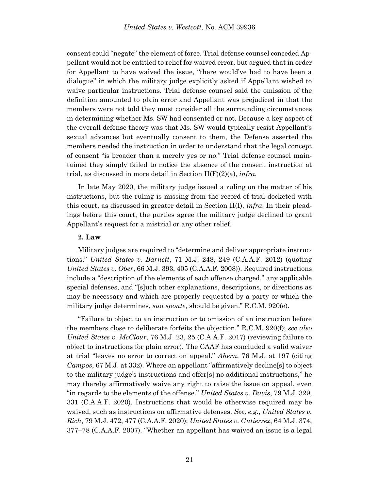consent could "negate" the element of force. Trial defense counsel conceded Appellant would not be entitled to relief for waived error, but argued that in order for Appellant to have waived the issue, "there would've had to have been a dialogue" in which the military judge explicitly asked if Appellant wished to waive particular instructions. Trial defense counsel said the omission of the definition amounted to plain error and Appellant was prejudiced in that the members were not told they must consider all the surrounding circumstances in determining whether Ms. SW had consented or not. Because a key aspect of the overall defense theory was that Ms. SW would typically resist Appellant's sexual advances but eventually consent to them, the Defense asserted the members needed the instruction in order to understand that the legal concept of consent "is broader than a merely yes or no." Trial defense counsel maintained they simply failed to notice the absence of the consent instruction at trial, as discussed in more detail in Section II(F)(2)(a), *infra*.

In late May 2020, the military judge issued a ruling on the matter of his instructions, but the ruling is missing from the record of trial docketed with this court, as discussed in greater detail in Section II(I), *infra*. In their pleadings before this court, the parties agree the military judge declined to grant Appellant's request for a mistrial or any other relief.

# **2. Law**

Military judges are required to "determine and deliver appropriate instructions." *United States v. Barnett*, 71 M.J. 248, 249 (C.A.A.F. 2012) (quoting *United States v. Ober*, 66 M.J. 393, 405 (C.A.A.F. 2008)). Required instructions include a "description of the elements of each offense charged," any applicable special defenses, and "[s]uch other explanations, descriptions, or directions as may be necessary and which are properly requested by a party or which the military judge determines, *sua sponte*, should be given." R.C.M. 920(e).

"Failure to object to an instruction or to omission of an instruction before the members close to deliberate forfeits the objection." R.C.M. 920(f); *see also United States v. McClour*, 76 M.J. 23, 25 (C.A.A.F. 2017) (reviewing failure to object to instructions for plain error). The CAAF has concluded a valid waiver at trial "leaves no error to correct on appeal." *Ahern*, 76 M.J. at 197 (citing *Campos*, 67 M.J. at 332). Where an appellant "affirmatively decline[s] to object to the military judge's instructions and offer[s] no additional instructions," he may thereby affirmatively waive any right to raise the issue on appeal, even "in regards to the elements of the offense." *United States v. Davis*, 79 M.J. 329, 331 (C.A.A.F. 2020). Instructions that would be otherwise required may be waived, such as instructions on affirmative defenses. *See, e.g.*, *United States v. Rich*, 79 M.J. 472, 477 (C.A.A.F. 2020); *United States v. Gutierrez*, 64 M.J. 374, 377–78 (C.A.A.F. 2007). "Whether an appellant has waived an issue is a legal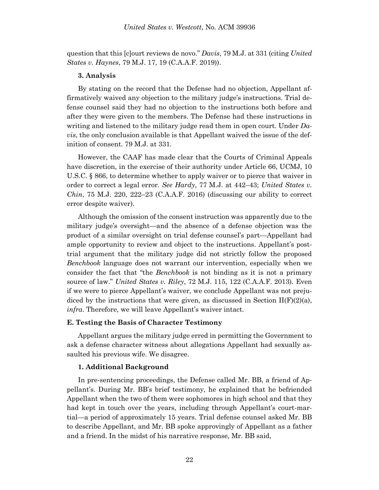question that this [c]ourt reviews de novo." *Davis*, 79 M.J. at 331 (citing *United States v. Haynes*, 79 M.J. 17, 19 (C.A.A.F. 2019)).

# **3. Analysis**

By stating on the record that the Defense had no objection, Appellant affirmatively waived any objection to the military judge's instructions. Trial defense counsel said they had no objection to the instructions both before and after they were given to the members. The Defense had these instructions in writing and listened to the military judge read them in open court. Under *Davis*, the only conclusion available is that Appellant waived the issue of the definition of consent. 79 M.J. at 331.

However, the CAAF has made clear that the Courts of Criminal Appeals have discretion, in the exercise of their authority under Article 66, UCMJ, 10 U.S.C. § 866, to determine whether to apply waiver or to pierce that waiver in order to correct a legal error. *See Hardy*, 77 M.J. at 442–43; *United States v. Chin*, 75 M.J. 220, 222–23 (C.A.A.F. 2016) (discussing our ability to correct error despite waiver).

Although the omission of the consent instruction was apparently due to the military judge's oversight—and the absence of a defense objection was the product of a similar oversight on trial defense counsel's part—Appellant had ample opportunity to review and object to the instructions. Appellant's posttrial argument that the military judge did not strictly follow the proposed *Benchbook* language does not warrant our intervention, especially when we consider the fact that "the *Benchbook* is not binding as it is not a primary source of law." *United States v. Riley*, 72 M.J. 115, 122 (C.A.A.F. 2013). Even if we were to pierce Appellant's waiver, we conclude Appellant was not prejudiced by the instructions that were given, as discussed in Section  $II(F)(2)(a)$ , *infra*. Therefore, we will leave Appellant's waiver intact.

## **E. Testing the Basis of Character Testimony**

Appellant argues the military judge erred in permitting the Government to ask a defense character witness about allegations Appellant had sexually assaulted his previous wife. We disagree.

# **1. Additional Background**

In pre-sentencing proceedings, the Defense called Mr. BB, a friend of Appellant's. During Mr. BB's brief testimony, he explained that he befriended Appellant when the two of them were sophomores in high school and that they had kept in touch over the years, including through Appellant's court-martial—a period of approximately 15 years. Trial defense counsel asked Mr. BB to describe Appellant, and Mr. BB spoke approvingly of Appellant as a father and a friend. In the midst of his narrative response, Mr. BB said,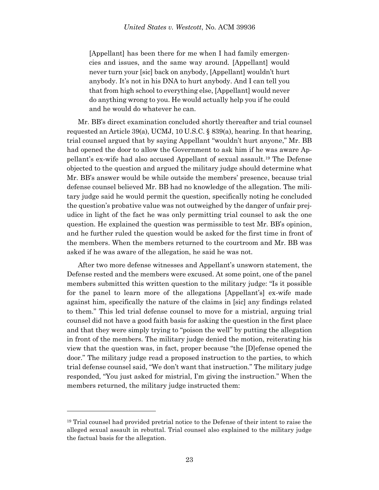[Appellant] has been there for me when I had family emergencies and issues, and the same way around. [Appellant] would never turn your [sic] back on anybody, [Appellant] wouldn't hurt anybody. It's not in his DNA to hurt anybody. And I can tell you that from high school to everything else, [Appellant] would never do anything wrong to you. He would actually help you if he could and he would do whatever he can.

Mr. BB's direct examination concluded shortly thereafter and trial counsel requested an Article 39(a), UCMJ, 10 U.S.C. § 839(a), hearing. In that hearing, trial counsel argued that by saying Appellant "wouldn't hurt anyone," Mr. BB had opened the door to allow the Government to ask him if he was aware Appellant's ex-wife had also accused Appellant of sexual assault.<sup>19</sup> The Defense objected to the question and argued the military judge should determine what Mr. BB's answer would be while outside the members' presence, because trial defense counsel believed Mr. BB had no knowledge of the allegation. The military judge said he would permit the question, specifically noting he concluded the question's probative value was not outweighed by the danger of unfair prejudice in light of the fact he was only permitting trial counsel to ask the one question. He explained the question was permissible to test Mr. BB's opinion, and he further ruled the question would be asked for the first time in front of the members. When the members returned to the courtroom and Mr. BB was asked if he was aware of the allegation, he said he was not.

After two more defense witnesses and Appellant's unsworn statement, the Defense rested and the members were excused. At some point, one of the panel members submitted this written question to the military judge: "Is it possible for the panel to learn more of the allegations [Appellant's] ex-wife made against him, specifically the nature of the claims in [sic] any findings related to them." This led trial defense counsel to move for a mistrial, arguing trial counsel did not have a good faith basis for asking the question in the first place and that they were simply trying to "poison the well" by putting the allegation in front of the members. The military judge denied the motion, reiterating his view that the question was, in fact, proper because "the [D]efense opened the door." The military judge read a proposed instruction to the parties, to which trial defense counsel said, "We don't want that instruction." The military judge responded, "You just asked for mistrial, I'm giving the instruction." When the members returned, the military judge instructed them:

<sup>19</sup> Trial counsel had provided pretrial notice to the Defense of their intent to raise the alleged sexual assault in rebuttal. Trial counsel also explained to the military judge the factual basis for the allegation.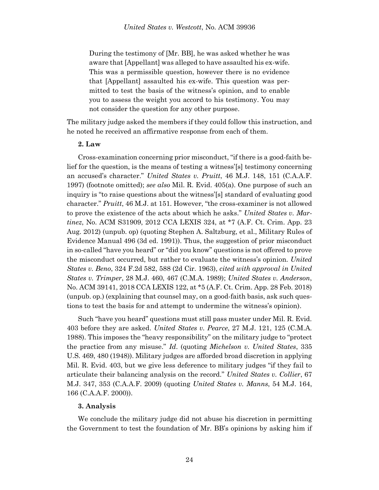During the testimony of [Mr. BB], he was asked whether he was aware that [Appellant] was alleged to have assaulted his ex-wife. This was a permissible question, however there is no evidence that [Appellant] assaulted his ex-wife. This question was permitted to test the basis of the witness's opinion, and to enable you to assess the weight you accord to his testimony. You may not consider the question for any other purpose.

The military judge asked the members if they could follow this instruction, and he noted he received an affirmative response from each of them.

# **2. Law**

Cross-examination concerning prior misconduct, "if there is a good-faith belief for the question, is the means of testing a witness'[s] testimony concerning an accused's character." *United States v. Pruitt*, 46 M.J. 148, 151 (C.A.A.F. 1997) (footnote omitted); *see also* Mil. R. Evid. 405(a). One purpose of such an inquiry is "to raise questions about the witness'[s] standard of evaluating good character." *Pruitt*, 46 M.J. at 151. However, "the cross-examiner is not allowed to prove the existence of the acts about which he asks." *United States v. Martinez*, No. ACM S31909, 2012 CCA LEXIS 324, at \*7 (A.F. Ct. Crim. App. 23 Aug. 2012) (unpub. op) (quoting Stephen A. Saltzburg, et al., Military Rules of Evidence Manual 496 (3d ed. 1991)). Thus, the suggestion of prior misconduct in so-called "have you heard" or "did you know" questions is not offered to prove the misconduct occurred, but rather to evaluate the witness's opinion. *United States v. Beno*, 324 F.2d 582, 588 (2d Cir. 1963), *cited with approval in United States v. Trimper*, 28 M.J. 460, 467 (C.M.A. 1989); *United States v. Anderson*, No. ACM 39141, 2018 CCA LEXIS 122, at \*5 (A.F. Ct. Crim. App. 28 Feb. 2018) (unpub. op.) (explaining that counsel may, on a good-faith basis, ask such questions to test the basis for and attempt to undermine the witness's opinion).

Such "have you heard" questions must still pass muster under Mil. R. Evid. 403 before they are asked. *United States v. Pearce*, 27 M.J. 121, 125 (C.M.A. 1988). This imposes the "heavy responsibility" on the military judge to "protect the practice from any misuse." *Id*. (quoting *Michelson v. United States*, 335 U.S. 469, 480 (1948)). Military judges are afforded broad discretion in applying Mil. R. Evid. 403, but we give less deference to military judges "if they fail to articulate their balancing analysis on the record." *United States v. Collier*, 67 M.J. 347, 353 (C.A.A.F. 2009) (quoting *United States v. Manns*, 54 M.J. 164, 166 (C.A.A.F. 2000)).

## **3. Analysis**

We conclude the military judge did not abuse his discretion in permitting the Government to test the foundation of Mr. BB's opinions by asking him if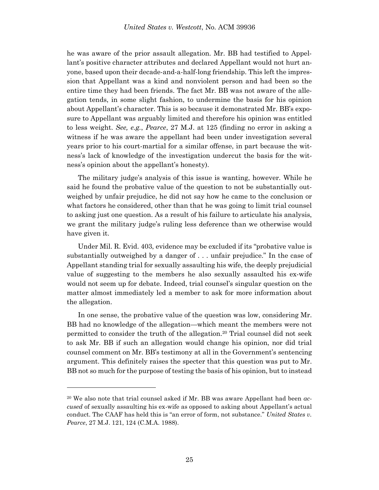he was aware of the prior assault allegation. Mr. BB had testified to Appellant's positive character attributes and declared Appellant would not hurt anyone, based upon their decade-and-a-half-long friendship. This left the impression that Appellant was a kind and nonviolent person and had been so the entire time they had been friends. The fact Mr. BB was not aware of the allegation tends, in some slight fashion, to undermine the basis for his opinion about Appellant's character. This is so because it demonstrated Mr. BB's exposure to Appellant was arguably limited and therefore his opinion was entitled to less weight. *See, e.g.*, *Pearce*, 27 M.J. at 125 (finding no error in asking a witness if he was aware the appellant had been under investigation several years prior to his court-martial for a similar offense, in part because the witness's lack of knowledge of the investigation undercut the basis for the witness's opinion about the appellant's honesty).

The military judge's analysis of this issue is wanting, however. While he said he found the probative value of the question to not be substantially outweighed by unfair prejudice, he did not say how he came to the conclusion or what factors he considered, other than that he was going to limit trial counsel to asking just one question. As a result of his failure to articulate his analysis, we grant the military judge's ruling less deference than we otherwise would have given it.

Under Mil. R. Evid. 403, evidence may be excluded if its "probative value is substantially outweighed by a danger of . . . unfair prejudice." In the case of Appellant standing trial for sexually assaulting his wife, the deeply prejudicial value of suggesting to the members he also sexually assaulted his ex-wife would not seem up for debate. Indeed, trial counsel's singular question on the matter almost immediately led a member to ask for more information about the allegation.

In one sense, the probative value of the question was low, considering Mr. BB had no knowledge of the allegation—which meant the members were not permitted to consider the truth of the allegation.<sup>20</sup> Trial counsel did not seek to ask Mr. BB if such an allegation would change his opinion, nor did trial counsel comment on Mr. BB's testimony at all in the Government's sentencing argument. This definitely raises the specter that this question was put to Mr. BB not so much for the purpose of testing the basis of his opinion, but to instead

<sup>20</sup> We also note that trial counsel asked if Mr. BB was aware Appellant had been *accused* of sexually assaulting his ex-wife as opposed to asking about Appellant's actual conduct. The CAAF has held this is "an error of form, not substance." *United States v. Pearce*, 27 M.J. 121, 124 (C.M.A. 1988).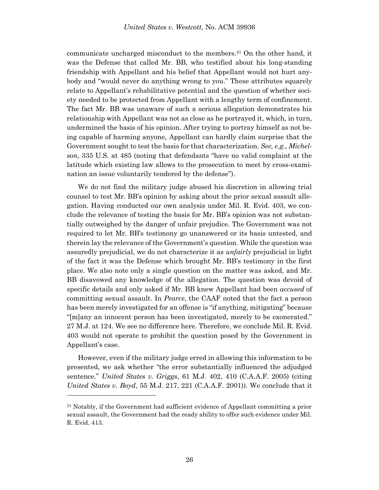communicate uncharged misconduct to the members.<sup>21</sup> On the other hand, it was the Defense that called Mr. BB, who testified about his long-standing friendship with Appellant and his belief that Appellant would not hurt anybody and "would never do anything wrong to you." These attributes squarely relate to Appellant's rehabilitative potential and the question of whether society needed to be protected from Appellant with a lengthy term of confinement. The fact Mr. BB was unaware of such a serious allegation demonstrates his relationship with Appellant was not as close as he portrayed it, which, in turn, undermined the basis of his opinion. After trying to portray himself as not being capable of harming anyone, Appellant can hardly claim surprise that the Government sought to test the basis for that characterization. *See, e.g.*, *Michelson*, 335 U.S. at 485 (noting that defendants "have no valid complaint at the latitude which existing law allows to the prosecution to meet by cross-examination an issue voluntarily tendered by the defense").

We do not find the military judge abused his discretion in allowing trial counsel to test Mr. BB's opinion by asking about the prior sexual assault allegation. Having conducted our own analysis under Mil. R. Evid. 403, we conclude the relevance of testing the basis for Mr. BB's opinion was not substantially outweighed by the danger of unfair prejudice. The Government was not required to let Mr. BB's testimony go unanswered or its basis untested, and therein lay the relevance of the Government's question. While the question was assuredly prejudicial, we do not characterize it as *unfairly* prejudicial in light of the fact it was the Defense which brought Mr. BB's testimony in the first place. We also note only a single question on the matter was asked, and Mr. BB disavowed any knowledge of the allegation. The question was devoid of specific details and only asked if Mr. BB knew Appellant had been *accused* of committing sexual assault. In *Pearce*, the CAAF noted that the fact a person has been merely investigated for an offense is "if anything, mitigating" because "[m]any an innocent person has been investigated, merely to be exonerated." 27 M.J. at 124. We see no difference here. Therefore, we conclude Mil. R. Evid. 403 would not operate to prohibit the question posed by the Government in Appellant's case.

However, even if the military judge erred in allowing this information to be presented, we ask whether "the error substantially influenced the adjudged sentence." *United States v. Griggs*, 61 M.J. 402, 410 (C.A.A.F. 2005) (citing *United States v. Boyd*, 55 M.J. 217, 221 (C.A.A.F. 2001)). We conclude that it

<sup>21</sup> Notably, if the Government had sufficient evidence of Appellant committing a prior sexual assault, the Government had the ready ability to offer such evidence under Mil. R. Evid. 413.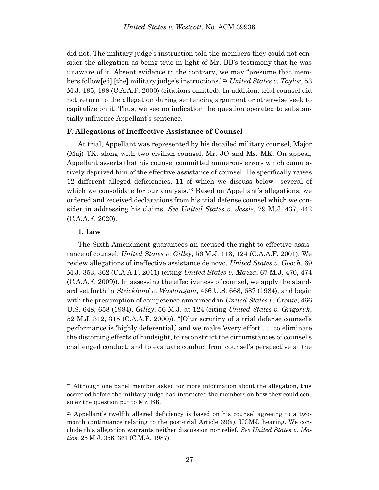did not. The military judge's instruction told the members they could not consider the allegation as being true in light of Mr. BB's testimony that he was unaware of it. Absent evidence to the contrary, we may "presume that members follow[ed] [the] military judge's instructions."<sup>22</sup> *United States v. Taylor*, 53 M.J. 195, 198 (C.A.A.F. 2000) (citations omitted). In addition, trial counsel did not return to the allegation during sentencing argument or otherwise seek to capitalize on it. Thus, we see no indication the question operated to substantially influence Appellant's sentence.

# **F. Allegations of Ineffective Assistance of Counsel**

At trial, Appellant was represented by his detailed military counsel, Major (Maj) TK, along with two civilian counsel, Mr. JO and Ms. MK. On appeal, Appellant asserts that his counsel committed numerous errors which cumulatively deprived him of the effective assistance of counsel. He specifically raises 12 different alleged deficiencies, 11 of which we discuss below—several of which we consolidate for our analysis.<sup>23</sup> Based on Appellant's allegations, we ordered and received declarations from his trial defense counsel which we consider in addressing his claims. *See United States v. Jessie*, 79 M.J. 437, 442 (C.A.A.F. 2020).

# **1. Law**

l

The Sixth Amendment guarantees an accused the right to effective assistance of counsel. *United States v. Gilley*, 56 M.J. 113, 124 (C.A.A.F. 2001). We review allegations of ineffective assistance de novo. *United States v. Gooch*, 69 M.J. 353, 362 (C.A.A.F. 2011) (citing *United States v. Mazza*, 67 M.J. 470, 474 (C.A.A.F. 2009)). In assessing the effectiveness of counsel, we apply the standard set forth in *Strickland v. Washington*, 466 U.S. 668, 687 (1984), and begin with the presumption of competence announced in *United States v. Cronic*, 466 U.S. 648, 658 (1984). *Gilley*, 56 M.J. at 124 (citing *United States v. Grigoruk*, 52 M.J. 312, 315 (C.A.A.F. 2000)). "[O]ur scrutiny of a trial defense counsel's performance is 'highly deferential,' and we make 'every effort . . . to eliminate the distorting effects of hindsight, to reconstruct the circumstances of counsel's challenged conduct, and to evaluate conduct from counsel's perspective at the

 $22$  Although one panel member asked for more information about the allegation, this occurred before the military judge had instructed the members on how they could consider the question put to Mr. BB.

<sup>23</sup> Appellant's twelfth alleged deficiency is based on his counsel agreeing to a twomonth continuance relating to the post-trial Article 39(a), UCMJ, hearing. We conclude this allegation warrants neither discussion nor relief. *See United States v. Matias*, 25 M.J. 356, 361 (C.M.A. 1987).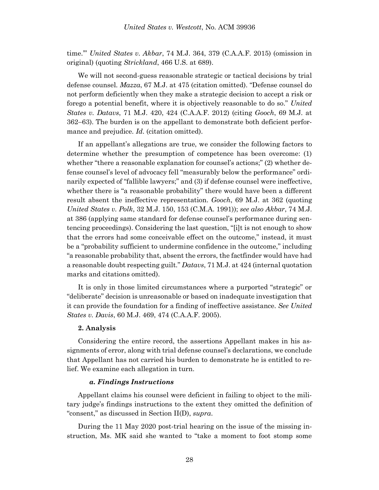time.'" *United States v. Akbar*, 74 M.J. 364, 379 (C.A.A.F. 2015) (omission in original) (quoting *Strickland*, 466 U.S. at 689).

We will not second-guess reasonable strategic or tactical decisions by trial defense counsel. *Mazza*, 67 M.J. at 475 (citation omitted). "Defense counsel do not perform deficiently when they make a strategic decision to accept a risk or forego a potential benefit, where it is objectively reasonable to do so." *United States v. Datavs*, 71 M.J. 420, 424 (C.A.A.F. 2012) (citing *Gooch*, 69 M.J. at 362–63). The burden is on the appellant to demonstrate both deficient performance and prejudice. *Id*. (citation omitted).

If an appellant's allegations are true, we consider the following factors to determine whether the presumption of competence has been overcome: (1) whether "there a reasonable explanation for counsel's actions;" (2) whether defense counsel's level of advocacy fell "measurably below the performance" ordinarily expected of "fallible lawyers;" and (3) if defense counsel were ineffective, whether there is "a reasonable probability" there would have been a different result absent the ineffective representation. *Gooch*, 69 M.J. at 362 (quoting *United States v. Polk*, 32 M.J. 150, 153 (C.M.A. 1991)); *see also Akbar*, 74 M.J. at 386 (applying same standard for defense counsel's performance during sentencing proceedings). Considering the last question, "[i]t is not enough to show that the errors had some conceivable effect on the outcome," instead, it must be a "probability sufficient to undermine confidence in the outcome," including "a reasonable probability that, absent the errors, the factfinder would have had a reasonable doubt respecting guilt." *Datavs*, 71 M.J. at 424 (internal quotation marks and citations omitted).

It is only in those limited circumstances where a purported "strategic" or "deliberate" decision is unreasonable or based on inadequate investigation that it can provide the foundation for a finding of ineffective assistance. *See United States v. Davis*, 60 M.J. 469, 474 (C.A.A.F. 2005).

## **2. Analysis**

Considering the entire record, the assertions Appellant makes in his assignments of error, along with trial defense counsel's declarations, we conclude that Appellant has not carried his burden to demonstrate he is entitled to relief. We examine each allegation in turn.

## *a. Findings Instructions*

Appellant claims his counsel were deficient in failing to object to the military judge's findings instructions to the extent they omitted the definition of "consent," as discussed in Section II(D), *supra*.

During the 11 May 2020 post-trial hearing on the issue of the missing instruction, Ms. MK said she wanted to "take a moment to foot stomp some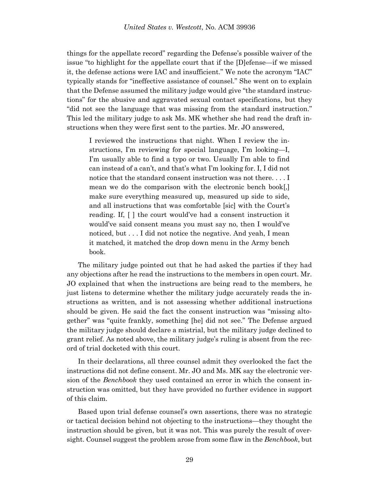things for the appellate record" regarding the Defense's possible waiver of the issue "to highlight for the appellate court that if the [D]efense—if we missed it, the defense actions were IAC and insufficient." We note the acronym "IAC" typically stands for "ineffective assistance of counsel." She went on to explain that the Defense assumed the military judge would give "the standard instructions" for the abusive and aggravated sexual contact specifications, but they "did not see the language that was missing from the standard instruction." This led the military judge to ask Ms. MK whether she had read the draft instructions when they were first sent to the parties. Mr. JO answered,

I reviewed the instructions that night. When I review the instructions, I'm reviewing for special language, I'm looking—I, I'm usually able to find a typo or two. Usually I'm able to find can instead of a can't, and that's what I'm looking for. I, I did not notice that the standard consent instruction was not there. . . . I mean we do the comparison with the electronic bench book[,] make sure everything measured up, measured up side to side, and all instructions that was comfortable [sic] with the Court's reading. If, [ ] the court would've had a consent instruction it would've said consent means you must say no, then I would've noticed, but . . . I did not notice the negative. And yeah, I mean it matched, it matched the drop down menu in the Army bench book.

The military judge pointed out that he had asked the parties if they had any objections after he read the instructions to the members in open court. Mr. JO explained that when the instructions are being read to the members, he just listens to determine whether the military judge accurately reads the instructions as written, and is not assessing whether additional instructions should be given. He said the fact the consent instruction was "missing altogether" was "quite frankly, something [he] did not see." The Defense argued the military judge should declare a mistrial, but the military judge declined to grant relief. As noted above, the military judge's ruling is absent from the record of trial docketed with this court.

In their declarations, all three counsel admit they overlooked the fact the instructions did not define consent. Mr. JO and Ms. MK say the electronic version of the *Benchbook* they used contained an error in which the consent instruction was omitted, but they have provided no further evidence in support of this claim.

Based upon trial defense counsel's own assertions, there was no strategic or tactical decision behind not objecting to the instructions—they thought the instruction should be given, but it was not. This was purely the result of oversight. Counsel suggest the problem arose from some flaw in the *Benchbook*, but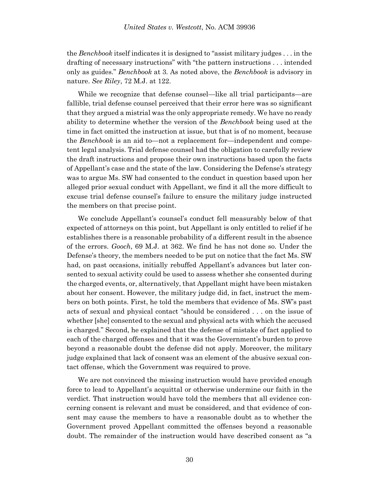the *Benchbook* itself indicates it is designed to "assist military judges . . . in the drafting of necessary instructions" with "the pattern instructions . . . intended only as guides." *Benchbook* at 3. As noted above, the *Benchbook* is advisory in nature. *See Riley*, 72 M.J. at 122.

While we recognize that defense counsel—like all trial participants—are fallible, trial defense counsel perceived that their error here was so significant that they argued a mistrial was the only appropriate remedy. We have no ready ability to determine whether the version of the *Benchbook* being used at the time in fact omitted the instruction at issue, but that is of no moment, because the *Benchbook* is an aid to—not a replacement for—independent and competent legal analysis. Trial defense counsel had the obligation to carefully review the draft instructions and propose their own instructions based upon the facts of Appellant's case and the state of the law. Considering the Defense's strategy was to argue Ms. SW had consented to the conduct in question based upon her alleged prior sexual conduct with Appellant, we find it all the more difficult to excuse trial defense counsel's failure to ensure the military judge instructed the members on that precise point.

We conclude Appellant's counsel's conduct fell measurably below of that expected of attorneys on this point, but Appellant is only entitled to relief if he establishes there is a reasonable probability of a different result in the absence of the errors. *Gooch*, 69 M.J. at 362. We find he has not done so. Under the Defense's theory, the members needed to be put on notice that the fact Ms. SW had, on past occasions, initially rebuffed Appellant's advances but later consented to sexual activity could be used to assess whether she consented during the charged events, or, alternatively, that Appellant might have been mistaken about her consent. However, the military judge did, in fact, instruct the members on both points. First, he told the members that evidence of Ms. SW's past acts of sexual and physical contact "should be considered . . . on the issue of whether [she] consented to the sexual and physical acts with which the accused is charged." Second, he explained that the defense of mistake of fact applied to each of the charged offenses and that it was the Government's burden to prove beyond a reasonable doubt the defense did not apply. Moreover, the military judge explained that lack of consent was an element of the abusive sexual contact offense, which the Government was required to prove.

We are not convinced the missing instruction would have provided enough force to lead to Appellant's acquittal or otherwise undermine our faith in the verdict. That instruction would have told the members that all evidence concerning consent is relevant and must be considered, and that evidence of consent may cause the members to have a reasonable doubt as to whether the Government proved Appellant committed the offenses beyond a reasonable doubt. The remainder of the instruction would have described consent as "a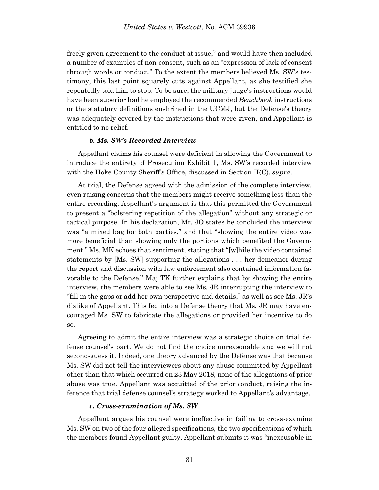freely given agreement to the conduct at issue," and would have then included a number of examples of non-consent, such as an "expression of lack of consent through words or conduct." To the extent the members believed Ms. SW's testimony, this last point squarely cuts against Appellant, as she testified she repeatedly told him to stop. To be sure, the military judge's instructions would have been superior had he employed the recommended *Benchbook* instructions or the statutory definitions enshrined in the UCMJ, but the Defense's theory was adequately covered by the instructions that were given, and Appellant is entitled to no relief.

## *b. Ms. SW's Recorded Interview*

Appellant claims his counsel were deficient in allowing the Government to introduce the entirety of Prosecution Exhibit 1, Ms. SW's recorded interview with the Hoke County Sheriff's Office, discussed in Section II(C), *supra*.

At trial, the Defense agreed with the admission of the complete interview, even raising concerns that the members might receive something less than the entire recording. Appellant's argument is that this permitted the Government to present a "bolstering repetition of the allegation" without any strategic or tactical purpose. In his declaration, Mr. JO states he concluded the interview was "a mixed bag for both parties," and that "showing the entire video was more beneficial than showing only the portions which benefited the Government." Ms. MK echoes that sentiment, stating that "[w]hile the video contained statements by [Ms. SW] supporting the allegations . . . her demeanor during the report and discussion with law enforcement also contained information favorable to the Defense." Maj TK further explains that by showing the entire interview, the members were able to see Ms. JR interrupting the interview to "fill in the gaps or add her own perspective and details," as well as see Ms. JR's dislike of Appellant. This fed into a Defense theory that Ms. JR may have encouraged Ms. SW to fabricate the allegations or provided her incentive to do so.

Agreeing to admit the entire interview was a strategic choice on trial defense counsel's part. We do not find the choice unreasonable and we will not second-guess it. Indeed, one theory advanced by the Defense was that because Ms. SW did not tell the interviewers about any abuse committed by Appellant other than that which occurred on 23 May 2018, none of the allegations of prior abuse was true. Appellant was acquitted of the prior conduct, raising the inference that trial defense counsel's strategy worked to Appellant's advantage.

#### *c. Cross-examination of Ms. SW*

Appellant argues his counsel were ineffective in failing to cross-examine Ms. SW on two of the four alleged specifications, the two specifications of which the members found Appellant guilty. Appellant submits it was "inexcusable in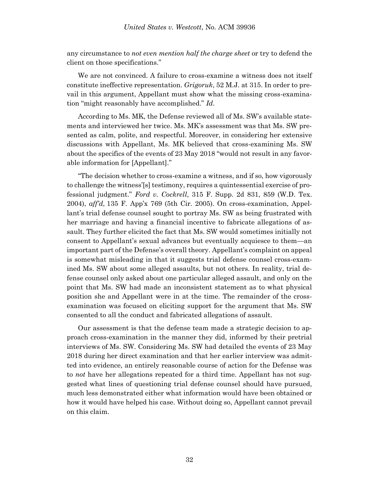any circumstance to *not even mention half the charge sheet* or try to defend the client on those specifications."

We are not convinced. A failure to cross-examine a witness does not itself constitute ineffective representation. *Grigoruk*, 52 M.J. at 315. In order to prevail in this argument, Appellant must show what the missing cross-examination "might reasonably have accomplished." *Id*.

According to Ms. MK, the Defense reviewed all of Ms. SW's available statements and interviewed her twice. Ms. MK's assessment was that Ms. SW presented as calm, polite, and respectful. Moreover, in considering her extensive discussions with Appellant, Ms. MK believed that cross-examining Ms. SW about the specifics of the events of 23 May 2018 "would not result in any favorable information for [Appellant]."

"The decision whether to cross-examine a witness, and if so, how vigorously to challenge the witness'[s] testimony, requires a quintessential exercise of professional judgment." *Ford v. Cockrell*, 315 F. Supp. 2d 831, 859 (W.D. Tex. 2004), *aff'd*, 135 F. App'x 769 (5th Cir. 2005). On cross-examination, Appellant's trial defense counsel sought to portray Ms. SW as being frustrated with her marriage and having a financial incentive to fabricate allegations of assault. They further elicited the fact that Ms. SW would sometimes initially not consent to Appellant's sexual advances but eventually acquiesce to them—an important part of the Defense's overall theory. Appellant's complaint on appeal is somewhat misleading in that it suggests trial defense counsel cross-examined Ms. SW about some alleged assaults, but not others. In reality, trial defense counsel only asked about one particular alleged assault, and only on the point that Ms. SW had made an inconsistent statement as to what physical position she and Appellant were in at the time. The remainder of the crossexamination was focused on eliciting support for the argument that Ms. SW consented to all the conduct and fabricated allegations of assault.

Our assessment is that the defense team made a strategic decision to approach cross-examination in the manner they did, informed by their pretrial interviews of Ms. SW. Considering Ms. SW had detailed the events of 23 May 2018 during her direct examination and that her earlier interview was admitted into evidence, an entirely reasonable course of action for the Defense was to *not* have her allegations repeated for a third time. Appellant has not suggested what lines of questioning trial defense counsel should have pursued, much less demonstrated either what information would have been obtained or how it would have helped his case. Without doing so, Appellant cannot prevail on this claim.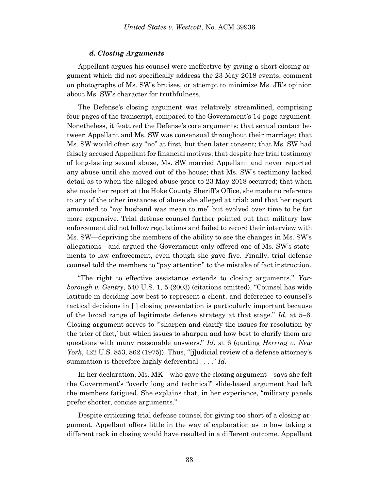#### *d. Closing Arguments*

Appellant argues his counsel were ineffective by giving a short closing argument which did not specifically address the 23 May 2018 events, comment on photographs of Ms. SW's bruises, or attempt to minimize Ms. JR's opinion about Ms. SW's character for truthfulness.

The Defense's closing argument was relatively streamlined, comprising four pages of the transcript, compared to the Government's 14-page argument. Nonetheless, it featured the Defense's core arguments: that sexual contact between Appellant and Ms. SW was consensual throughout their marriage; that Ms. SW would often say "no" at first, but then later consent; that Ms. SW had falsely accused Appellant for financial motives; that despite her trial testimony of long-lasting sexual abuse, Ms. SW married Appellant and never reported any abuse until she moved out of the house; that Ms. SW's testimony lacked detail as to when the alleged abuse prior to 23 May 2018 occurred; that when she made her report at the Hoke County Sheriff's Office, she made no reference to any of the other instances of abuse she alleged at trial; and that her report amounted to "my husband was mean to me" but evolved over time to be far more expansive. Trial defense counsel further pointed out that military law enforcement did not follow regulations and failed to record their interview with Ms. SW—depriving the members of the ability to see the changes in Ms. SW's allegations—and argued the Government only offered one of Ms. SW's statements to law enforcement, even though she gave five. Finally, trial defense counsel told the members to "pay attention" to the mistake of fact instruction.

"The right to effective assistance extends to closing arguments." *Yarborough v. Gentry*, 540 U.S. 1, 5 (2003) (citations omitted). "Counsel has wide latitude in deciding how best to represent a client, and deference to counsel's tactical decisions in [ ] closing presentation is particularly important because of the broad range of legitimate defense strategy at that stage." *Id*. at 5–6. Closing argument serves to "'sharpen and clarify the issues for resolution by the trier of fact,' but which issues to sharpen and how best to clarify them are questions with many reasonable answers." *Id*. at 6 (quoting *Herring v. New York*, 422 U.S. 853, 862 (1975)). Thus, "[j]udicial review of a defense attorney's summation is therefore highly deferential . . . ." *Id*.

In her declaration, Ms. MK—who gave the closing argument—says she felt the Government's "overly long and technical" slide-based argument had left the members fatigued. She explains that, in her experience, "military panels prefer shorter, concise arguments."

Despite criticizing trial defense counsel for giving too short of a closing argument, Appellant offers little in the way of explanation as to how taking a different tack in closing would have resulted in a different outcome. Appellant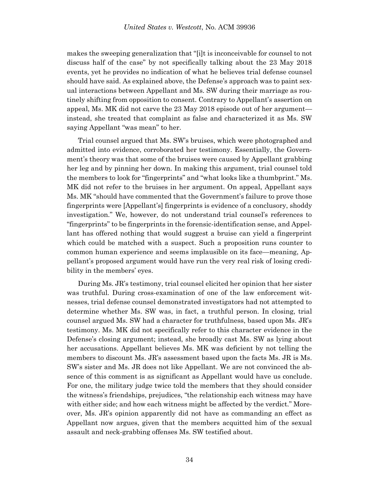makes the sweeping generalization that "[i]t is inconceivable for counsel to not discuss half of the case" by not specifically talking about the 23 May 2018 events, yet he provides no indication of what he believes trial defense counsel should have said. As explained above, the Defense's approach was to paint sexual interactions between Appellant and Ms. SW during their marriage as routinely shifting from opposition to consent. Contrary to Appellant's assertion on appeal, Ms. MK did not carve the 23 May 2018 episode out of her argument instead, she treated that complaint as false and characterized it as Ms. SW saying Appellant "was mean" to her.

Trial counsel argued that Ms. SW's bruises, which were photographed and admitted into evidence, corroborated her testimony. Essentially, the Government's theory was that some of the bruises were caused by Appellant grabbing her leg and by pinning her down. In making this argument, trial counsel told the members to look for "fingerprints" and "what looks like a thumbprint." Ms. MK did not refer to the bruises in her argument. On appeal, Appellant says Ms. MK "should have commented that the Government's failure to prove those fingerprints were [Appellant's] fingerprints is evidence of a conclusory, shoddy investigation." We, however, do not understand trial counsel's references to "fingerprints" to be fingerprints in the forensic-identification sense, and Appellant has offered nothing that would suggest a bruise can yield a fingerprint which could be matched with a suspect. Such a proposition runs counter to common human experience and seems implausible on its face—meaning, Appellant's proposed argument would have run the very real risk of losing credibility in the members' eyes.

During Ms. JR's testimony, trial counsel elicited her opinion that her sister was truthful. During cross-examination of one of the law enforcement witnesses, trial defense counsel demonstrated investigators had not attempted to determine whether Ms. SW was, in fact, a truthful person. In closing, trial counsel argued Ms. SW had a character for truthfulness, based upon Ms. JR's testimony. Ms. MK did not specifically refer to this character evidence in the Defense's closing argument; instead, she broadly cast Ms. SW as lying about her accusations. Appellant believes Ms. MK was deficient by not telling the members to discount Ms. JR's assessment based upon the facts Ms. JR is Ms. SW's sister and Ms. JR does not like Appellant. We are not convinced the absence of this comment is as significant as Appellant would have us conclude. For one, the military judge twice told the members that they should consider the witness's friendships, prejudices, "the relationship each witness may have with either side; and how each witness might be affected by the verdict." Moreover, Ms. JR's opinion apparently did not have as commanding an effect as Appellant now argues, given that the members acquitted him of the sexual assault and neck-grabbing offenses Ms. SW testified about.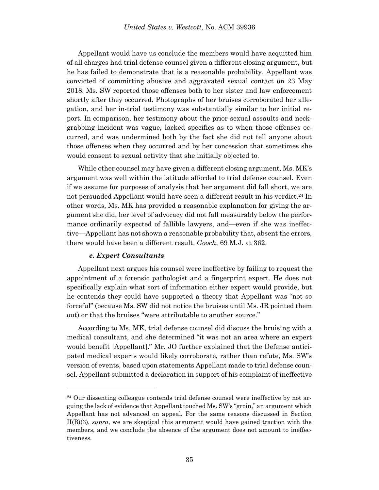Appellant would have us conclude the members would have acquitted him of all charges had trial defense counsel given a different closing argument, but he has failed to demonstrate that is a reasonable probability. Appellant was convicted of committing abusive and aggravated sexual contact on 23 May 2018. Ms. SW reported those offenses both to her sister and law enforcement shortly after they occurred. Photographs of her bruises corroborated her allegation, and her in-trial testimony was substantially similar to her initial report. In comparison, her testimony about the prior sexual assaults and neckgrabbing incident was vague, lacked specifics as to when those offenses occurred, and was undermined both by the fact she did not tell anyone about those offenses when they occurred and by her concession that sometimes she would consent to sexual activity that she initially objected to.

While other counsel may have given a different closing argument, Ms. MK's argument was well within the latitude afforded to trial defense counsel. Even if we assume for purposes of analysis that her argument did fall short, we are not persuaded Appellant would have seen a different result in his verdict.<sup>24</sup> In other words, Ms. MK has provided a reasonable explanation for giving the argument she did, her level of advocacy did not fall measurably below the performance ordinarily expected of fallible lawyers, and—even if she was ineffective—Appellant has not shown a reasonable probability that, absent the errors, there would have been a different result. *Gooch*, 69 M.J. at 362.

## *e. Expert Consultants*

l

Appellant next argues his counsel were ineffective by failing to request the appointment of a forensic pathologist and a fingerprint expert. He does not specifically explain what sort of information either expert would provide, but he contends they could have supported a theory that Appellant was "not so forceful" (because Ms. SW did not notice the bruises until Ms. JR pointed them out) or that the bruises "were attributable to another source."

According to Ms. MK, trial defense counsel did discuss the bruising with a medical consultant, and she determined "it was not an area where an expert would benefit [Appellant]." Mr. JO further explained that the Defense anticipated medical experts would likely corroborate, rather than refute, Ms. SW's version of events, based upon statements Appellant made to trial defense counsel. Appellant submitted a declaration in support of his complaint of ineffective

<sup>24</sup> Our dissenting colleague contends trial defense counsel were ineffective by not arguing the lack of evidence that Appellant touched Ms. SW's "groin," an argument which Appellant has not advanced on appeal. For the same reasons discussed in Section II(B)(3), *supra*, we are skeptical this argument would have gained traction with the members, and we conclude the absence of the argument does not amount to ineffectiveness.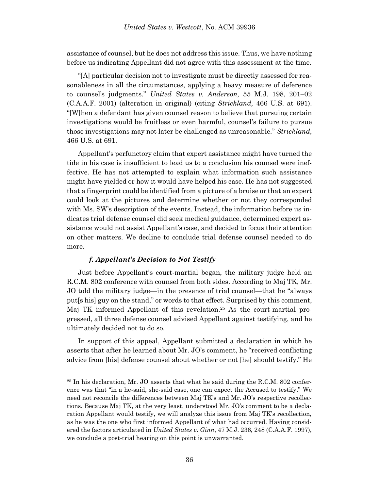assistance of counsel, but he does not address this issue. Thus, we have nothing before us indicating Appellant did not agree with this assessment at the time.

"[A] particular decision not to investigate must be directly assessed for reasonableness in all the circumstances, applying a heavy measure of deference to counsel's judgments." *United States v. Anderson*, 55 M.J. 198, 201–02 (C.A.A.F. 2001) (alteration in original) (citing *Strickland,* 466 U.S. at 691). "[W]hen a defendant has given counsel reason to believe that pursuing certain investigations would be fruitless or even harmful, counsel's failure to pursue those investigations may not later be challenged as unreasonable." *Strickland*, 466 U.S. at 691.

Appellant's perfunctory claim that expert assistance might have turned the tide in his case is insufficient to lead us to a conclusion his counsel were ineffective. He has not attempted to explain what information such assistance might have yielded or how it would have helped his case. He has not suggested that a fingerprint could be identified from a picture of a bruise or that an expert could look at the pictures and determine whether or not they corresponded with Ms. SW's description of the events. Instead, the information before us indicates trial defense counsel did seek medical guidance, determined expert assistance would not assist Appellant's case, and decided to focus their attention on other matters. We decline to conclude trial defense counsel needed to do more.

# *f. Appellant's Decision to Not Testify*

l

Just before Appellant's court-martial began, the military judge held an R.C.M. 802 conference with counsel from both sides. According to Maj TK, Mr. JO told the military judge—in the presence of trial counsel—that he "always put[s his] guy on the stand," or words to that effect. Surprised by this comment, Maj TK informed Appellant of this revelation.<sup>25</sup> As the court-martial progressed, all three defense counsel advised Appellant against testifying, and he ultimately decided not to do so.

In support of this appeal, Appellant submitted a declaration in which he asserts that after he learned about Mr. JO's comment, he "received conflicting advice from [his] defense counsel about whether or not [he] should testify." He

<sup>25</sup> In his declaration, Mr. JO asserts that what he said during the R.C.M. 802 conference was that "in a he-said, she-said case, one can expect the Accused to testify." We need not reconcile the differences between Maj TK's and Mr. JO's respective recollections. Because Maj TK, at the very least, understood Mr. JO's comment to be a declaration Appellant would testify, we will analyze this issue from Maj TK's recollection, as he was the one who first informed Appellant of what had occurred. Having considered the factors articulated in *United States v. Ginn*, 47 M.J. 236, 248 (C.A.A.F. 1997), we conclude a post-trial hearing on this point is unwarranted.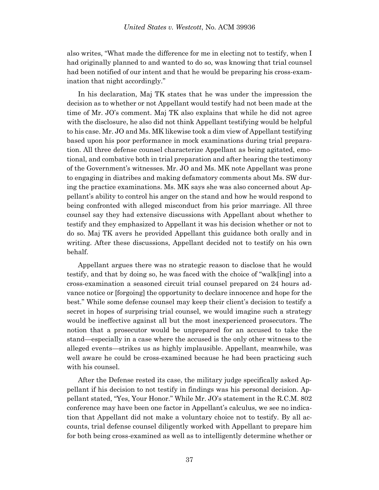also writes, "What made the difference for me in electing not to testify, when I had originally planned to and wanted to do so, was knowing that trial counsel had been notified of our intent and that he would be preparing his cross-examination that night accordingly."

In his declaration, Maj TK states that he was under the impression the decision as to whether or not Appellant would testify had not been made at the time of Mr. JO's comment. Maj TK also explains that while he did not agree with the disclosure, he also did not think Appellant testifying would be helpful to his case. Mr. JO and Ms. MK likewise took a dim view of Appellant testifying based upon his poor performance in mock examinations during trial preparation. All three defense counsel characterize Appellant as being agitated, emotional, and combative both in trial preparation and after hearing the testimony of the Government's witnesses. Mr. JO and Ms. MK note Appellant was prone to engaging in diatribes and making defamatory comments about Ms. SW during the practice examinations. Ms. MK says she was also concerned about Appellant's ability to control his anger on the stand and how he would respond to being confronted with alleged misconduct from his prior marriage. All three counsel say they had extensive discussions with Appellant about whether to testify and they emphasized to Appellant it was his decision whether or not to do so. Maj TK avers he provided Appellant this guidance both orally and in writing. After these discussions, Appellant decided not to testify on his own behalf.

Appellant argues there was no strategic reason to disclose that he would testify, and that by doing so, he was faced with the choice of "walk[ing] into a cross-examination a seasoned circuit trial counsel prepared on 24 hours advance notice or [forgoing] the opportunity to declare innocence and hope for the best." While some defense counsel may keep their client's decision to testify a secret in hopes of surprising trial counsel, we would imagine such a strategy would be ineffective against all but the most inexperienced prosecutors. The notion that a prosecutor would be unprepared for an accused to take the stand—especially in a case where the accused is the only other witness to the alleged events—strikes us as highly implausible. Appellant, meanwhile, was well aware he could be cross-examined because he had been practicing such with his counsel.

After the Defense rested its case, the military judge specifically asked Appellant if his decision to not testify in findings was his personal decision. Appellant stated, "Yes, Your Honor." While Mr. JO's statement in the R.C.M. 802 conference may have been one factor in Appellant's calculus, we see no indication that Appellant did not make a voluntary choice not to testify. By all accounts, trial defense counsel diligently worked with Appellant to prepare him for both being cross-examined as well as to intelligently determine whether or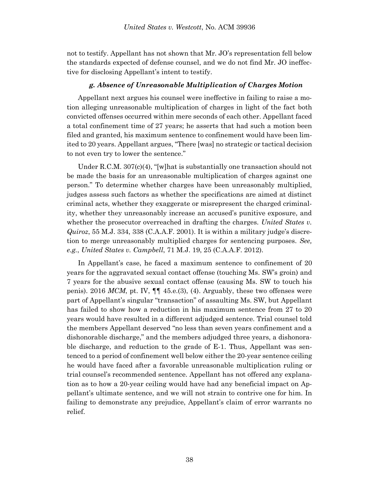not to testify. Appellant has not shown that Mr. JO's representation fell below the standards expected of defense counsel, and we do not find Mr. JO ineffective for disclosing Appellant's intent to testify.

### *g. Absence of Unreasonable Multiplication of Charges Motion*

Appellant next argues his counsel were ineffective in failing to raise a motion alleging unreasonable multiplication of charges in light of the fact both convicted offenses occurred within mere seconds of each other. Appellant faced a total confinement time of 27 years; he asserts that had such a motion been filed and granted, his maximum sentence to confinement would have been limited to 20 years. Appellant argues, "There [was] no strategic or tactical decision to not even try to lower the sentence."

Under R.C.M.  $307(c)(4)$ , "[w]hat is substantially one transaction should not be made the basis for an unreasonable multiplication of charges against one person." To determine whether charges have been unreasonably multiplied, judges assess such factors as whether the specifications are aimed at distinct criminal acts, whether they exaggerate or misrepresent the charged criminality, whether they unreasonably increase an accused's punitive exposure, and whether the prosecutor overreached in drafting the charges. *United States v. Quiroz*, 55 M.J. 334, 338 (C.A.A.F. 2001). It is within a military judge's discretion to merge unreasonably multiplied charges for sentencing purposes. *See, e.g.*, *United States v. Campbell*, 71 M.J. 19, 25 (C.A.A.F. 2012).

In Appellant's case, he faced a maximum sentence to confinement of 20 years for the aggravated sexual contact offense (touching Ms. SW's groin) and 7 years for the abusive sexual contact offense (causing Ms. SW to touch his penis). 2016 *MCM*, pt. IV,  $\P\P$  45.e.(3), (4). Arguably, these two offenses were part of Appellant's singular "transaction" of assaulting Ms. SW, but Appellant has failed to show how a reduction in his maximum sentence from 27 to 20 years would have resulted in a different adjudged sentence. Trial counsel told the members Appellant deserved "no less than seven years confinement and a dishonorable discharge," and the members adjudged three years, a dishonorable discharge, and reduction to the grade of E-1. Thus, Appellant was sentenced to a period of confinement well below either the 20-year sentence ceiling he would have faced after a favorable unreasonable multiplication ruling or trial counsel's recommended sentence. Appellant has not offered any explanation as to how a 20-year ceiling would have had any beneficial impact on Appellant's ultimate sentence, and we will not strain to contrive one for him. In failing to demonstrate any prejudice, Appellant's claim of error warrants no relief.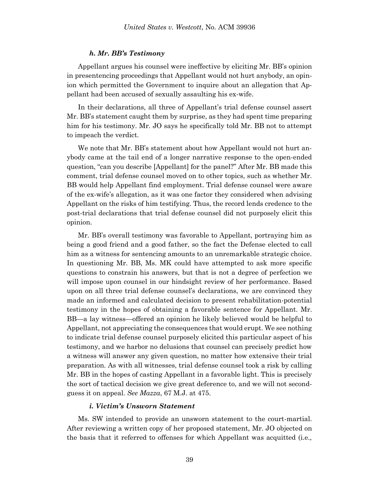#### *h. Mr. BB's Testimony*

Appellant argues his counsel were ineffective by eliciting Mr. BB's opinion in presentencing proceedings that Appellant would not hurt anybody, an opinion which permitted the Government to inquire about an allegation that Appellant had been accused of sexually assaulting his ex-wife.

In their declarations, all three of Appellant's trial defense counsel assert Mr. BB's statement caught them by surprise, as they had spent time preparing him for his testimony. Mr. JO says he specifically told Mr. BB not to attempt to impeach the verdict.

We note that Mr. BB's statement about how Appellant would not hurt anybody came at the tail end of a longer narrative response to the open-ended question, "can you describe [Appellant] for the panel?" After Mr. BB made this comment, trial defense counsel moved on to other topics, such as whether Mr. BB would help Appellant find employment. Trial defense counsel were aware of the ex-wife's allegation, as it was one factor they considered when advising Appellant on the risks of him testifying. Thus, the record lends credence to the post-trial declarations that trial defense counsel did not purposely elicit this opinion.

Mr. BB's overall testimony was favorable to Appellant, portraying him as being a good friend and a good father, so the fact the Defense elected to call him as a witness for sentencing amounts to an unremarkable strategic choice. In questioning Mr. BB, Ms. MK could have attempted to ask more specific questions to constrain his answers, but that is not a degree of perfection we will impose upon counsel in our hindsight review of her performance. Based upon on all three trial defense counsel's declarations, we are convinced they made an informed and calculated decision to present rehabilitation-potential testimony in the hopes of obtaining a favorable sentence for Appellant. Mr. BB—a lay witness—offered an opinion he likely believed would be helpful to Appellant, not appreciating the consequences that would erupt. We see nothing to indicate trial defense counsel purposely elicited this particular aspect of his testimony, and we harbor no delusions that counsel can precisely predict how a witness will answer any given question, no matter how extensive their trial preparation. As with all witnesses, trial defense counsel took a risk by calling Mr. BB in the hopes of casting Appellant in a favorable light. This is precisely the sort of tactical decision we give great deference to, and we will not secondguess it on appeal. *See Mazza*, 67 M.J. at 475.

#### *i. Victim's Unsworn Statement*

Ms. SW intended to provide an unsworn statement to the court-martial. After reviewing a written copy of her proposed statement, Mr. JO objected on the basis that it referred to offenses for which Appellant was acquitted (i.e.,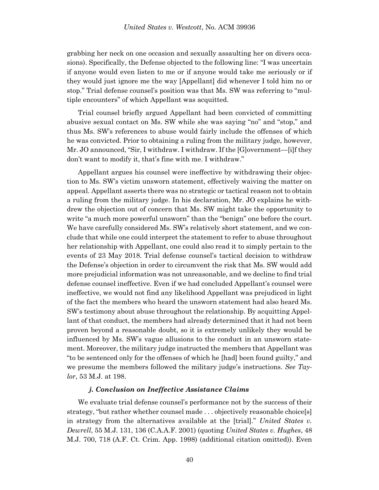grabbing her neck on one occasion and sexually assaulting her on divers occasions). Specifically, the Defense objected to the following line: "I was uncertain if anyone would even listen to me or if anyone would take me seriously or if they would just ignore me the way [Appellant] did whenever I told him no or stop." Trial defense counsel's position was that Ms. SW was referring to "multiple encounters" of which Appellant was acquitted.

Trial counsel briefly argued Appellant had been convicted of committing abusive sexual contact on Ms. SW while she was saying "no" and "stop," and thus Ms. SW's references to abuse would fairly include the offenses of which he was convicted. Prior to obtaining a ruling from the military judge, however, Mr. JO announced, "Sir, I withdraw. I withdraw. If the [G]overnment—[i]f they don't want to modify it, that's fine with me. I withdraw."

Appellant argues his counsel were ineffective by withdrawing their objection to Ms. SW's victim unsworn statement, effectively waiving the matter on appeal. Appellant asserts there was no strategic or tactical reason not to obtain a ruling from the military judge. In his declaration, Mr. JO explains he withdrew the objection out of concern that Ms. SW might take the opportunity to write "a much more powerful unsworn" than the "benign" one before the court. We have carefully considered Ms. SW's relatively short statement, and we conclude that while one could interpret the statement to refer to abuse throughout her relationship with Appellant, one could also read it to simply pertain to the events of 23 May 2018. Trial defense counsel's tactical decision to withdraw the Defense's objection in order to circumvent the risk that Ms. SW would add more prejudicial information was not unreasonable, and we decline to find trial defense counsel ineffective. Even if we had concluded Appellant's counsel were ineffective, we would not find any likelihood Appellant was prejudiced in light of the fact the members who heard the unsworn statement had also heard Ms. SW's testimony about abuse throughout the relationship. By acquitting Appellant of that conduct, the members had already determined that it had not been proven beyond a reasonable doubt, so it is extremely unlikely they would be influenced by Ms. SW's vague allusions to the conduct in an unsworn statement. Moreover, the military judge instructed the members that Appellant was "to be sentenced only for the offenses of which he [had] been found guilty," and we presume the members followed the military judge's instructions. *See Taylor*, 53 M.J. at 198.

#### *j. Conclusion on Ineffective Assistance Claims*

We evaluate trial defense counsel's performance not by the success of their strategy, "but rather whether counsel made . . . objectively reasonable choice[s] in strategy from the alternatives available at the [trial]." *United States v. Dewrell*, 55 M.J. 131, 136 (C.A.A.F. 2001) (quoting *United States v. Hughes*, 48 M.J. 700, 718 (A.F. Ct. Crim. App. 1998) (additional citation omitted)). Even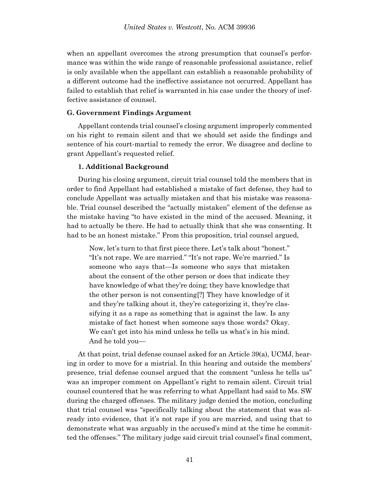when an appellant overcomes the strong presumption that counsel's performance was within the wide range of reasonable professional assistance, relief is only available when the appellant can establish a reasonable probability of a different outcome had the ineffective assistance not occurred. Appellant has failed to establish that relief is warranted in his case under the theory of ineffective assistance of counsel.

#### **G. Government Findings Argument**

Appellant contends trial counsel's closing argument improperly commented on his right to remain silent and that we should set aside the findings and sentence of his court-martial to remedy the error. We disagree and decline to grant Appellant's requested relief.

### **1. Additional Background**

During his closing argument, circuit trial counsel told the members that in order to find Appellant had established a mistake of fact defense, they had to conclude Appellant was actually mistaken and that his mistake was reasonable. Trial counsel described the "actually mistaken" element of the defense as the mistake having "to have existed in the mind of the accused. Meaning, it had to actually be there. He had to actually think that she was consenting. It had to be an honest mistake." From this proposition, trial counsel argued,

Now, let's turn to that first piece there. Let's talk about "honest." "It's not rape. We are married." "It's not rape. We're married." Is someone who says that—Is someone who says that mistaken about the consent of the other person or does that indicate they have knowledge of what they're doing; they have knowledge that the other person is not consenting[?] They have knowledge of it and they're talking about it, they're categorizing it, they're classifying it as a rape as something that is against the law. Is any mistake of fact honest when someone says those words? Okay. We can't get into his mind unless he tells us what's in his mind. And he told you—

At that point, trial defense counsel asked for an Article 39(a), UCMJ, hearing in order to move for a mistrial. In this hearing and outside the members' presence, trial defense counsel argued that the comment "unless he tells us" was an improper comment on Appellant's right to remain silent. Circuit trial counsel countered that he was referring to what Appellant had said to Ms. SW during the charged offenses. The military judge denied the motion, concluding that trial counsel was "specifically talking about the statement that was already into evidence, that it's not rape if you are married, and using that to demonstrate what was arguably in the accused's mind at the time he committed the offenses." The military judge said circuit trial counsel's final comment,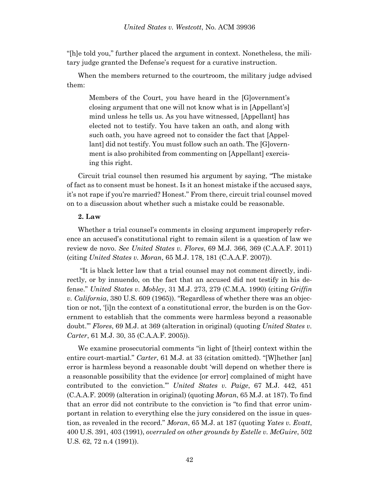"[h]e told you," further placed the argument in context. Nonetheless, the military judge granted the Defense's request for a curative instruction.

When the members returned to the courtroom, the military judge advised them:

Members of the Court, you have heard in the [G]overnment's closing argument that one will not know what is in [Appellant's] mind unless he tells us. As you have witnessed, [Appellant] has elected not to testify. You have taken an oath, and along with such oath, you have agreed not to consider the fact that [Appellant] did not testify. You must follow such an oath. The [G]overnment is also prohibited from commenting on [Appellant] exercising this right.

Circuit trial counsel then resumed his argument by saying, "The mistake of fact as to consent must be honest. Is it an honest mistake if the accused says, it's not rape if you're married? Honest." From there, circuit trial counsel moved on to a discussion about whether such a mistake could be reasonable.

#### **2. Law**

Whether a trial counsel's comments in closing argument improperly reference an accused's constitutional right to remain silent is a question of law we review de novo. *See United States v. Flores*, 69 M.J. 366, 369 (C.A.A.F. 2011) (citing *United States v. Moran*, 65 M.J. 178, 181 (C.A.A.F. 2007)).

"It is black letter law that a trial counsel may not comment directly, indirectly, or by innuendo, on the fact that an accused did not testify in his defense." *United States v. Mobley*, 31 M.J. 273, 279 (C.M.A. 1990) (citing *Griffin v. California*, 380 U.S. 609 (1965)). "Regardless of whether there was an objection or not, '[i]n the context of a constitutional error, the burden is on the Government to establish that the comments were harmless beyond a reasonable doubt.'" *Flores*, 69 M.J. at 369 (alteration in original) (quoting *United States v. Carter*, 61 M.J. 30, 35 (C.A.A.F. 2005)).

We examine prosecutorial comments "in light of [their] context within the entire court-martial." *Carter*, 61 M.J. at 33 (citation omitted). "[W]hether [an] error is harmless beyond a reasonable doubt 'will depend on whether there is a reasonable possibility that the evidence [or error] complained of might have contributed to the conviction.'" *United States v. Paige*, 67 M.J. 442, 451 (C.A.A.F. 2009) (alteration in original) (quoting *Moran*, 65 M.J. at 187). To find that an error did not contribute to the conviction is "to find that error unimportant in relation to everything else the jury considered on the issue in question, as revealed in the record." *Moran*, 65 M.J. at 187 (quoting *Yates v. Evatt*, 400 U.S. 391, 403 (1991), *overruled on other grounds by Estelle v. McGuire*, 502 U.S. 62, 72 n.4 (1991)).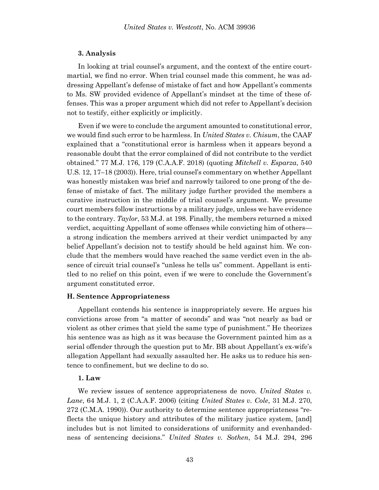## **3. Analysis**

In looking at trial counsel's argument, and the context of the entire courtmartial, we find no error. When trial counsel made this comment, he was addressing Appellant's defense of mistake of fact and how Appellant's comments to Ms. SW provided evidence of Appellant's mindset at the time of these offenses. This was a proper argument which did not refer to Appellant's decision not to testify, either explicitly or implicitly.

Even if we were to conclude the argument amounted to constitutional error, we would find such error to be harmless. In *United States v. Chisum*, the CAAF explained that a "constitutional error is harmless when it appears beyond a reasonable doubt that the error complained of did not contribute to the verdict obtained." 77 M.J. 176, 179 (C.A.A.F. 2018) (quoting *Mitchell v. Esparza*, 540 U.S. 12, 17–18 (2003)). Here, trial counsel's commentary on whether Appellant was honestly mistaken was brief and narrowly tailored to one prong of the defense of mistake of fact. The military judge further provided the members a curative instruction in the middle of trial counsel's argument. We presume court members follow instructions by a military judge, unless we have evidence to the contrary. *Taylor*, 53 M.J. at 198. Finally, the members returned a mixed verdict, acquitting Appellant of some offenses while convicting him of others a strong indication the members arrived at their verdict unimpacted by any belief Appellant's decision not to testify should be held against him. We conclude that the members would have reached the same verdict even in the absence of circuit trial counsel's "unless he tells us" comment. Appellant is entitled to no relief on this point, even if we were to conclude the Government's argument constituted error.

## **H. Sentence Appropriateness**

Appellant contends his sentence is inappropriately severe. He argues his convictions arose from "a matter of seconds" and was "not nearly as bad or violent as other crimes that yield the same type of punishment." He theorizes his sentence was as high as it was because the Government painted him as a serial offender through the question put to Mr. BB about Appellant's ex-wife's allegation Appellant had sexually assaulted her. He asks us to reduce his sentence to confinement, but we decline to do so.

## **1. Law**

We review issues of sentence appropriateness de novo. *United States v. Lane*, 64 M.J. 1, 2 (C.A.A.F. 2006) (citing *United States v. Cole*, 31 M.J. 270, 272 (C.M.A. 1990)). Our authority to determine sentence appropriateness "reflects the unique history and attributes of the military justice system, [and] includes but is not limited to considerations of uniformity and evenhandedness of sentencing decisions." *United States v. Sothen*, 54 M.J. 294, 296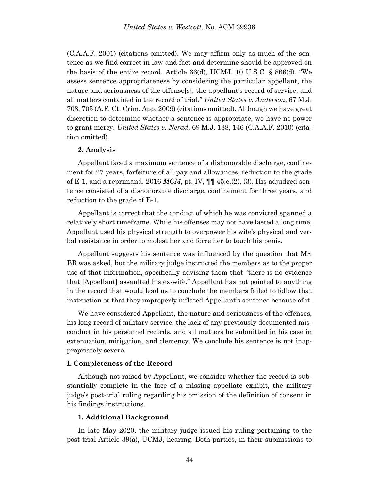(C.A.A.F. 2001) (citations omitted). We may affirm only as much of the sentence as we find correct in law and fact and determine should be approved on the basis of the entire record. Article 66(d), UCMJ, 10 U.S.C. § 866(d). "We assess sentence appropriateness by considering the particular appellant, the nature and seriousness of the offense[s], the appellant's record of service, and all matters contained in the record of trial." *United States v. Anderson*, 67 M.J. 703, 705 (A.F. Ct. Crim. App. 2009) (citations omitted). Although we have great discretion to determine whether a sentence is appropriate, we have no power to grant mercy. *United States v. Nerad*, 69 M.J. 138, 146 (C.A.A.F. 2010) (citation omitted).

#### **2. Analysis**

Appellant faced a maximum sentence of a dishonorable discharge, confinement for 27 years, forfeiture of all pay and allowances, reduction to the grade of E-1, and a reprimand. 2016 *MCM*, pt. IV,  $\P\P$  45.e.(2), (3). His adjudged sentence consisted of a dishonorable discharge, confinement for three years, and reduction to the grade of E-1.

Appellant is correct that the conduct of which he was convicted spanned a relatively short timeframe. While his offenses may not have lasted a long time, Appellant used his physical strength to overpower his wife's physical and verbal resistance in order to molest her and force her to touch his penis.

Appellant suggests his sentence was influenced by the question that Mr. BB was asked, but the military judge instructed the members as to the proper use of that information, specifically advising them that "there is no evidence that [Appellant] assaulted his ex-wife." Appellant has not pointed to anything in the record that would lead us to conclude the members failed to follow that instruction or that they improperly inflated Appellant's sentence because of it.

We have considered Appellant, the nature and seriousness of the offenses, his long record of military service, the lack of any previously documented misconduct in his personnel records, and all matters he submitted in his case in extenuation, mitigation, and clemency. We conclude his sentence is not inappropriately severe.

#### **I. Completeness of the Record**

Although not raised by Appellant, we consider whether the record is substantially complete in the face of a missing appellate exhibit, the military judge's post-trial ruling regarding his omission of the definition of consent in his findings instructions.

#### **1. Additional Background**

In late May 2020, the military judge issued his ruling pertaining to the post-trial Article 39(a), UCMJ, hearing. Both parties, in their submissions to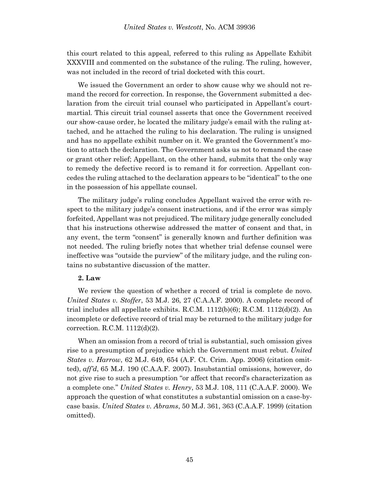this court related to this appeal, referred to this ruling as Appellate Exhibit XXXVIII and commented on the substance of the ruling. The ruling, however, was not included in the record of trial docketed with this court.

We issued the Government an order to show cause why we should not remand the record for correction. In response, the Government submitted a declaration from the circuit trial counsel who participated in Appellant's courtmartial. This circuit trial counsel asserts that once the Government received our show-cause order, he located the military judge's email with the ruling attached, and he attached the ruling to his declaration. The ruling is unsigned and has no appellate exhibit number on it. We granted the Government's motion to attach the declaration. The Government asks us not to remand the case or grant other relief; Appellant, on the other hand, submits that the only way to remedy the defective record is to remand it for correction. Appellant concedes the ruling attached to the declaration appears to be "identical" to the one in the possession of his appellate counsel.

The military judge's ruling concludes Appellant waived the error with respect to the military judge's consent instructions, and if the error was simply forfeited, Appellant was not prejudiced. The military judge generally concluded that his instructions otherwise addressed the matter of consent and that, in any event, the term "consent" is generally known and further definition was not needed. The ruling briefly notes that whether trial defense counsel were ineffective was "outside the purview" of the military judge, and the ruling contains no substantive discussion of the matter.

### **2. Law**

We review the question of whether a record of trial is complete de novo. *United States v. Stoffer*, 53 M.J. 26, 27 (C.A.A.F. 2000). A complete record of trial includes all appellate exhibits. R.C.M.  $1112(b)(6)$ ; R.C.M.  $1112(d)(2)$ . An incomplete or defective record of trial may be returned to the military judge for correction. R.C.M. 1112(d)(2).

When an omission from a record of trial is substantial, such omission gives rise to a presumption of prejudice which the Government must rebut. *United States v. Harrow*, 62 M.J. 649, 654 (A.F. Ct. Crim. App. 2006) (citation omitted), *aff'd*, 65 M.J. 190 (C.A.A.F. 2007). Insubstantial omissions, however, do not give rise to such a presumption "or affect that record's characterization as a complete one." *United States v. Henry*, 53 M.J. 108, 111 (C.A.A.F. 2000). We approach the question of what constitutes a substantial omission on a case-bycase basis. *United States v. Abrams*, 50 M.J. 361, 363 (C.A.A.F. 1999) (citation omitted).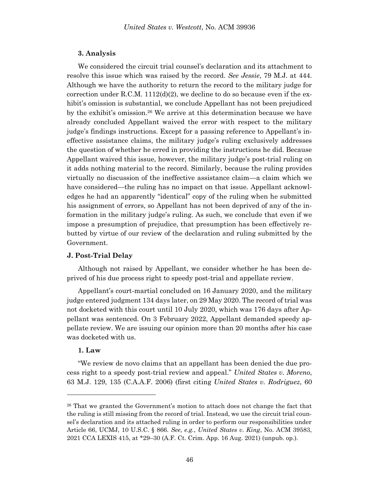## **3. Analysis**

We considered the circuit trial counsel's declaration and its attachment to resolve this issue which was raised by the record. *See Jessie*, 79 M.J. at 444. Although we have the authority to return the record to the military judge for correction under R.C.M.  $1112(d)(2)$ , we decline to do so because even if the exhibit's omission is substantial, we conclude Appellant has not been prejudiced by the exhibit's omission.<sup>26</sup> We arrive at this determination because we have already concluded Appellant waived the error with respect to the military judge's findings instructions. Except for a passing reference to Appellant's ineffective assistance claims, the military judge's ruling exclusively addresses the question of whether he erred in providing the instructions he did. Because Appellant waived this issue, however, the military judge's post-trial ruling on it adds nothing material to the record. Similarly, because the ruling provides virtually no discussion of the ineffective assistance claim—a claim which we have considered—the ruling has no impact on that issue. Appellant acknowledges he had an apparently "identical" copy of the ruling when he submitted his assignment of errors, so Appellant has not been deprived of any of the information in the military judge's ruling. As such, we conclude that even if we impose a presumption of prejudice, that presumption has been effectively rebutted by virtue of our review of the declaration and ruling submitted by the Government.

#### **J. Post-Trial Delay**

Although not raised by Appellant, we consider whether he has been deprived of his due process right to speedy post-trial and appellate review.

Appellant's court-martial concluded on 16 January 2020, and the military judge entered judgment 134 days later, on 29 May 2020. The record of trial was not docketed with this court until 10 July 2020, which was 176 days after Appellant was sentenced. On 3 February 2022, Appellant demanded speedy appellate review. We are issuing our opinion more than 20 months after his case was docketed with us.

## **1. Law**

l

"We review de novo claims that an appellant has been denied the due process right to a speedy post-trial review and appeal." *United States v. Moreno*, 63 M.J. 129, 135 (C.A.A.F. 2006) (first citing *United States v. Rodriguez*, 60

<sup>26</sup> That we granted the Government's motion to attach does not change the fact that the ruling is still missing from the record of trial. Instead, we use the circuit trial counsel's declaration and its attached ruling in order to perform our responsibilities under Article 66, UCMJ, 10 U.S.C. § 866. *See, e.g.*, *United States v. King*, No. ACM 39583, 2021 CCA LEXIS 415, at \*29–30 (A.F. Ct. Crim. App. 16 Aug. 2021) (unpub. op.).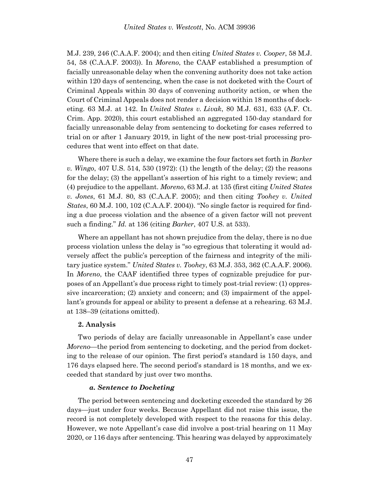M.J. 239, 246 (C.A.A.F. 2004); and then citing *United States v. Cooper*, 58 M.J. 54, 58 (C.A.A.F. 2003)). In *Moreno*, the CAAF established a presumption of facially unreasonable delay when the convening authority does not take action within 120 days of sentencing, when the case is not docketed with the Court of Criminal Appeals within 30 days of convening authority action, or when the Court of Criminal Appeals does not render a decision within 18 months of docketing. 63 M.J. at 142. In *United States v. Livak*, 80 M.J. 631, 633 (A.F. Ct. Crim. App. 2020), this court established an aggregated 150-day standard for facially unreasonable delay from sentencing to docketing for cases referred to trial on or after 1 January 2019, in light of the new post-trial processing procedures that went into effect on that date.

Where there is such a delay, we examine the four factors set forth in *Barker v. Wingo*, 407 U.S. 514, 530 (1972): (1) the length of the delay; (2) the reasons for the delay; (3) the appellant's assertion of his right to a timely review; and (4) prejudice to the appellant. *Moreno*, 63 M.J. at 135 (first citing *United States v. Jones*, 61 M.J. 80, 83 (C.A.A.F. 2005); and then citing *Toohey v. United States*, 60 M.J. 100, 102 (C.A.A.F. 2004)). "No single factor is required for finding a due process violation and the absence of a given factor will not prevent such a finding." *Id.* at 136 (citing *Barker*, 407 U.S. at 533).

Where an appellant has not shown prejudice from the delay, there is no due process violation unless the delay is "so egregious that tolerating it would adversely affect the public's perception of the fairness and integrity of the military justice system." *United States v. Toohey*, 63 M.J. 353, 362 (C.A.A.F. 2006). In *Moreno*, the CAAF identified three types of cognizable prejudice for purposes of an Appellant's due process right to timely post-trial review: (1) oppressive incarceration; (2) anxiety and concern; and (3) impairment of the appellant's grounds for appeal or ability to present a defense at a rehearing. 63 M.J. at 138–39 (citations omitted).

#### **2. Analysis**

Two periods of delay are facially unreasonable in Appellant's case under *Moreno*—the period from sentencing to docketing, and the period from docketing to the release of our opinion. The first period's standard is 150 days, and 176 days elapsed here. The second period's standard is 18 months, and we exceeded that standard by just over two months.

#### *a. Sentence to Docketing*

The period between sentencing and docketing exceeded the standard by 26 days—just under four weeks. Because Appellant did not raise this issue, the record is not completely developed with respect to the reasons for this delay. However, we note Appellant's case did involve a post-trial hearing on 11 May 2020, or 116 days after sentencing. This hearing was delayed by approximately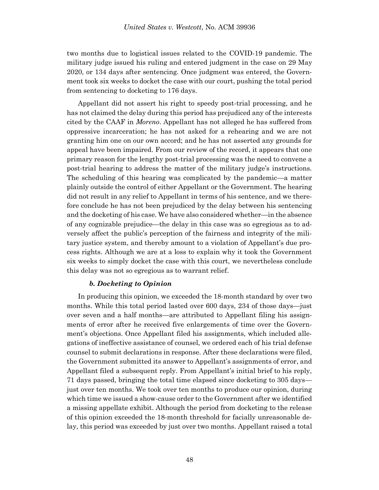two months due to logistical issues related to the COVID-19 pandemic. The military judge issued his ruling and entered judgment in the case on 29 May 2020, or 134 days after sentencing. Once judgment was entered, the Government took six weeks to docket the case with our court, pushing the total period from sentencing to docketing to 176 days.

Appellant did not assert his right to speedy post-trial processing, and he has not claimed the delay during this period has prejudiced any of the interests cited by the CAAF in *Moreno*. Appellant has not alleged he has suffered from oppressive incarceration; he has not asked for a rehearing and we are not granting him one on our own accord; and he has not asserted any grounds for appeal have been impaired. From our review of the record, it appears that one primary reason for the lengthy post-trial processing was the need to convene a post-trial hearing to address the matter of the military judge's instructions. The scheduling of this hearing was complicated by the pandemic—a matter plainly outside the control of either Appellant or the Government. The hearing did not result in any relief to Appellant in terms of his sentence, and we therefore conclude he has not been prejudiced by the delay between his sentencing and the docketing of his case. We have also considered whether—in the absence of any cognizable prejudice—the delay in this case was so egregious as to adversely affect the public's perception of the fairness and integrity of the military justice system, and thereby amount to a violation of Appellant's due process rights. Although we are at a loss to explain why it took the Government six weeks to simply docket the case with this court, we nevertheless conclude this delay was not so egregious as to warrant relief.

## *b. Docketing to Opinion*

In producing this opinion, we exceeded the 18-month standard by over two months. While this total period lasted over 600 days, 234 of those days—just over seven and a half months—are attributed to Appellant filing his assignments of error after he received five enlargements of time over the Government's objections. Once Appellant filed his assignments, which included allegations of ineffective assistance of counsel, we ordered each of his trial defense counsel to submit declarations in response. After these declarations were filed, the Government submitted its answer to Appellant's assignments of error, and Appellant filed a subsequent reply. From Appellant's initial brief to his reply, 71 days passed, bringing the total time elapsed since docketing to 305 days just over ten months. We took over ten months to produce our opinion, during which time we issued a show-cause order to the Government after we identified a missing appellate exhibit. Although the period from docketing to the release of this opinion exceeded the 18-month threshold for facially unreasonable delay, this period was exceeded by just over two months. Appellant raised a total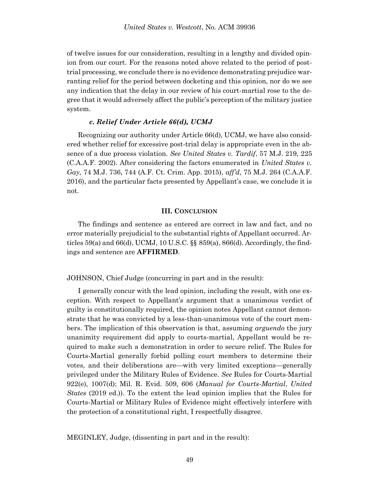of twelve issues for our consideration, resulting in a lengthy and divided opinion from our court. For the reasons noted above related to the period of posttrial processing, we conclude there is no evidence demonstrating prejudice warranting relief for the period between docketing and this opinion, nor do we see any indication that the delay in our review of his court-martial rose to the degree that it would adversely affect the public's perception of the military justice system.

#### *c. Relief Under Article 66(d), UCMJ*

Recognizing our authority under Article 66(d), UCMJ, we have also considered whether relief for excessive post-trial delay is appropriate even in the absence of a due process violation. *See United States v. Tardif*, 57 M.J. 219, 225 (C.A.A.F. 2002). After considering the factors enumerated in *United States v. Gay*, 74 M.J. 736, 744 (A.F. Ct. Crim. App. 2015), *aff'd*, 75 M.J. 264 (C.A.A.F. 2016), and the particular facts presented by Appellant's case, we conclude it is not.

#### **III. CONCLUSION**

The findings and sentence as entered are correct in law and fact, and no error materially prejudicial to the substantial rights of Appellant occurred. Articles  $59(a)$  and  $66(d)$ , UCMJ, 10 U.S.C.  $\S$  $\S$   $859(a)$ ,  $866(d)$ . Accordingly, the findings and sentence are **AFFIRMED**.

JOHNSON, Chief Judge (concurring in part and in the result):

I generally concur with the lead opinion, including the result, with one exception. With respect to Appellant's argument that a unanimous verdict of guilty is constitutionally required, the opinion notes Appellant cannot demonstrate that he was convicted by a less-than-unanimous vote of the court members. The implication of this observation is that, assuming *arguendo* the jury unanimity requirement did apply to courts-martial, Appellant would be required to make such a demonstration in order to secure relief. The Rules for Courts-Martial generally forbid polling court members to determine their votes, and their deliberations are—with very limited exceptions—generally privileged under the Military Rules of Evidence. *See* Rules for Courts-Martial 922(e), 1007(d); Mil. R. Evid. 509, 606 (*Manual for Courts-Martial*, *United States* (2019 ed.)). To the extent the lead opinion implies that the Rules for Courts-Martial or Military Rules of Evidence might effectively interfere with the protection of a constitutional right, I respectfully disagree.

MEGINLEY, Judge, (dissenting in part and in the result):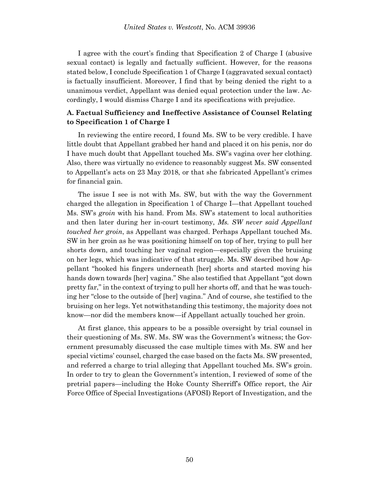I agree with the court's finding that Specification 2 of Charge I (abusive sexual contact) is legally and factually sufficient. However, for the reasons stated below, I conclude Specification 1 of Charge I (aggravated sexual contact) is factually insufficient. Moreover, I find that by being denied the right to a unanimous verdict, Appellant was denied equal protection under the law. Accordingly, I would dismiss Charge I and its specifications with prejudice.

# **A. Factual Sufficiency and Ineffective Assistance of Counsel Relating to Specification 1 of Charge I**

In reviewing the entire record, I found Ms. SW to be very credible. I have little doubt that Appellant grabbed her hand and placed it on his penis, nor do I have much doubt that Appellant touched Ms. SW's vagina over her clothing. Also, there was virtually no evidence to reasonably suggest Ms. SW consented to Appellant's acts on 23 May 2018, or that she fabricated Appellant's crimes for financial gain.

The issue I see is not with Ms. SW, but with the way the Government charged the allegation in Specification 1 of Charge I—that Appellant touched Ms. SW's *groin* with his hand. From Ms. SW's statement to local authorities and then later during her in-court testimony, *Ms. SW never said Appellant touched her groin*, as Appellant was charged. Perhaps Appellant touched Ms. SW in her groin as he was positioning himself on top of her, trying to pull her shorts down, and touching her vaginal region—especially given the bruising on her legs, which was indicative of that struggle. Ms. SW described how Appellant "hooked his fingers underneath [her] shorts and started moving his hands down towards [her] vagina." She also testified that Appellant "got down pretty far," in the context of trying to pull her shorts off, and that he was touching her "close to the outside of [her] vagina." And of course, she testified to the bruising on her legs. Yet notwithstanding this testimony, the majority does not know—nor did the members know—if Appellant actually touched her groin.

At first glance, this appears to be a possible oversight by trial counsel in their questioning of Ms. SW. Ms. SW was the Government's witness; the Government presumably discussed the case multiple times with Ms. SW and her special victims' counsel, charged the case based on the facts Ms. SW presented, and referred a charge to trial alleging that Appellant touched Ms. SW's groin. In order to try to glean the Government's intention, I reviewed of some of the pretrial papers—including the Hoke County Sherriff's Office report, the Air Force Office of Special Investigations (AFOSI) Report of Investigation, and the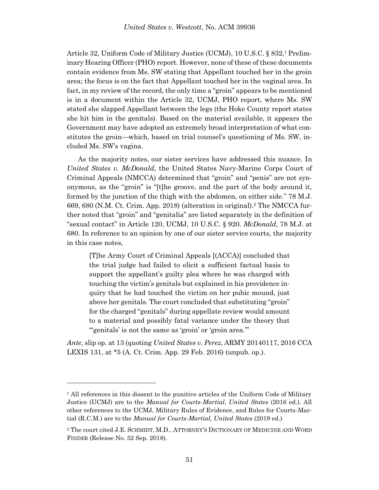Article 32, Uniform Code of Military Justice (UCMJ), 10 U.S.C. § 832,<sup>1</sup> Preliminary Hearing Officer (PHO) report. However, none of these of these documents contain evidence from Ms. SW stating that Appellant touched her in the groin area; the focus is on the fact that Appellant touched her in the vaginal area. In fact, in my review of the record, the only time a "groin" appears to be mentioned is in a document within the Article 32, UCMJ, PHO report, where Ms. SW stated she slapped Appellant between the legs (the Hoke County report states she hit him in the genitals). Based on the material available, it appears the Government may have adopted an extremely broad interpretation of what constitutes the groin—which, based on trial counsel's questioning of Ms. SW, included Ms. SW's vagina.

As the majority notes, our sister services have addressed this nuance. In *United States v. McDonald*, the United States Navy-Marine Corps Court of Criminal Appeals (NMCCA) determined that "groin" and "penis" are not synonymous, as the "groin" is "[t]he groove, and the part of the body around it, formed by the junction of the thigh with the abdomen, on either side." 78 M.J. 669, 680 (N.M. Ct. Crim. App. 2018) (alteration in original).<sup>2</sup> The NMCCA further noted that "groin" and "genitalia" are listed separately in the definition of "sexual contact" in Article 120, UCMJ, 10 U.S.C. § 920. *McDonald*, 78 M.J. at 680. In reference to an opinion by one of our sister service courts, the majority in this case notes,

[T]he Army Court of Criminal Appeals [(ACCA)] concluded that the trial judge had failed to elicit a sufficient factual basis to support the appellant's guilty plea where he was charged with touching the victim's genitals but explained in his providence inquiry that he had touched the victim on her pubic mound, just above her genitals. The court concluded that substituting "groin" for the charged "genitals" during appellate review would amount to a material and possibly fatal variance under the theory that "" genitals' is not the same as 'groin' or 'groin area."

*Ante*, slip op. at 13 (quoting *United States v. Perez,* ARMY 20140117, 2016 CCA LEXIS 131, at \*5 (A. Ct. Crim. App. 29 Feb. 2016) (unpub. op.).

<sup>&</sup>lt;sup>1</sup> All references in this dissent to the punitive articles of the Uniform Code of Military Justice (UCMJ) are to the *Manual for Courts-Martial*, *United States* (2016 ed.). All other references to the UCMJ, Military Rules of Evidence, and Rules for Courts-Martial (R.C.M.) are to the *Manual for Courts-Martial, United States* (2019 ed.)

<sup>2</sup> The court cited J.E. SCHMIDT, M.D., ATTORNEY'S DICTIONARY OF MEDICINE AND WORD FINDER (Release No. 52 Sep. 2018).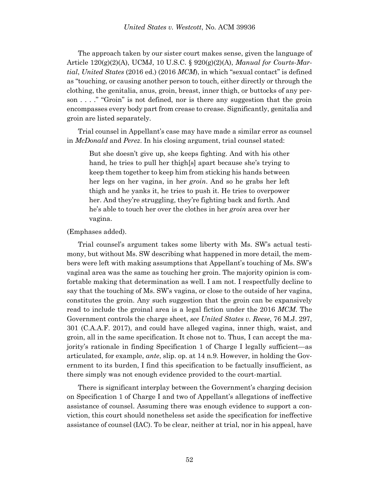The approach taken by our sister court makes sense, given the language of Article 120(g)(2)(A), UCMJ, 10 U.S.C. § 920(g)(2)(A), *Manual for Courts-Martial*, *United States* (2016 ed.) (2016 *MCM*), in which "sexual contact" is defined as "touching, or causing another person to touch, either directly or through the clothing, the genitalia, anus, groin, breast, inner thigh, or buttocks of any person . . . ." "Groin" is not defined, nor is there any suggestion that the groin encompasses every body part from crease to crease. Significantly, genitalia and groin are listed separately*.*

Trial counsel in Appellant's case may have made a similar error as counsel in *McDonald* and *Perez*. In his closing argument, trial counsel stated:

But she doesn't give up, she keeps fighting. And with his other hand, he tries to pull her thigh[s] apart because she's trying to keep them together to keep him from sticking his hands between her legs on her vagina, in her *groin*. And so he grabs her left thigh and he yanks it, he tries to push it. He tries to overpower her. And they're struggling, they're fighting back and forth. And he's able to touch her over the clothes in her *groin* area over her vagina.

(Emphases added).

Trial counsel's argument takes some liberty with Ms. SW's actual testimony, but without Ms. SW describing what happened in more detail, the members were left with making assumptions that Appellant's touching of Ms. SW's vaginal area was the same as touching her groin. The majority opinion is comfortable making that determination as well. I am not. I respectfully decline to say that the touching of Ms. SW's vagina, or close to the outside of her vagina, constitutes the groin. Any such suggestion that the groin can be expansively read to include the groinal area is a legal fiction under the 2016 *MCM*. The Government controls the charge sheet, *see United States v. Reese*, 76 M.J. 297, 301 (C.A.A.F. 2017), and could have alleged vagina, inner thigh, waist, and groin, all in the same specification. It chose not to. Thus, I can accept the majority's rationale in finding Specification 1 of Charge I legally sufficient—as articulated, for example, *ante*, slip. op. at 14 n.9. However, in holding the Government to its burden, I find this specification to be factually insufficient, as there simply was not enough evidence provided to the court-martial.

There is significant interplay between the Government's charging decision on Specification 1 of Charge I and two of Appellant's allegations of ineffective assistance of counsel. Assuming there was enough evidence to support a conviction, this court should nonetheless set aside the specification for ineffective assistance of counsel (IAC). To be clear, neither at trial, nor in his appeal, have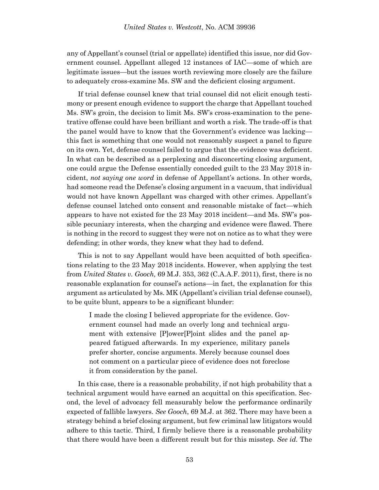any of Appellant's counsel (trial or appellate) identified this issue, nor did Government counsel. Appellant alleged 12 instances of IAC—some of which are legitimate issues—but the issues worth reviewing more closely are the failure to adequately cross-examine Ms. SW and the deficient closing argument.

If trial defense counsel knew that trial counsel did not elicit enough testimony or present enough evidence to support the charge that Appellant touched Ms. SW's groin, the decision to limit Ms. SW's cross-examination to the penetrative offense could have been brilliant and worth a risk. The trade-off is that the panel would have to know that the Government's evidence was lacking this fact is something that one would not reasonably suspect a panel to figure on its own. Yet, defense counsel failed to argue that the evidence was deficient. In what can be described as a perplexing and disconcerting closing argument, one could argue the Defense essentially conceded guilt to the 23 May 2018 incident, *not saying one word* in defense of Appellant's actions. In other words, had someone read the Defense's closing argument in a vacuum, that individual would not have known Appellant was charged with other crimes. Appellant's defense counsel latched onto consent and reasonable mistake of fact—which appears to have not existed for the 23 May 2018 incident—and Ms. SW's possible pecuniary interests, when the charging and evidence were flawed. There is nothing in the record to suggest they were not on notice as to what they were defending; in other words, they knew what they had to defend.

This is not to say Appellant would have been acquitted of both specifications relating to the 23 May 2018 incidents. However, when applying the test from *United States v. Gooch,* 69 M.J. 353, 362 (C.A.A.F. 2011), first, there is no reasonable explanation for counsel's actions—in fact, the explanation for this argument as articulated by Ms. MK (Appellant's civilian trial defense counsel), to be quite blunt, appears to be a significant blunder:

I made the closing I believed appropriate for the evidence. Government counsel had made an overly long and technical argument with extensive [P]ower[P]oint slides and the panel appeared fatigued afterwards. In my experience, military panels prefer shorter, concise arguments. Merely because counsel does not comment on a particular piece of evidence does not foreclose it from consideration by the panel.

In this case, there is a reasonable probability, if not high probability that a technical argument would have earned an acquittal on this specification. Second, the level of advocacy fell measurably below the performance ordinarily expected of fallible lawyers. *See Gooch*, 69 M.J. at 362. There may have been a strategy behind a brief closing argument, but few criminal law litigators would adhere to this tactic. Third, I firmly believe there is a reasonable probability that there would have been a different result but for this misstep. *See id.* The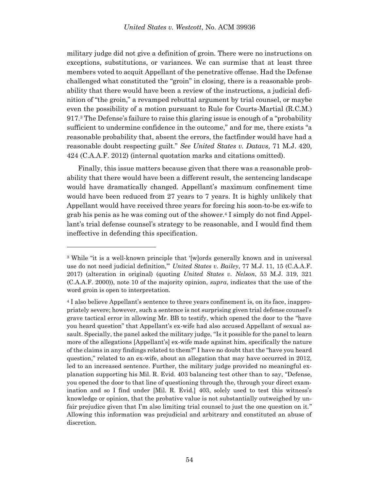military judge did not give a definition of groin. There were no instructions on exceptions, substitutions, or variances. We can surmise that at least three members voted to acquit Appellant of the penetrative offense. Had the Defense challenged what constituted the "groin" in closing, there is a reasonable probability that there would have been a review of the instructions, a judicial definition of "the groin," a revamped rebuttal argument by trial counsel, or maybe even the possibility of a motion pursuant to Rule for Courts-Martial (R.C.M.) 917.<sup>3</sup> The Defense's failure to raise this glaring issue is enough of a "probability sufficient to undermine confidence in the outcome," and for me, there exists "a reasonable probability that, absent the errors, the factfinder would have had a reasonable doubt respecting guilt." *See United States v. Datavs*, 71 M.J. 420, 424 (C.A.A.F. 2012) (internal quotation marks and citations omitted).

Finally, this issue matters because given that there was a reasonable probability that there would have been a different result, the sentencing landscape would have dramatically changed. Appellant's maximum confinement time would have been reduced from 27 years to 7 years. It is highly unlikely that Appellant would have received three years for forcing his soon-to-be ex-wife to grab his penis as he was coming out of the shower.<sup>4</sup> I simply do not find Appellant's trial defense counsel's strategy to be reasonable, and I would find them ineffective in defending this specification.

<sup>3</sup> While "it is a well-known principle that '[w]ords generally known and in universal use do not need judicial definition,'" *United States v. Bailey*, 77 M.J. 11, 15 (C.A.A.F. 2017) (alteration in original) (quoting *United States v. Nelson*, 53 M.J. 319, 321 (C.A.A.F. 2000)), note 10 of the majority opinion, *supra*, indicates that the use of the word groin is open to interpretation.

<sup>4</sup> I also believe Appellant's sentence to three years confinement is, on its face, inappropriately severe; however, such a sentence is not surprising given trial defense counsel's grave tactical error in allowing Mr. BB to testify, which opened the door to the "have you heard question" that Appellant's ex-wife had also accused Appellant of sexual assault. Specially, the panel asked the military judge, "Is it possible for the panel to learn more of the allegations [Appellant's] ex-wife made against him, specifically the nature of the claims in any findings related to them?" I have no doubt that the "have you heard question," related to an ex-wife, about an allegation that may have occurred in 2012, led to an increased sentence. Further, the military judge provided no meaningful explanation supporting his Mil. R. Evid. 403 balancing test other than to say, "Defense, you opened the door to that line of questioning through the, through your direct examination and so I find under [Mil. R. Evid.] 403, solely used to test this witness's knowledge or opinion, that the probative value is not substantially outweighed by unfair prejudice given that I'm also limiting trial counsel to just the one question on it." Allowing this information was prejudicial and arbitrary and constituted an abuse of discretion.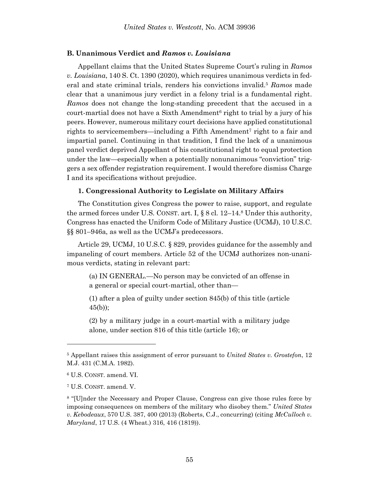#### **B. Unanimous Verdict and** *Ramos v. Louisiana*

Appellant claims that the United States Supreme Court's ruling in *Ramos v. Louisiana*, 140 S. Ct. 1390 (2020), which requires unanimous verdicts in federal and state criminal trials, renders his convictions invalid.<sup>5</sup> *Ramos* made clear that a unanimous jury verdict in a felony trial is a fundamental right. *Ramos* does not change the long-standing precedent that the accused in a court-martial does not have a Sixth Amendment<sup>6</sup> right to trial by a jury of his peers. However, numerous military court decisions have applied constitutional rights to servicemembers—including a Fifth Amendment<sup>7</sup> right to a fair and impartial panel. Continuing in that tradition, I find the lack of a unanimous panel verdict deprived Appellant of his constitutional right to equal protection under the law—especially when a potentially nonunanimous "conviction" triggers a sex offender registration requirement. I would therefore dismiss Charge I and its specifications without prejudice.

### **1. Congressional Authority to Legislate on Military Affairs**

The Constitution gives Congress the power to raise, support, and regulate the armed forces under U.S. CONST. art. I,  $\S 8$  cl. 12–14.<sup>8</sup> Under this authority, Congress has enacted the Uniform Code of Military Justice (UCMJ), 10 U.S.C. §§ 801–946a, as well as the UCMJ's predecessors.

Article 29, UCMJ, 10 U.S.C. § 829, provides guidance for the assembly and impaneling of court members. Article 52 of the UCMJ authorizes non-unanimous verdicts, stating in relevant part:

(a) IN GENERAL.—No person may be convicted of an offense in a general or special court-martial, other than—

(1) after a plea of guilty under section 845(b) of this title (article  $(45(b))$ ;

(2) by a military judge in a court-martial with a military judge alone, under section 816 of this title (article 16); or

<sup>5</sup> Appellant raises this assignment of error pursuant to *United States v. Grostefon*, 12 M.J. 431 (C.M.A. 1982).

<sup>6</sup> U.S. CONST. amend. VI.

<sup>7</sup> U.S. CONST. amend. V.

<sup>8</sup> "[U]nder the Necessary and Proper Clause, Congress can give those rules force by imposing consequences on members of the military who disobey them." *United States v. Kebodeaux*, 570 U.S. 387, 400 (2013) (Roberts, C.J., concurring) (citing *McCulloch v. Maryland*, 17 U.S. (4 Wheat.) 316, 416 (1819)).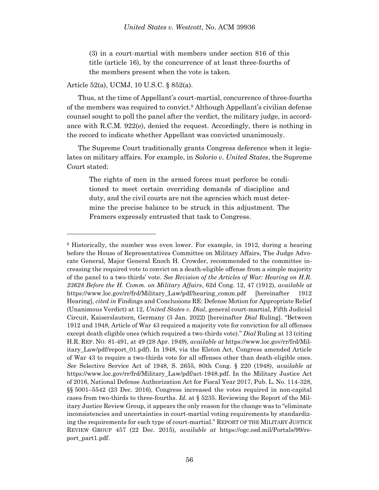(3) in a court-martial with members under section 816 of this title (article 16), by the concurrence of at least three-fourths of the members present when the vote is taken.

### Article 52(a), UCMJ, 10 U.S.C. § 852(a).

l

Thus, at the time of Appellant's court-martial, concurrence of three-fourths of the members was required to convict.<sup>9</sup> Although Appellant's civilian defense counsel sought to poll the panel after the verdict, the military judge, in accordance with R.C.M. 922(e), denied the request. Accordingly, there is nothing in the record to indicate whether Appellant was convicted unanimously.

The Supreme Court traditionally grants Congress deference when it legislates on military affairs. For example, in *Solorio v. United States*, the Supreme Court stated:

The rights of men in the armed forces must perforce be conditioned to meet certain overriding demands of discipline and duty, and the civil courts are not the agencies which must determine the precise balance to be struck in this adjustment. The Framers expressly entrusted that task to Congress.

<sup>9</sup> Historically, the number was even lower. For example, in 1912, during a hearing before the House of Representatives Committee on Military Affairs, The Judge Advocate General, Major General Enoch H. Crowder, recommended to the committee increasing the required vote to convict on a death-eligible offense from a simple majority of the panel to a two-thirds' vote. *See Revision of the Articles of War: Hearing on H.R. 23628 Before the H. Comm. on Military Affairs*, 62d Cong. 12, 47 (1912), *available at* https://www.loc.gov/rr/frd/Military\_Law/pdf/hearing\_comm.pdf [hereinafter 1912 Hearing], *cited in* Findings and Conclusions RE: Defense Motion for Appropriate Relief (Unanimous Verdict) at 12*, United States v. Dial*, general court-martial, Fifth Judicial Circuit, Kaiserslautern, Germany (3 Jan. 2022) [hereinafter *Dial* Ruling]. "Between 1912 and 1948, Article of War 43 required a majority vote for conviction for all offenses except death eligible ones (which required a two-thirds vote)." *Dial* Ruling at 13 (citing H.R. REP. NO. 81-491, at 49 (28 Apr. 1949), *available at* https://www.loc.gov/rr/frd/Military\_Law/pdf/report\_01.pdf). In 1948, via the Elston Act, Congress amended Article of War 43 to require a two-thirds vote for all offenses other than death-eligible ones. *See* Selective Service Act of 1948, S. 2655, 80th Cong. § 220 (1948), *available at* https://www.loc.gov/rr/frd/Military\_Law/pdf/act-1948.pdf. In the Military Justice Act of 2016, National Defense Authorization Act for Fiscal Year 2017, Pub. L. No. 114-328, §§ 5001–5542 (23 Dec. 2016), Congress increased the votes required in non-capital cases from two-thirds to three-fourths. *Id.* at § 5235. Reviewing the Report of the Military Justice Review Group, it appears the only reason for the change was to "eliminate inconsistencies and uncertainties in court-martial voting requirements by standardizing the requirements for each type of court-martial." REPORT OF THE MILITARY JUSTICE REVIEW GROUP 457 (22 Dec. 2015), *available at* https://ogc.osd.mil/Portals/99/report\_part1.pdf.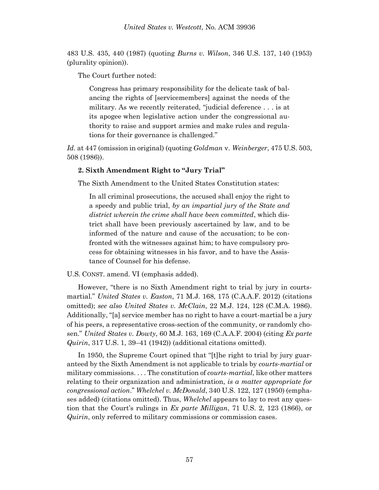483 U.S. 435, 440 (1987) (quoting *Burns v. Wilson*, 346 U.S. 137, 140 (1953) (plurality opinion)).

The Court further noted:

Congress has primary responsibility for the delicate task of balancing the rights of [servicemembers] against the needs of the military. As we recently reiterated, "judicial deference . . . is at its apogee when legislative action under the congressional authority to raise and support armies and make rules and regulations for their governance is challenged."

*Id.* at 447 (omission in original) (quoting *Goldman* v. *Weinberger*, 475 U.S. 503, 508 (1986)).

## **2. Sixth Amendment Right to "Jury Trial"**

The Sixth Amendment to the United States Constitution states:

In all criminal prosecutions, the accused shall enjoy the right to a speedy and public trial, *by an impartial jury of the State and district wherein the crime shall have been committed*, which district shall have been previously ascertained by law, and to be informed of the nature and cause of the accusation; to be confronted with the witnesses against him; to have compulsory process for obtaining witnesses in his favor, and to have the Assistance of Counsel for his defense.

U.S. CONST. amend. VI (emphasis added).

However, "there is no Sixth Amendment right to trial by jury in courtsmartial." *United States v. Easton*, 71 M.J. 168, 175 (C.A.A.F. 2012) (citations omitted); *see also United States v. McClain*, 22 M.J. 124, 128 (C.M.A. 1986). Additionally, "[a] service member has no right to have a court-martial be a jury of his peers, a representative cross-section of the community, or randomly chosen." *United States v. Dowty*, 60 M.J. 163, 169 (C.A.A.F. 2004) (citing *Ex parte Quirin*, 317 U.S. 1, 39–41 (1942)) (additional citations omitted).

In 1950, the Supreme Court opined that "[t]he right to trial by jury guaranteed by the Sixth Amendment is not applicable to trials by *courts-martial* or military commissions. . . . The constitution of *courts-martial*, like other matters relating to their organization and administration, *is a matter appropriate for congressional action*." *Whelchel v. McDonald*, 340 U.S. 122, 127 (1950) (emphases added) (citations omitted). Thus, *Whelchel* appears to lay to rest any question that the Court's rulings in *Ex parte Milligan*, 71 U.S. 2, 123 (1866), or *Quirin*, only referred to military commissions or commission cases.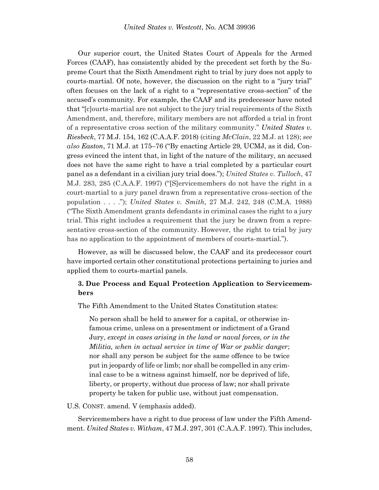Our superior court, the United States Court of Appeals for the Armed Forces (CAAF), has consistently abided by the precedent set forth by the Supreme Court that the Sixth Amendment right to trial by jury does not apply to courts-martial. Of note, however, the discussion on the right to a "jury trial" often focuses on the lack of a right to a "representative cross-section" of the accused's community. For example, the CAAF and its predecessor have noted that "[c]ourts-martial are not subject to the jury trial requirements of the Sixth Amendment, and, therefore, military members are not afforded a trial in front of a representative cross section of the military community." *United States v. Riesbeck*, 77 M.J. 154, 162 (C.A.A.F. 2018) (citing *McClain*, 22 M.J. at 128); *see also Easton*, 71 M.J. at 175–76 ("By enacting Article 29, UCMJ, as it did, Congress evinced the intent that, in light of the nature of the military, an accused does not have the same right to have a trial completed by a particular court panel as a defendant in a civilian jury trial does."); *United States v. Tulloch*, 47 M.J. 283, 285 (C.A.A.F. 1997) ("[S]ervicemembers do not have the right in a court-martial to a jury panel drawn from a representative cross-section of the population . . . ."); *United States v. Smith*, 27 M.J. 242, 248 (C.M.A. 1988) ("The Sixth Amendment grants defendants in criminal cases the right to a jury trial. This right includes a requirement that the jury be drawn from a representative cross-section of the community. However, the right to trial by jury has no application to the appointment of members of courts-martial.").

However, as will be discussed below, the CAAF and its predecessor court have imported certain other constitutional protections pertaining to juries and applied them to courts-martial panels.

## **3. Due Process and Equal Protection Application to Servicemembers**

The Fifth Amendment to the United States Constitution states:

No person shall be held to answer for a capital, or otherwise infamous crime, unless on a presentment or indictment of a Grand Jury, *except in cases arising in the land or naval forces, or in the Militia, when in actual service in time of War or public danger*; nor shall any person be subject for the same offence to be twice put in jeopardy of life or limb; nor shall be compelled in any criminal case to be a witness against himself, nor be deprived of life, liberty, or property, without due process of law; nor shall private property be taken for public use, without just compensation.

U.S. CONST. amend. V (emphasis added).

Servicemembers have a right to due process of law under the Fifth Amendment. *United States v. Witham*, 47 M.J. 297, 301 (C.A.A.F. 1997). This includes,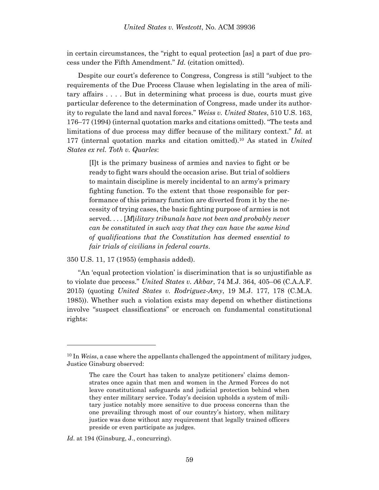in certain circumstances, the "right to equal protection [as] a part of due process under the Fifth Amendment." *Id.* (citation omitted).

Despite our court's deference to Congress, Congress is still "subject to the requirements of the Due Process Clause when legislating in the area of military affairs . . . . But in determining what process is due, courts must give particular deference to the determination of Congress, made under its authority to regulate the land and naval forces." *Weiss v. United States*, 510 U.S. 163, 176–77 (1994) (internal quotation marks and citations omitted). "The tests and limitations of due process may differ because of the military context." *Id.* at 177 (internal quotation marks and citation omitted).<sup>10</sup> As stated in *United States ex rel. Toth v. Quarles*:

[I]t is the primary business of armies and navies to fight or be ready to fight wars should the occasion arise. But trial of soldiers to maintain discipline is merely incidental to an army's primary fighting function. To the extent that those responsible for performance of this primary function are diverted from it by the necessity of trying cases, the basic fighting purpose of armies is not served. . . . [*M*]*ilitary tribunals have not been and probably never can be constituted in such way that they can have the same kind of qualifications that the Constitution has deemed essential to fair trials of civilians in federal courts*.

350 U.S. 11, 17 (1955) (emphasis added).

"An 'equal protection violation' is discrimination that is so unjustifiable as to violate due process." *United States v. Akbar*, 74 M.J. 364, 405–06 (C.A.A.F. 2015) (quoting *United States v. Rodriguez-Amy*, 19 M.J. 177, 178 (C.M.A. 1985)). Whether such a violation exists may depend on whether distinctions involve "suspect classifications" or encroach on fundamental constitutional rights:

*Id*. at 194 (Ginsburg, J., concurring).

<sup>&</sup>lt;sup>10</sup> In *Weiss*, a case where the appellants challenged the appointment of military judges, Justice Ginsburg observed:

The care the Court has taken to analyze petitioners' claims demonstrates once again that men and women in the Armed Forces do not leave constitutional safeguards and judicial protection behind when they enter military service. Today's decision upholds a system of military justice notably more sensitive to due process concerns than the one prevailing through most of our country's history, when military justice was done without any requirement that legally trained officers preside or even participate as judges.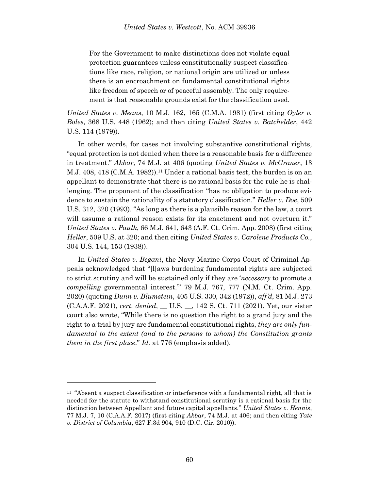For the Government to make distinctions does not violate equal protection guarantees unless constitutionally suspect classifications like race, religion, or national origin are utilized or unless there is an encroachment on fundamental constitutional rights like freedom of speech or of peaceful assembly. The only requirement is that reasonable grounds exist for the classification used.

*United States v. Means*, 10 M.J. 162, 165 (C.M.A. 1981) (first citing *Oyler v. Boles*, 368 U.S. 448 (1962); and then citing *United States v. Batchelder*, 442 U.S. 114 (1979)).

In other words, for cases not involving substantive constitutional rights, "equal protection is not denied when there is a reasonable basis for a difference in treatment." *Akbar,* 74 M.J. at 406 (quoting *United States v. McGraner*, 13 M.J. 408, 418 (C.M.A. 1982)). <sup>11</sup> Under a rational basis test, the burden is on an appellant to demonstrate that there is no rational basis for the rule he is challenging. The proponent of the classification "has no obligation to produce evidence to sustain the rationality of a statutory classification." *Heller v. Doe*, 509 U.S. 312, 320 (1993). "As long as there is a plausible reason for the law, a court will assume a rational reason exists for its enactment and not overturn it." *United States v. Paulk*, 66 M.J. 641, 643 (A.F. Ct. Crim. App. 2008) (first citing *Heller*, 509 U.S. at 320; and then citing *United States v. Carolene Products Co.*, 304 U.S. 144, 153 (1938)).

In *United States v. Begani*, the Navy-Marine Corps Court of Criminal Appeals acknowledged that "[l]aws burdening fundamental rights are subjected to strict scrutiny and will be sustained only if they are '*necessary* to promote a *compelling* governmental interest.'" 79 M.J. 767, 777 (N.M. Ct. Crim. App. 2020) (quoting *Dunn v. Blumstein*, 405 U.S. 330, 342 (1972)), *aff'd*, 81 M.J. 273 (C.A.A.F. 2021), *cert. denied*, \_\_ U.S. \_\_, 142 S. Ct. 711 (2021). Yet, our sister court also wrote, "While there is no question the right to a grand jury and the right to a trial by jury are fundamental constitutional rights, *they are only fundamental to the extent (and to the persons to whom) the Constitution grants them in the first place*." *Id.* at 776 (emphasis added).

<sup>11</sup> "Absent a suspect classification or interference with a fundamental right, all that is needed for the statute to withstand constitutional scrutiny is a rational basis for the distinction between Appellant and future capital appellants." *United States v. Hennis*, 77 M.J. 7, 10 (C.A.A.F. 2017) (first citing *Akbar*, 74 M.J. at 406; and then citing *Tate v. District of Columbia*, 627 F.3d 904, 910 (D.C. Cir. 2010)).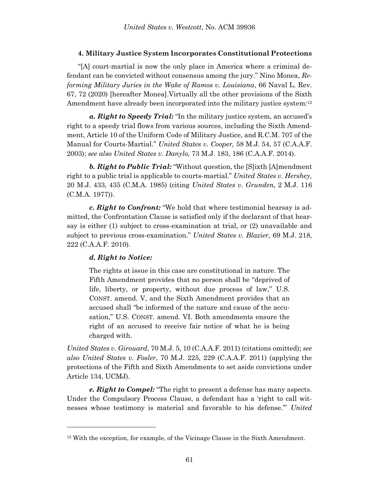# **4. Military Justice System Incorporates Constitutional Protections**

"[A] court-martial is now the only place in America where a criminal defendant can be convicted without consensus among the jury." Nino Monea, *Reforming Military Juries in the Wake of Ramos v. Louisiana*, 66 Naval L. Rev. 67, 72 (2020) [hereafter Monea].Virtually all the other provisions of the Sixth Amendment have already been incorporated into the military justice system:<sup>12</sup>

*a. Right to Speedy Trial:* "In the military justice system, an accused's right to a speedy trial flows from various sources, including the Sixth Amendment, Article 10 of the Uniform Code of Military Justice, and R.C.M. 707 of the Manual for Courts-Martial." *United States v. Cooper,* 58 M.J. 54, 57 (C.A.A.F. 2003); *see also United States v. Danylo,* 73 M.J. 183, 186 (C.A.A.F. 2014).

*b. Right to Public Trial:* "Without question, the [S]ixth [A]mendment right to a public trial is applicable to courts-martial." *United States v. Hershey,*  20 M.J. 433, 435 (C.M.A. 1985) (citing *United States v. Grunden,* 2 M.J. 116 (C.M.A. 1977)).

*c. Right to Confront:* "We hold that where testimonial hearsay is admitted, the Confrontation Clause is satisfied only if the declarant of that hearsay is either (1) subject to cross-examination at trial, or (2) unavailable and subject to previous cross-examination." *United States v. Blazier,* 69 M.J. 218, 222 (C.A.A.F. 2010).

## *d. Right to Notice:*

l

The rights at issue in this case are constitutional in nature. The Fifth Amendment provides that no person shall be "deprived of life, liberty, or property, without due process of law," U.S. CONST. amend. V, and the Sixth Amendment provides that an accused shall "be informed of the nature and cause of the accusation," U.S. CONST. amend. VI. Both amendments ensure the right of an accused to receive fair notice of what he is being charged with.

*United States v. Girouard*, 70 M.J. 5, 10 (C.A.A.F. 2011) (citations omitted); *see also United States v. Fosler*, 70 M.J. 225, 229 (C.A.A.F. 2011) (applying the protections of the Fifth and Sixth Amendments to set aside convictions under Article 134, UCMJ).

*e. Right to Compel:* "The right to present a defense has many aspects. Under the Compulsory Process Clause, a defendant has a 'right to call witnesses whose testimony is material and favorable to his defense.'" *United* 

<sup>12</sup> With the exception, for example, of the Vicinage Clause in the Sixth Amendment.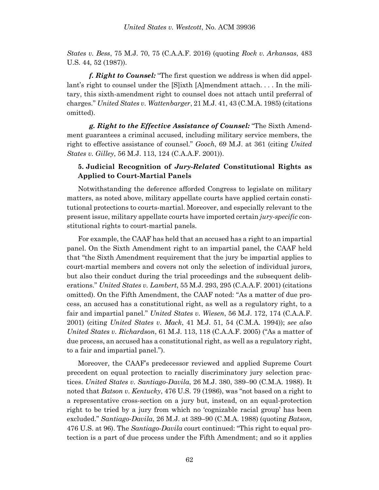*States v. Bess*, 75 M.J. 70, 75 (C.A.A.F. 2016) (quoting *Rock v. Arkansas*, 483 U.S. 44, 52 (1987)).

*f. Right to Counsel:* "The first question we address is when did appellant's right to counsel under the [S]ixth [A]mendment attach. . . . In the military, this sixth-amendment right to counsel does not attach until preferral of charges." *United States v. Wattenbarger*, 21 M.J. 41, 43 (C.M.A. 1985) (citations omitted).

*g. Right to the Effective Assistance of Counsel:* "The Sixth Amendment guarantees a criminal accused, including military service members, the right to effective assistance of counsel." *Gooch*, 69 M.J. at 361 (citing *United States v. Gilley*, 56 M.J. 113, 124 (C.A.A.F. 2001)).

# **5. Judicial Recognition of** *Jury-Related* **Constitutional Rights as Applied to Court-Martial Panels**

Notwithstanding the deference afforded Congress to legislate on military matters, as noted above, military appellate courts have applied certain constitutional protections to courts-martial. Moreover, and especially relevant to the present issue, military appellate courts have imported certain *jury-specific* constitutional rights to court-martial panels.

For example, the CAAF has held that an accused has a right to an impartial panel. On the Sixth Amendment right to an impartial panel, the CAAF held that "the Sixth Amendment requirement that the jury be impartial applies to court-martial members and covers not only the selection of individual jurors, but also their conduct during the trial proceedings and the subsequent deliberations." *United States v. Lambert*, 55 M.J. 293, 295 (C.A.A.F. 2001) (citations omitted). On the Fifth Amendment, the CAAF noted: "As a matter of due process, an accused has a constitutional right, as well as a regulatory right, to a fair and impartial panel." *United States v. Wiesen*, 56 M.J. 172, 174 (C.A.A.F. 2001) (citing *United States v. Mack*, 41 M.J. 51, 54 (C.M.A. 1994)); *see also United States v. Richardson*, 61 M.J. 113, 118 (C.A.A.F. 2005) ("As a matter of due process, an accused has a constitutional right, as well as a regulatory right, to a fair and impartial panel.").

Moreover, the CAAF's predecessor reviewed and applied Supreme Court precedent on equal protection to racially discriminatory jury selection practices. *United States v. Santiago-Davila*, 26 M.J. 380, 389–90 (C.M.A. 1988). It noted that *Batson v. Kentucky*, 476 U.S. 79 (1986), was "not based on a right to a representative cross-section on a jury but, instead, on an equal-protection right to be tried by a jury from which no 'cognizable racial group' has been excluded." *Santiago-Davila*, 26 M.J. at 389–90 (C.M.A. 1988) (quoting *Batson*, 476 U.S. at 96). The *Santiago-Davila* court continued: "This right to equal protection is a part of due process under the Fifth Amendment; and so it applies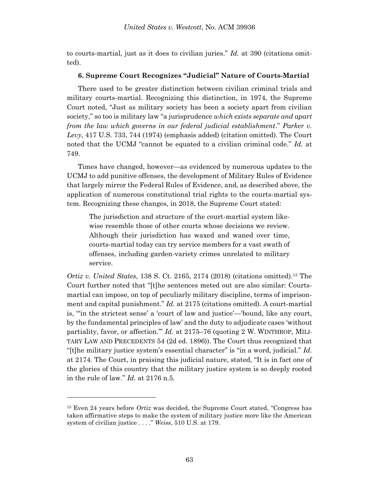to courts-martial, just as it does to civilian juries." *Id.* at 390 (citations omitted).

## **6. Supreme Court Recognizes "Judicial" Nature of Courts-Martial**

There used to be greater distinction between civilian criminal trials and military courts-martial. Recognizing this distinction, in 1974, the Supreme Court noted, "Just as military society has been a society apart from civilian society," so too is military law "a jurisprudence *which exists separate and apart from the law which governs in our federal judicial establishment*." *Parker v. Levy*, 417 U.S. 733, 744 (1974) (emphasis added) (citation omitted). The Court noted that the UCMJ "cannot be equated to a civilian criminal code." *Id.* at 749.

Times have changed, however—as evidenced by numerous updates to the UCMJ to add punitive offenses, the development of Military Rules of Evidence that largely mirror the Federal Rules of Evidence, and, as described above, the application of numerous constitutional trial rights to the courts-martial system. Recognizing these changes, in 2018, the Supreme Court stated:

The jurisdiction and structure of the court-martial system likewise resemble those of other courts whose decisions we review. Although their jurisdiction has waxed and waned over time, courts-martial today can try service members for a vast swath of offenses, including garden-variety crimes unrelated to military service.

*Ortiz v. United States*, 138 S. Ct. 2165, 2174 (2018) (citations omitted).<sup>13</sup> The Court further noted that "[t]he sentences meted out are also similar: Courtsmartial can impose, on top of peculiarly military discipline, terms of imprisonment and capital punishment." *Id.* at 2175 (citations omitted). A court-martial is, "'in the strictest sense' a 'court of law and justice'—'bound, like any court, by the fundamental principles of law' and the duty to adjudicate cases 'without partiality, favor, or affection.'" *Id.* at 2175–76 (quoting 2 W. WINTHROP, MILI-TARY LAW AND PRECEDENTS 54 (2d ed. 1896)). The Court thus recognized that "[t]he military justice system's essential character" is "in a word, judicial." *Id.* at 2174. The Court, in praising this judicial nature, stated, "It is in fact one of the glories of this country that the military justice system is so deeply rooted in the rule of law." *Id.* at 2176 n.5.

<sup>13</sup> Even 24 years before *Ortiz* was decided, the Supreme Court stated, "Congress has taken affirmative steps to make the system of military justice more like the American system of civilian justice . . . ." *Weiss*, 510 U.S. at 179.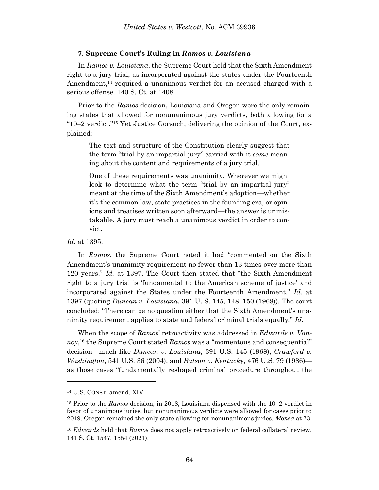#### **7. Supreme Court's Ruling in** *Ramos v. Louisiana*

In *Ramos v. Louisiana*, the Supreme Court held that the Sixth Amendment right to a jury trial, as incorporated against the states under the Fourteenth Amendment,<sup>14</sup> required a unanimous verdict for an accused charged with a serious offense. 140 S. Ct. at 1408.

Prior to the *Ramos* decision, Louisiana and Oregon were the only remaining states that allowed for nonunanimous jury verdicts, both allowing for a "10–2 verdict."<sup>15</sup> Yet Justice Gorsuch, delivering the opinion of the Court, explained:

The text and structure of the Constitution clearly suggest that the term "trial by an impartial jury" carried with it *some* meaning about the content and requirements of a jury trial.

One of these requirements was unanimity. Wherever we might look to determine what the term "trial by an impartial jury" meant at the time of the Sixth Amendment's adoption—whether it's the common law, state practices in the founding era, or opinions and treatises written soon afterward—the answer is unmistakable. A jury must reach a unanimous verdict in order to convict.

*Id*. at 1395.

In *Ramos*, the Supreme Court noted it had "commented on the Sixth Amendment's unanimity requirement no fewer than 13 times over more than 120 years." *Id.* at 1397. The Court then stated that "the Sixth Amendment right to a jury trial is 'fundamental to the American scheme of justice' and incorporated against the States under the Fourteenth Amendment." *Id.* at 1397 (quoting *Duncan v. Louisiana*, 391 U. S. 145, 148–150 (1968)). The court concluded: "There can be no question either that the Sixth Amendment's unanimity requirement applies to state and federal criminal trials equally." *Id.*

When the scope of *Ramos*' retroactivity was addressed in *Edwards v. Vannoy*, <sup>16</sup> the Supreme Court stated *Ramos* was a "momentous and consequential" decision—much like *Duncan v. Louisiana*, 391 U.S. 145 (1968); *Crawford v. Washington*, 541 U.S. 36 (2004); and *Batson v. Kentucky*, 476 U.S. 79 (1986) as those cases "fundamentally reshaped criminal procedure throughout the

<sup>14</sup> U.S. CONST. amend. XIV.

<sup>15</sup> Prior to the *Ramos* decision, in 2018, Louisiana dispensed with the 10–2 verdict in favor of unanimous juries, but nonunanimous verdicts were allowed for cases prior to 2019. Oregon remained the only state allowing for nonunanimous juries. *Monea* at 73.

<sup>16</sup> *Edwards* held that *Ramos* does not apply retroactively on federal collateral review. 141 S. Ct. 1547, 1554 (2021).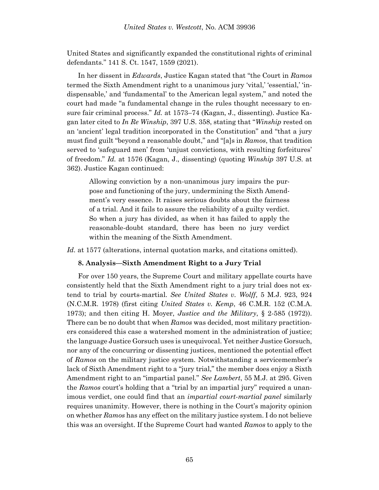United States and significantly expanded the constitutional rights of criminal defendants." 141 S. Ct. 1547, 1559 (2021).

In her dissent in *Edwards*, Justice Kagan stated that "the Court in *Ramos* termed the Sixth Amendment right to a unanimous jury 'vital,' 'essential,' 'indispensable,' and 'fundamental' to the American legal system," and noted the court had made "a fundamental change in the rules thought necessary to ensure fair criminal process." *Id.* at 1573–74 (Kagan, J., dissenting). Justice Kagan later cited to *In Re Winship*, 397 U.S. 358, stating that "*Winship* rested on an 'ancient' legal tradition incorporated in the Constitution" and "that a jury must find guilt "beyond a reasonable doubt," and "[a]s in *Ramos*, that tradition served to 'safeguard men' from 'unjust convictions, with resulting forfeitures' of freedom." *Id.* at 1576 (Kagan, J., dissenting) (quoting *Winship* 397 U.S. at 362). Justice Kagan continued:

Allowing conviction by a non-unanimous jury impairs the purpose and functioning of the jury, undermining the Sixth Amendment's very essence. It raises serious doubts about the fairness of a trial. And it fails to assure the reliability of a guilty verdict. So when a jury has divided, as when it has failed to apply the reasonable-doubt standard, there has been no jury verdict within the meaning of the Sixth Amendment.

*Id.* at 1577 (alterations, internal quotation marks, and citations omitted).

#### **8. Analysis—Sixth Amendment Right to a Jury Trial**

For over 150 years, the Supreme Court and military appellate courts have consistently held that the Sixth Amendment right to a jury trial does not extend to trial by courts-martial. *See United States v. Wolff*, 5 M.J. 923, 924 (N.C.M.R. 1978) (first citing *United States v. Kemp*, 46 C.M.R. 152 (C.M.A. 1973); and then citing H. Moyer, *Justice and the Military*, § 2-585 (1972)). There can be no doubt that when *Ramos* was decided, most military practitioners considered this case a watershed moment in the administration of justice; the language Justice Gorsuch uses is unequivocal. Yet neither Justice Gorsuch, nor any of the concurring or dissenting justices, mentioned the potential effect of *Ramos* on the military justice system. Notwithstanding a servicemember's lack of Sixth Amendment right to a "jury trial," the member does enjoy a Sixth Amendment right to an "impartial panel." *See Lambert*, 55 M.J. at 295. Given the *Ramos* court's holding that a "trial by an impartial jury" required a unanimous verdict, one could find that an *impartial court-martial panel* similarly requires unanimity. However, there is nothing in the Court's majority opinion on whether *Ramos* has any effect on the military justice system. I do not believe this was an oversight. If the Supreme Court had wanted *Ramos* to apply to the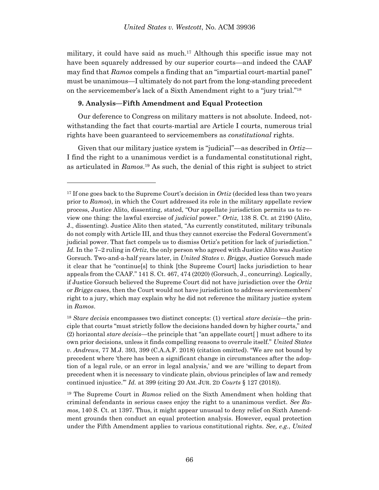military, it could have said as much.<sup>17</sup> Although this specific issue may not have been squarely addressed by our superior courts—and indeed the CAAF may find that *Ramos* compels a finding that an "impartial court-martial panel" must be unanimous—I ultimately do not part from the long-standing precedent on the servicemember's lack of a Sixth Amendment right to a "jury trial." 18

### **9. Analysis—Fifth Amendment and Equal Protection**

l

Our deference to Congress on military matters is not absolute. Indeed, notwithstanding the fact that courts-martial are Article I courts, numerous trial rights have been guaranteed to servicemembers as *constitutional* rights.

Given that our military justice system is "judicial"—as described in *Ortiz*— I find the right to a unanimous verdict is a fundamental constitutional right, as articulated in *Ramos*. <sup>19</sup> As such, the denial of this right is subject to strict

<sup>&</sup>lt;sup>17</sup> If one goes back to the Supreme Court's decision in *Ortiz* (decided less than two years prior to *Ramos*), in which the Court addressed its role in the military appellate review process, Justice Alito, dissenting, stated, "Our appellate jurisdiction permits us to review one thing: the lawful exercise of *judicial* power." *Ortiz,* 138 S. Ct. at 2190 (Alito, J., dissenting). Justice Alito then stated, "As currently constituted, military tribunals do not comply with Article III, and thus they cannot exercise the Federal Government's judicial power. That fact compels us to dismiss Ortiz's petition for lack of jurisdiction." *Id.* In the 7–2 ruling in *Ortiz*, the only person who agreed with Justice Alito was Justice Gorsuch. Two-and-a-half years later, in *United States v. Briggs*, Justice Gorsuch made it clear that he "continue[s] to think [the Supreme Court] lacks jurisdiction to hear appeals from the CAAF." 141 S. Ct. 467, 474 (2020) (Gorsuch, J., concurring). Logically, if Justice Gorsuch believed the Supreme Court did not have jurisdiction over the *Ortiz* or *Briggs* cases, then the Court would not have jurisdiction to address servicemembers' right to a jury, which may explain why he did not reference the military justice system in *Ramos*.

<sup>18</sup> *Stare decisis* encompasses two distinct concepts: (1) vertical *stare decisis—*the principle that courts "must strictly follow the decisions handed down by higher courts," and (2) horizontal *stare decisis*—the principle that "an appellate court[ ] must adhere to its own prior decisions, unless it finds compelling reasons to overrule itself." *United States v. Andrews*, 77 M.J. 393, 399 (C.A.A.F. 2018) (citation omitted). "We are not bound by precedent where 'there has been a significant change in circumstances after the adoption of a legal rule, or an error in legal analysis,' and we are 'willing to depart from precedent when it is necessary to vindicate plain, obvious principles of law and remedy continued injustice.'" *Id.* at 399 (citing 20 AM. JUR. 2D *Courts* § 127 (2018)).

<sup>19</sup> The Supreme Court in *Ramos* relied on the Sixth Amendment when holding that criminal defendants in serious cases enjoy the right to a unanimous verdict. *See Ramos*, 140 S. Ct. at 1397. Thus, it might appear unusual to deny relief on Sixth Amendment grounds then conduct an equal protection analysis. However, equal protection under the Fifth Amendment applies to various constitutional rights. *See, e.g.*, *United*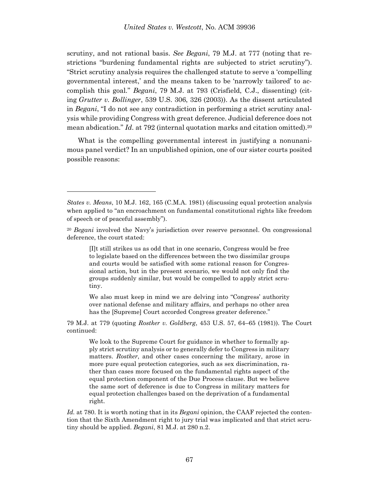scrutiny, and not rational basis. *See Begani*, 79 M.J. at 777 (noting that restrictions "burdening fundamental rights are subjected to strict scrutiny"). "Strict scrutiny analysis requires the challenged statute to serve a 'compelling governmental interest,' and the means taken to be 'narrowly tailored' to accomplish this goal." *Begani*, 79 M.J. at 793 (Crisfield, C.J., dissenting) (citing *Grutter v. Bollinger*, 539 U.S. 306, 326 (2003)). As the dissent articulated in *Begani*, "I do not see any contradiction in performing a strict scrutiny analysis while providing Congress with great deference. Judicial deference does not mean abdication." *Id.* at 792 (internal quotation marks and citation omitted).<sup>20</sup>

What is the compelling governmental interest in justifying a nonunanimous panel verdict? In an unpublished opinion, one of our sister courts posited possible reasons:

l

[I]t still strikes us as odd that in one scenario, Congress would be free to legislate based on the differences between the two dissimilar groups and courts would be satisfied with some rational reason for Congressional action, but in the present scenario, we would not only find the groups suddenly similar, but would be compelled to apply strict scrutiny.

We also must keep in mind we are delving into "Congress' authority over national defense and military affairs, and perhaps no other area has the [Supreme] Court accorded Congress greater deference."

79 M.J. at 779 (quoting *Rostker v. Goldberg*, 453 U.S. 57, 64–65 (1981)). The Court continued:

We look to the Supreme Court for guidance in whether to formally apply strict scrutiny analysis or to generally defer to Congress in military matters. *Rostker*, and other cases concerning the military, arose in more pure equal protection categories, such as sex discrimination, rather than cases more focused on the fundamental rights aspect of the equal protection component of the Due Process clause. But we believe the same sort of deference is due to Congress in military matters for equal protection challenges based on the deprivation of a fundamental right.

*Id.* at 780. It is worth noting that in its *Begani* opinion, the CAAF rejected the contention that the Sixth Amendment right to jury trial was implicated and that strict scrutiny should be applied. *Begani*, 81 M.J. at 280 n.2.

*States v. Means*, 10 M.J. 162, 165 (C.M.A. 1981) (discussing equal protection analysis when applied to "an encroachment on fundamental constitutional rights like freedom of speech or of peaceful assembly").

<sup>20</sup> *Begani* involved the Navy's jurisdiction over reserve personnel. On congressional deference, the court stated: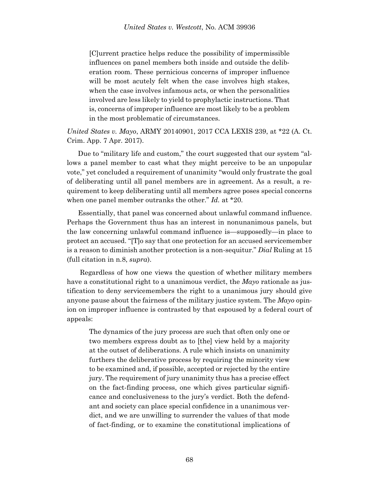[C]urrent practice helps reduce the possibility of impermissible influences on panel members both inside and outside the deliberation room. These pernicious concerns of improper influence will be most acutely felt when the case involves high stakes, when the case involves infamous acts, or when the personalities involved are less likely to yield to prophylactic instructions. That is, concerns of improper influence are most likely to be a problem in the most problematic of circumstances.

# *United States v. Mayo*, ARMY 20140901, 2017 CCA LEXIS 239, at \*22 (A. Ct. Crim. App. 7 Apr. 2017).

Due to "military life and custom," the court suggested that our system "allows a panel member to cast what they might perceive to be an unpopular vote," yet concluded a requirement of unanimity "would only frustrate the goal of deliberating until all panel members are in agreement. As a result, a requirement to keep deliberating until all members agree poses special concerns when one panel member outranks the other." *Id.* at \*20.

Essentially, that panel was concerned about unlawful command influence. Perhaps the Government thus has an interest in nonunanimous panels, but the law concerning unlawful command influence is—supposedly—in place to protect an accused. "[T]o say that one protection for an accused servicemember is a reason to diminish another protection is a non-sequitur." *Dial* Ruling at 15 (full citation in n.8, *supra*).

Regardless of how one views the question of whether military members have a constitutional right to a unanimous verdict, the *Mayo* rationale as justification to deny servicemembers the right to a unanimous jury should give anyone pause about the fairness of the military justice system. The *Mayo* opinion on improper influence is contrasted by that espoused by a federal court of appeals:

The dynamics of the jury process are such that often only one or two members express doubt as to [the] view held by a majority at the outset of deliberations. A rule which insists on unanimity furthers the deliberative process by requiring the minority view to be examined and, if possible, accepted or rejected by the entire jury. The requirement of jury unanimity thus has a precise effect on the fact-finding process, one which gives particular significance and conclusiveness to the jury's verdict. Both the defendant and society can place special confidence in a unanimous verdict, and we are unwilling to surrender the values of that mode of fact-finding, or to examine the constitutional implications of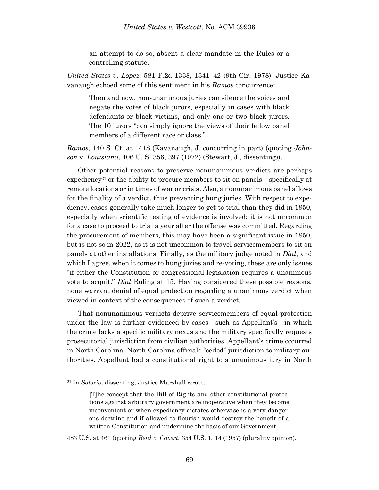an attempt to do so, absent a clear mandate in the Rules or a controlling statute.

*United States v. Lopez*, 581 F.2d 1338, 1341–42 (9th Cir. 1978). Justice Kavanaugh echoed some of this sentiment in his *Ramos* concurrence:

Then and now, non-unanimous juries can silence the voices and negate the votes of black jurors, especially in cases with black defendants or black victims, and only one or two black jurors. The 10 jurors "can simply ignore the views of their fellow panel members of a different race or class."

*Ramos*, 140 S. Ct. at 1418 (Kavanaugh, J. concurring in part) (quoting *Johnson* v. *Louisiana*, 406 U. S. 356, 397 (1972) (Stewart, J., dissenting)).

Other potential reasons to preserve nonunanimous verdicts are perhaps expediency<sup>21</sup> or the ability to procure members to sit on panels—specifically at remote locations or in times of war or crisis. Also, a nonunanimous panel allows for the finality of a verdict, thus preventing hung juries. With respect to expediency, cases generally take much longer to get to trial than they did in 1950, especially when scientific testing of evidence is involved; it is not uncommon for a case to proceed to trial a year after the offense was committed. Regarding the procurement of members, this may have been a significant issue in 1950, but is not so in 2022, as it is not uncommon to travel servicemembers to sit on panels at other installations. Finally, as the military judge noted in *Dial*, and which I agree, when it comes to hung juries and re-voting, these are only issues "if either the Constitution or congressional legislation requires a unanimous vote to acquit." *Dial* Ruling at 15. Having considered these possible reasons, none warrant denial of equal protection regarding a unanimous verdict when viewed in context of the consequences of such a verdict.

That nonunanimous verdicts deprive servicemembers of equal protection under the law is further evidenced by cases—such as Appellant's—in which the crime lacks a specific military nexus and the military specifically requests prosecutorial jurisdiction from civilian authorities. Appellant's crime occurred in North Carolina. North Carolina officials "ceded" jurisdiction to military authorities. Appellant had a constitutional right to a unanimous jury in North

l

483 U.S. at 461 (quoting *Reid v. Covert*, 354 U.S. 1, 14 (1957) (plurality opinion).

<sup>21</sup> In *Solorio,* dissenting, Justice Marshall wrote,

<sup>[</sup>T]he concept that the Bill of Rights and other constitutional protections against arbitrary government are inoperative when they become inconvenient or when expediency dictates otherwise is a very dangerous doctrine and if allowed to flourish would destroy the benefit of a written Constitution and undermine the basis of our Government.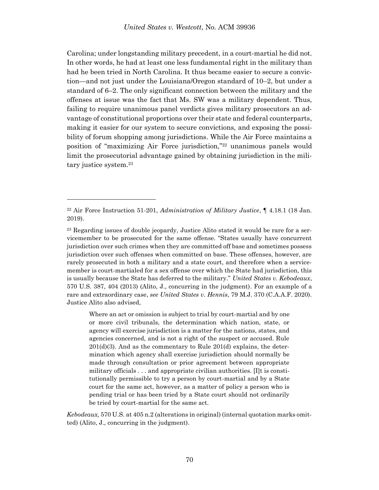Carolina; under longstanding military precedent, in a court-martial he did not. In other words, he had at least one less fundamental right in the military than had he been tried in North Carolina. It thus became easier to secure a conviction—and not just under the Louisiana/Oregon standard of 10–2, but under a standard of 6–2. The only significant connection between the military and the offenses at issue was the fact that Ms. SW was a military dependent. Thus, failing to require unanimous panel verdicts gives military prosecutors an advantage of constitutional proportions over their state and federal counterparts, making it easier for our system to secure convictions, and exposing the possibility of forum shopping among jurisdictions. While the Air Force maintains a position of "maximizing Air Force jurisdiction,"<sup>22</sup> unanimous panels would limit the prosecutorial advantage gained by obtaining jurisdiction in the military justice system. 23

l

Where an act or omission is subject to trial by court-martial and by one or more civil tribunals, the determination which nation, state, or agency will exercise jurisdiction is a matter for the nations, states, and agencies concerned, and is not a right of the suspect or accused. Rule  $201(d)(3)$ . And as the commentary to Rule  $201(d)$  explains, the determination which agency shall exercise jurisdiction should normally be made through consultation or prior agreement between appropriate military officials . . . and appropriate civilian authorities. [I]t is constitutionally permissible to try a person by court-martial and by a State court for the same act, however, as a matter of policy a person who is pending trial or has been tried by a State court should not ordinarily be tried by court-martial for the same act.

*Kebodeaux,* 570 U.S. at 405 n.2 (alterations in original) (internal quotation marks omitted) (Alito, J., concurring in the judgment).

<sup>22</sup> Air Force Instruction 51-201, *Administration of Military Justice*, ¶ 4.18.1 (18 Jan. 2019).

<sup>&</sup>lt;sup>23</sup> Regarding issues of double jeopardy, Justice Alito stated it would be rare for a servicemember to be prosecuted for the same offense. "States usually have concurrent jurisdiction over such crimes when they are committed off base and sometimes possess jurisdiction over such offenses when committed on base. These offenses, however, are rarely prosecuted in both a military and a state court, and therefore when a servicemember is court-martialed for a sex offense over which the State had jurisdiction, this is usually because the State has deferred to the military." *United States v. Kebodeaux*, 570 U.S. 387, 404 (2013) (Alito, J., concurring in the judgment). For an example of a rare and extraordinary case, *see United States v. Hennis*, 79 M.J. 370 (C.A.A.F. 2020). Justice Alito also advised,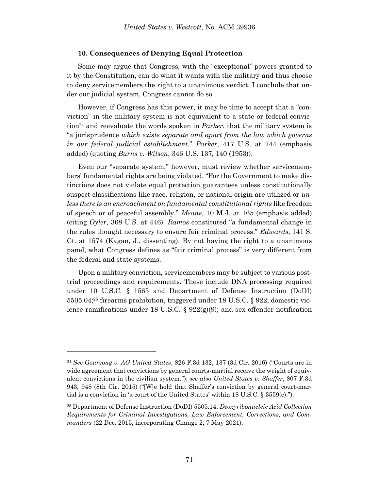#### **10. Consequences of Denying Equal Protection**

Some may argue that Congress, with the "exceptional" powers granted to it by the Constitution, can do what it wants with the military and thus choose to deny servicemembers the right to a unanimous verdict. I conclude that under our judicial system, Congress cannot do so.

However, if Congress has this power, it may be time to accept that a "conviction" in the military system is not equivalent to a state or federal conviction<sup>24</sup> and reevaluate the words spoken in *Parker*, that the military system is "a jurisprudence *which exists separate and apart from the law which governs in our federal judicial establishment*." *Parker*, 417 U.S. at 744 (emphasis added) (quoting *Burns v. Wilson*, 346 U.S. 137, 140 (1953)).

Even our "separate system," however, must review whether servicemembers' fundamental rights are being violated. "For the Government to make distinctions does not violate equal protection guarantees unless constitutionally suspect classifications like race, religion, or national origin are utilized or *unless there is an encroachment on fundamental constitutional rights* like freedom of speech or of peaceful assembly." *Means*, 10 M.J. at 165 (emphasis added) (citing *Oyler*, 368 U.S. at 446). *Ramos* constituted "a fundamental change in the rules thought necessary to ensure fair criminal process." *Edwards*, 141 S. Ct. at 1574 (Kagan, J., dissenting). By not having the right to a unanimous panel, what Congress defines as "fair criminal process" is very different from the federal and state systems.

Upon a military conviction, servicemembers may be subject to various posttrial proceedings and requirements. These include DNA processing required under 10 U.S.C. § 1565 and Department of Defense Instruction (DoDI) 5505.04; <sup>25</sup> firearms prohibition, triggered under 18 U.S.C. § 922; domestic violence ramifications under 18 U.S.C. § 922(g)(9); and sex offender notification

<sup>24</sup> *See Gourzong v. AG United States*, 826 F.3d 132, 137 (3d Cir. 2016) ("Courts are in wide agreement that convictions by general courts-martial receive the weight of equivalent convictions in the civilian system."); *see also [United States v. Shaffer](https://plus.lexis.com/search/?pdmfid=1530671&crid=cdc4209a-a614-4a4b-99ad-062eeb494aa4&pdsearchterms=826+f3d+137&pdtypeofsearch=searchboxclick&pdsearchtype=SearchBox&pdstartin=&pdpsf=&pdqttype=and&pdquerytemplateid=&ecomp=s8ttk&earg=pdsf&prid=b584ed22-8c9e-4139-b56d-48b2caee10fb)*, 807 F.3d [943, 948 \(8th Cir. 2015\)](https://plus.lexis.com/search/?pdmfid=1530671&crid=cdc4209a-a614-4a4b-99ad-062eeb494aa4&pdsearchterms=826+f3d+137&pdtypeofsearch=searchboxclick&pdsearchtype=SearchBox&pdstartin=&pdpsf=&pdqttype=and&pdquerytemplateid=&ecomp=s8ttk&earg=pdsf&prid=b584ed22-8c9e-4139-b56d-48b2caee10fb) ("[W]e hold that Shaffer's conviction by general court-martial is a conviction in 'a court of the United States' within [18 U.S.C. § 3559\(c\).](https://plus.lexis.com/search/?pdmfid=1530671&crid=cdc4209a-a614-4a4b-99ad-062eeb494aa4&pdsearchterms=826+f3d+137&pdtypeofsearch=searchboxclick&pdsearchtype=SearchBox&pdstartin=&pdpsf=&pdqttype=and&pdquerytemplateid=&ecomp=s8ttk&earg=pdsf&prid=b584ed22-8c9e-4139-b56d-48b2caee10fb)").

<sup>25</sup> Department of Defense Instruction (DoDI) 5505.14, *Deoxyribonucleic Acid Collection Requirements for Criminal Investigations, Law Enforcement, Corrections, and Commanders* (22 Dec. 2015, incorporating Change 2, 7 May 2021).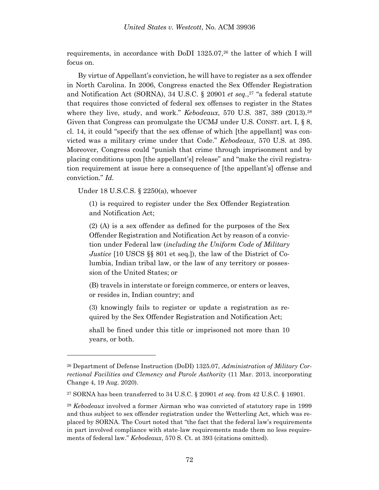requirements, in accordance with DoDI 1325.07,<sup>26</sup> the latter of which I will focus on.

By virtue of Appellant's conviction, he will have to register as a sex offender in North Carolina. In 2006, Congress enacted the Sex Offender Registration and Notification Act (SORNA), 34 U.S.C. § 20901 *et seq.*, <sup>27</sup> "a federal statute that requires those convicted of federal sex offenses to register in the States where they live, study, and work." *Kebodeaux*, 570 U.S. 387, 389 (2013).<sup>28</sup> Given that Congress can promulgate the UCMJ under U.S. CONST. art. I, § 8, cl. 14, it could "specify that the sex offense of which [the appellant] was convicted was a military crime under that Code." *Kebodeaux*, 570 U.S. at 395. Moreover, Congress could "punish that crime through imprisonment and by placing conditions upon [the appellant's] release" and "make the civil registration requirement at issue here a consequence of [the appellant's] offense and conviction." *Id.*

Under 18 U.S.C.S. § 2250(a), whoever

l

(1) is required to register under the Sex Offender Registration and Notification Act;

(2) (A) is a sex offender as defined for the purposes of the Sex Offender Registration and Notification Act by reason of a conviction under Federal law (*including the Uniform Code of Military Justice* [10 USCS §§ 801 et seq.]), the law of the District of Columbia, Indian tribal law, or the law of any territory or possession of the United States; or

(B) travels in interstate or foreign commerce, or enters or leaves, or resides in, Indian country; and

(3) knowingly fails to register or update a registration as required by the Sex Offender Registration and Notification Act;

shall be fined under this title or imprisoned not more than 10 years, or both.

<sup>26</sup> Department of Defense Instruction (DoDI) 1325.07, *Administration of Military Correctional Facilities and Clemency and Parole Authority* (11 Mar. 2013, incorporating Change 4, 19 Aug. 2020).

<sup>27</sup> SORNA has been transferred to 34 U.S.C. § 20901 *et seq.* from 42 U.S.C. § 16901.

<sup>28</sup> *Kebodeaux* involved a former Airman who was convicted of statutory rape in 1999 and thus subject to sex offender registration under the Wetterling Act, which was replaced by SORNA. The Court noted that "the fact that the federal law's requirements in part involved compliance with state-law requirements made them no less requirements of federal law." *Kebodeaux*, 570 S. Ct. at 393 (citations omitted).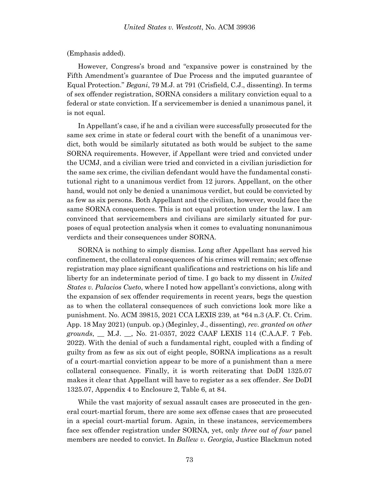(Emphasis added).

However, Congress's broad and "expansive power is constrained by the Fifth Amendment's guarantee of Due Process and the imputed guarantee of Equal Protection." *Begani*, 79 M.J. at 791 (Crisfield, C.J., dissenting). In terms of sex offender registration, SORNA considers a military conviction equal to a federal or state conviction. If a servicemember is denied a unanimous panel, it is not equal.

In Appellant's case, if he and a civilian were successfully prosecuted for the same sex crime in state or federal court with the benefit of a unanimous verdict, both would be similarly situtated as both would be subject to the same SORNA requirements. However, if Appellant were tried and convicted under the UCMJ, and a civilian were tried and convicted in a civilian jurisdiction for the same sex crime, the civilian defendant would have the fundamental constitutional right to a unanimous verdict from 12 jurors. Appellant, on the other hand, would not only be denied a unanimous verdict, but could be convicted by as few as six persons. Both Appellant and the civilian, however, would face the same SORNA consequences. This is not equal protection under the law. I am convinced that servicemembers and civilians are similarly situated for purposes of equal protection analysis when it comes to evaluating nonunanimous verdicts and their consequences under SORNA.

SORNA is nothing to simply dismiss. Long after Appellant has served his confinement, the collateral consequences of his crimes will remain; sex offense registration may place significant qualifications and restrictions on his life and liberty for an indeterminate period of time. I go back to my dissent in *United States v. Palacios Cueto*, where I noted how appellant's convictions, along with the expansion of sex offender requirements in recent years, begs the question as to when the collateral consequences of such convictions look more like a punishment. No. ACM 39815, 2021 CCA LEXIS 239, at \*64 n.3 (A.F. Ct. Crim. App. 18 May 2021) (unpub. op.) (Meginley, J., dissenting), *rev. granted on other grounds*, [\\_\\_ M.J. \\_\\_, No. 21-0357, 2022 CAAF LEXIS 114 \(C.A.A.F. 7 Feb.](https://plus.lexis.com/document/?pdmfid=1530671&crid=5e74d94d-cef7-4e2b-bc95-395698745906&pddocfullpath=%2Fshared%2Fdocument%2Fcases%2Furn%3AcontentItem%3A62PS-5R51-F81W-21W6-00000-00&pdcontentcomponentid=7814&pdteaserkey=&pdislpamode=false&pdworkfolderlocatorid=NOT_SAVED_IN_WORKFOLDER&ecomp=ff4k&earg=sr0&prid=3e6f70fd-6825-4dc2-be0f-12ec4ed5bf8a) [2022\).](https://plus.lexis.com/document/?pdmfid=1530671&crid=5e74d94d-cef7-4e2b-bc95-395698745906&pddocfullpath=%2Fshared%2Fdocument%2Fcases%2Furn%3AcontentItem%3A62PS-5R51-F81W-21W6-00000-00&pdcontentcomponentid=7814&pdteaserkey=&pdislpamode=false&pdworkfolderlocatorid=NOT_SAVED_IN_WORKFOLDER&ecomp=ff4k&earg=sr0&prid=3e6f70fd-6825-4dc2-be0f-12ec4ed5bf8a) With the denial of such a fundamental right, coupled with a finding of guilty from as few as six out of eight people, SORNA implications as a result of a court-martial conviction appear to be more of a punishment than a mere collateral consequence. Finally, it is worth reiterating that DoDI 1325.07 makes it clear that Appellant will have to register as a sex offender. *See* DoDI 1325.07, Appendix 4 to Enclosure 2, Table 6, at 84.

While the vast majority of sexual assault cases are prosecuted in the general court-martial forum, there are some sex offense cases that are prosecuted in a special court-martial forum. Again, in these instances, servicemembers face sex offender registration under SORNA, yet, only *three out of four* panel members are needed to convict. In *Ballew v. Georgia*, Justice Blackmun noted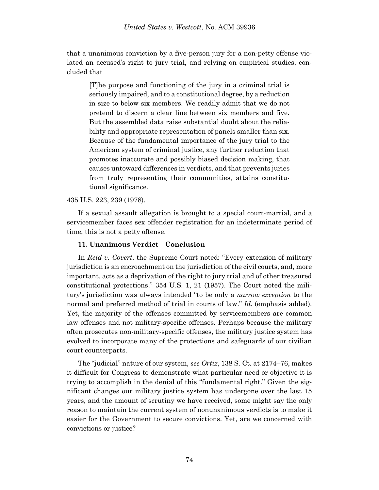that a unanimous conviction by a five-person jury for a non-petty offense violated an accused's right to jury trial, and relying on empirical studies, concluded that

[T]he purpose and functioning of the jury in a criminal trial is seriously impaired, and to a constitutional degree, by a reduction in size to below six members. We readily admit that we do not pretend to discern a clear line between six members and five. But the assembled data raise substantial doubt about the reliability and appropriate representation of panels smaller than six. Because of the fundamental importance of the jury trial to the American system of criminal justice, any further reduction that promotes inaccurate and possibly biased decision making, that causes untoward differences in verdicts, and that prevents juries from truly representing their communities, attains constitutional significance.

## 435 U.S. 223, 239 (1978).

If a sexual assault allegation is brought to a special court-martial, and a servicemember faces sex offender registration for an indeterminate period of time, this is not a petty offense.

## **11. Unanimous Verdict—Conclusion**

In *Reid v. Covert*, the Supreme Court noted: "Every extension of military jurisdiction is an encroachment on the jurisdiction of the civil courts, and, more important, acts as a deprivation of the right to jury trial and of other treasured constitutional protections." 354 U.S. 1, 21 (1957). The Court noted the military's jurisdiction was always intended "to be only a *narrow exception* to the normal and preferred method of trial in courts of law." *Id.* (emphasis added). Yet, the majority of the offenses committed by servicemembers are common law offenses and not military-specific offenses. Perhaps because the military often prosecutes non-military-specific offenses, the military justice system has evolved to incorporate many of the protections and safeguards of our civilian court counterparts.

The "judicial" nature of our system, *see Ortiz*, 138 S. Ct. at 2174–76, makes it difficult for Congress to demonstrate what particular need or objective it is trying to accomplish in the denial of this "fundamental right." Given the significant changes our military justice system has undergone over the last 15 years, and the amount of scrutiny we have received, some might say the only reason to maintain the current system of nonunanimous verdicts is to make it easier for the Government to secure convictions. Yet, are we concerned with convictions or justice?